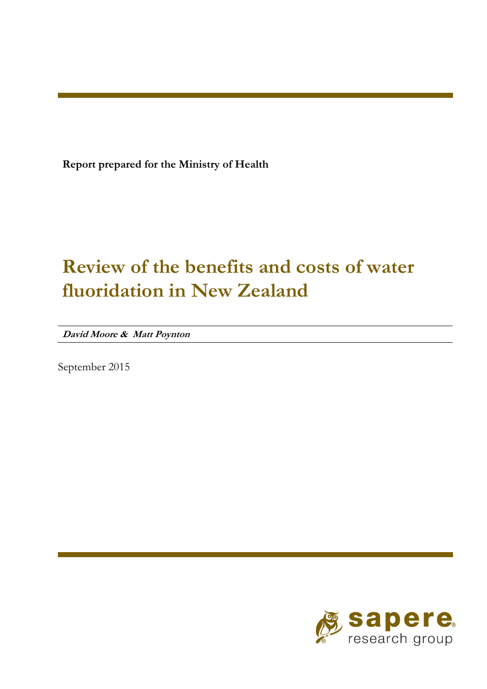**Report prepared for the Ministry of Health** 

# **Review of the benefits and costs of water fluoridation in New Zealand**

**David Moore & Matt Poynton** 

September 2015

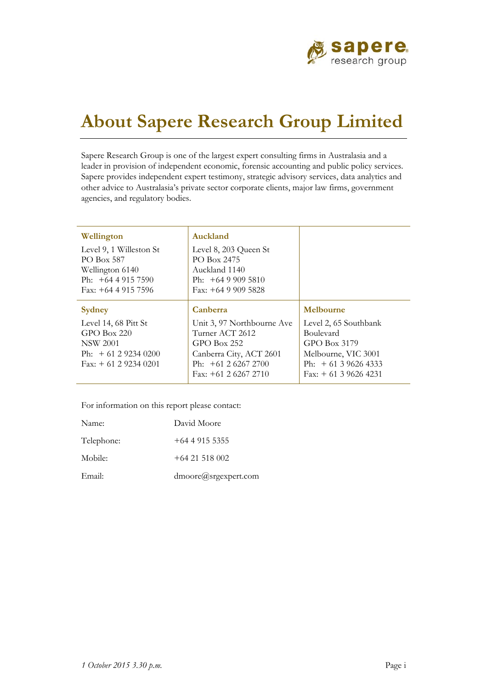

# **About Sapere Research Group Limited**

Sapere Research Group is one of the largest expert consulting firms in Australasia and a leader in provision of independent economic, forensic accounting and public policy services. Sapere provides independent expert testimony, strategic advisory services, data analytics and other advice to Australasia's private sector corporate clients, major law firms, government agencies, and regulatory bodies.

| Wellington                                                                                                | Auckland                                                                                                                                  |                                                                                                                            |
|-----------------------------------------------------------------------------------------------------------|-------------------------------------------------------------------------------------------------------------------------------------------|----------------------------------------------------------------------------------------------------------------------------|
| Level 9, 1 Willeston St<br>PO Box 587<br>Wellington 6140<br>Ph: $+6449157590$<br>Fax: $+6449157596$       | Level 8, 203 Queen St<br>PO Box 2475<br>Auckland 1140<br>Ph: $+6499095810$<br>Fax: $+6499095828$                                          |                                                                                                                            |
| <b>Sydney</b>                                                                                             | Canberra                                                                                                                                  | Melbourne                                                                                                                  |
| Level 14, 68 Pitt St<br>$GPO$ Box 220<br><b>NSW 2001</b><br>Ph: $+61292340200$<br>Fax: $+$ 61 2 9234 0201 | Unit 3, 97 Northbourne Ave<br>Turner ACT 2612<br>$GPO$ Box 252<br>Canberra City, ACT 2601<br>Ph: $+61262672700$<br>Fax: $+61$ 2 6267 2710 | Level 2, 65 Southbank<br>Boulevard<br>GPO Box 3179<br>Melbourne, VIC 3001<br>Ph: $+61396264333$<br>Fax: $+$ 61 3 9626 4231 |

For information on this report please contact:

| Name:      | David Moore          |
|------------|----------------------|
| Telephone: | $+64$ 4 915 5355     |
| Mobile:    | $+64$ 21 518 002     |
| Email:     | dmoore@srgexpert.com |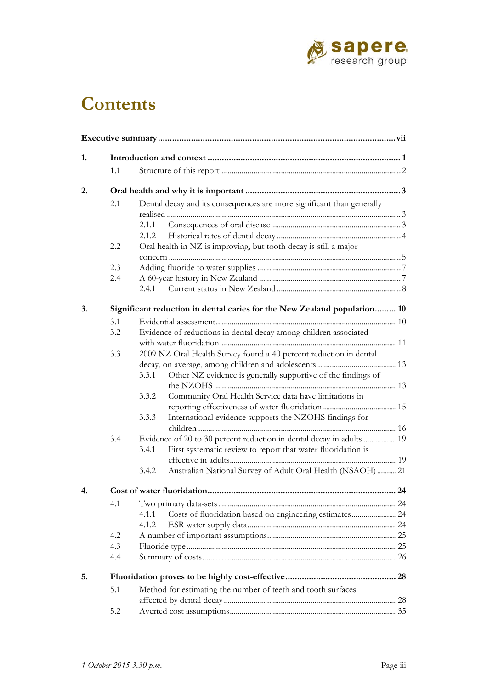

# **Contents**

| 1. |     |                                                                   |                                                                          |  |  |
|----|-----|-------------------------------------------------------------------|--------------------------------------------------------------------------|--|--|
|    | 1.1 |                                                                   |                                                                          |  |  |
| 2. |     |                                                                   |                                                                          |  |  |
|    | 2.1 |                                                                   | Dental decay and its consequences are more significant than generally    |  |  |
|    |     |                                                                   |                                                                          |  |  |
|    |     | 2.1.1                                                             |                                                                          |  |  |
|    |     | 2.1.2                                                             |                                                                          |  |  |
|    | 2.2 |                                                                   | Oral health in NZ is improving, but tooth decay is still a major         |  |  |
|    |     |                                                                   |                                                                          |  |  |
|    | 2.3 |                                                                   |                                                                          |  |  |
|    | 2.4 |                                                                   |                                                                          |  |  |
|    |     |                                                                   |                                                                          |  |  |
| 3. |     |                                                                   | Significant reduction in dental caries for the New Zealand population 10 |  |  |
|    | 3.1 |                                                                   |                                                                          |  |  |
|    | 3.2 |                                                                   | Evidence of reductions in dental decay among children associated         |  |  |
|    |     |                                                                   |                                                                          |  |  |
|    | 3.3 | 2009 NZ Oral Health Survey found a 40 percent reduction in dental |                                                                          |  |  |
|    |     |                                                                   |                                                                          |  |  |
|    |     | 3.3.1                                                             | Other NZ evidence is generally supportive of the findings of             |  |  |
|    |     |                                                                   |                                                                          |  |  |
|    |     | 3.3.2                                                             | Community Oral Health Service data have limitations in                   |  |  |
|    |     |                                                                   |                                                                          |  |  |
|    |     | 3.3.3                                                             |                                                                          |  |  |
|    |     |                                                                   | International evidence supports the NZOHS findings for                   |  |  |
|    |     |                                                                   |                                                                          |  |  |
|    | 3.4 |                                                                   | Evidence of 20 to 30 percent reduction in dental decay in adults  19     |  |  |
|    |     | 3.4.1                                                             | First systematic review to report that water fluoridation is             |  |  |
|    |     |                                                                   |                                                                          |  |  |
|    |     | 3.4.2                                                             | Australian National Survey of Adult Oral Health (NSAOH) 21               |  |  |
| 4. |     |                                                                   |                                                                          |  |  |
|    | 4.1 |                                                                   |                                                                          |  |  |
|    |     | 4.1.1                                                             | Costs of fluoridation based on engineering estimates24                   |  |  |
|    |     | 4.1.2                                                             |                                                                          |  |  |
|    | 4.2 |                                                                   |                                                                          |  |  |
|    | 4.3 |                                                                   |                                                                          |  |  |
|    | 4.4 |                                                                   |                                                                          |  |  |
| 5. |     |                                                                   |                                                                          |  |  |
|    | 5.1 |                                                                   | Method for estimating the number of teeth and tooth surfaces             |  |  |
|    |     |                                                                   |                                                                          |  |  |
|    | 5.2 |                                                                   |                                                                          |  |  |
|    |     |                                                                   |                                                                          |  |  |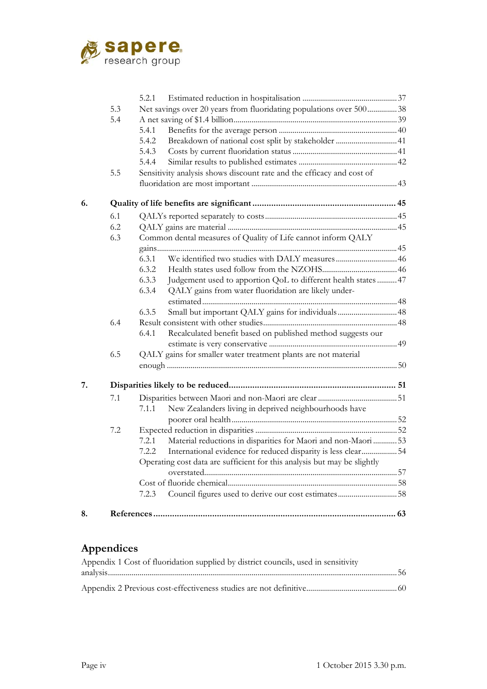

|    |     | 5.2.1                                                                    |  |
|----|-----|--------------------------------------------------------------------------|--|
|    | 5.3 | Net savings over 20 years from fluoridating populations over 50038       |  |
|    | 5.4 |                                                                          |  |
|    |     | 5.4.1                                                                    |  |
|    |     | 5.4.2<br>Breakdown of national cost split by stakeholder  41             |  |
|    |     | 5.4.3                                                                    |  |
|    |     | 5.4.4                                                                    |  |
|    | 5.5 | Sensitivity analysis shows discount rate and the efficacy and cost of    |  |
|    |     |                                                                          |  |
| 6. |     |                                                                          |  |
|    | 6.1 |                                                                          |  |
|    | 6.2 |                                                                          |  |
|    | 6.3 | Common dental measures of Quality of Life cannot inform QALY             |  |
|    |     |                                                                          |  |
|    |     | 6.3.1                                                                    |  |
|    |     | 6.3.2                                                                    |  |
|    |     | 6.3.3<br>Judgement used to apportion QoL to different health states  47  |  |
|    |     | QALY gains from water fluoridation are likely under-<br>6.3.4            |  |
|    |     |                                                                          |  |
|    |     | 6.3.5<br>Small but important QALY gains for individuals  48              |  |
|    | 6.4 |                                                                          |  |
|    |     | Recalculated benefit based on published method suggests our<br>6.4.1     |  |
|    |     |                                                                          |  |
|    | 6.5 | QALY gains for smaller water treatment plants are not material           |  |
|    |     |                                                                          |  |
| 7. |     |                                                                          |  |
|    | 7.1 |                                                                          |  |
|    |     | New Zealanders living in deprived neighbourhoods have<br>7.1.1           |  |
|    |     |                                                                          |  |
|    | 7.2 |                                                                          |  |
|    |     | Material reductions in disparities for Maori and non-Maori  53<br>7.2.1  |  |
|    |     | International evidence for reduced disparity is less clear54<br>7.2.2    |  |
|    |     | Operating cost data are sufficient for this analysis but may be slightly |  |
|    |     |                                                                          |  |
|    |     |                                                                          |  |
|    |     | 7.2.3                                                                    |  |
| 8. |     |                                                                          |  |

### **Appendices**

| Appendix 1 Cost of fluoridation supplied by district councils, used in sensitivity |  |
|------------------------------------------------------------------------------------|--|
|                                                                                    |  |
|                                                                                    |  |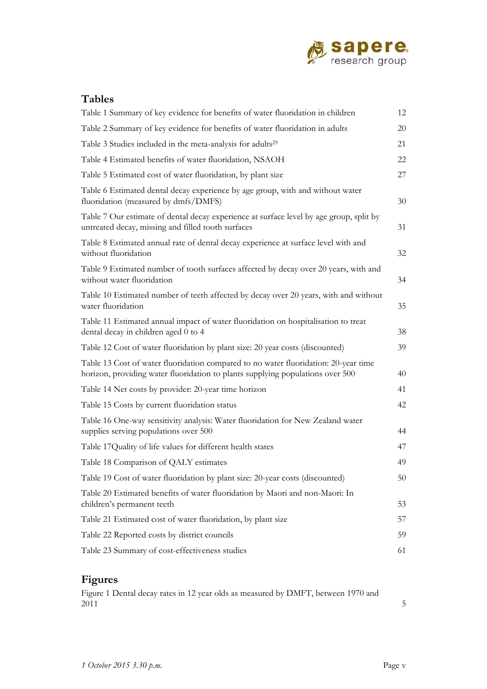

### **Tables**

| Table 1 Summary of key evidence for benefits of water fluoridation in children                                                                                        | 12 |
|-----------------------------------------------------------------------------------------------------------------------------------------------------------------------|----|
| Table 2 Summary of key evidence for benefits of water fluoridation in adults                                                                                          | 20 |
| Table 3 Studies included in the meta-analysis for adults <sup>29</sup>                                                                                                | 21 |
| Table 4 Estimated benefits of water fluoridation, NSAOH                                                                                                               | 22 |
| Table 5 Estimated cost of water fluoridation, by plant size                                                                                                           | 27 |
| Table 6 Estimated dental decay experience by age group, with and without water<br>fluoridation (measured by dmfs/DMFS)                                                | 30 |
| Table 7 Our estimate of dental decay experience at surface level by age group, split by<br>untreated decay, missing and filled tooth surfaces                         | 31 |
| Table 8 Estimated annual rate of dental decay experience at surface level with and<br>without fluoridation                                                            | 32 |
| Table 9 Estimated number of tooth surfaces affected by decay over 20 years, with and<br>without water fluoridation                                                    | 34 |
| Table 10 Estimated number of teeth affected by decay over 20 years, with and without<br>water fluoridation                                                            | 35 |
| Table 11 Estimated annual impact of water fluoridation on hospitalisation to treat<br>dental decay in children aged 0 to 4                                            | 38 |
| Table 12 Cost of water fluoridation by plant size: 20 year costs (discounted)                                                                                         | 39 |
| Table 13 Cost of water fluoridation compared to no water fluoridation: 20-year time<br>horizon, providing water fluoridation to plants supplying populations over 500 | 40 |
| Table 14 Net costs by provider: 20-year time horizon                                                                                                                  | 41 |
| Table 15 Costs by current fluoridation status                                                                                                                         | 42 |
| Table 16 One-way sensitivity analysis: Water fluoridation for New Zealand water<br>supplies serving populations over 500                                              | 44 |
| Table 17 Quality of life values for different health states                                                                                                           | 47 |
| Table 18 Comparison of QALY estimates                                                                                                                                 | 49 |
| Table 19 Cost of water fluoridation by plant size: 20-year costs (discounted)                                                                                         | 50 |
| Table 20 Estimated benefits of water fluoridation by Maori and non-Maori: In<br>children's permanent teeth                                                            | 53 |
| Table 21 Estimated cost of water fluoridation, by plant size                                                                                                          | 57 |
| Table 22 Reported costs by district councils                                                                                                                          | 59 |
| Table 23 Summary of cost-effectiveness studies                                                                                                                        | 61 |

### **Figures**

Figure 1 Dental decay rates in 12 year olds as measured by DMFT, between 1970 and  $2011$  5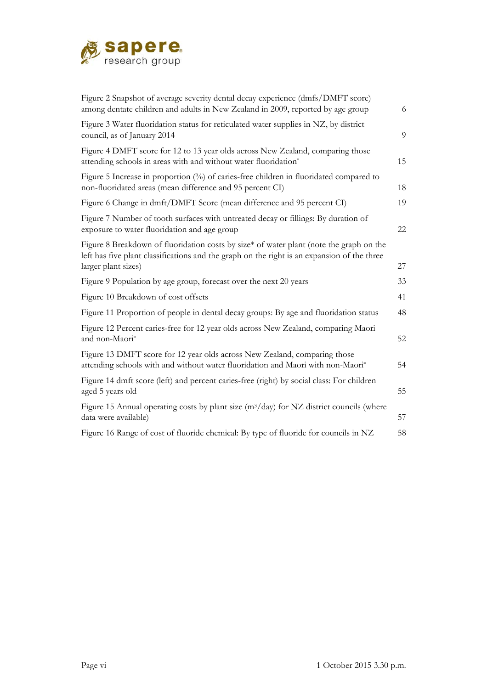

| Figure 2 Snapshot of average severity dental decay experience (dmfs/DMFT score)<br>among dentate children and adults in New Zealand in 2009, reported by age group                                            | 6  |
|---------------------------------------------------------------------------------------------------------------------------------------------------------------------------------------------------------------|----|
| Figure 3 Water fluoridation status for reticulated water supplies in NZ, by district<br>council, as of January 2014                                                                                           | 9  |
| Figure 4 DMFT score for 12 to 13 year olds across New Zealand, comparing those<br>attending schools in areas with and without water fluoridation*                                                             | 15 |
| Figure 5 Increase in proportion $(\%)$ of caries-free children in fluoridated compared to<br>non-fluoridated areas (mean difference and 95 percent CI)                                                        | 18 |
| Figure 6 Change in dmft/DMFT Score (mean difference and 95 percent CI)                                                                                                                                        | 19 |
| Figure 7 Number of tooth surfaces with untreated decay or fillings: By duration of<br>exposure to water fluoridation and age group                                                                            | 22 |
| Figure 8 Breakdown of fluoridation costs by size* of water plant (note the graph on the<br>left has five plant classifications and the graph on the right is an expansion of the three<br>larger plant sizes) | 27 |
| Figure 9 Population by age group, forecast over the next 20 years                                                                                                                                             | 33 |
| Figure 10 Breakdown of cost offsets                                                                                                                                                                           | 41 |
| Figure 11 Proportion of people in dental decay groups: By age and fluoridation status                                                                                                                         | 48 |
| Figure 12 Percent caries-free for 12 year olds across New Zealand, comparing Maori<br>and non-Maori*                                                                                                          | 52 |
| Figure 13 DMFT score for 12 year olds across New Zealand, comparing those<br>attending schools with and without water fluoridation and Maori with non-Maori*                                                  | 54 |
| Figure 14 dmft score (left) and percent caries-free (right) by social class: For children<br>aged 5 years old                                                                                                 | 55 |
| Figure 15 Annual operating costs by plant size ( $m3/day$ ) for NZ district councils (where<br>data were available)                                                                                           | 57 |
| Figure 16 Range of cost of fluoride chemical: By type of fluoride for councils in NZ                                                                                                                          | 58 |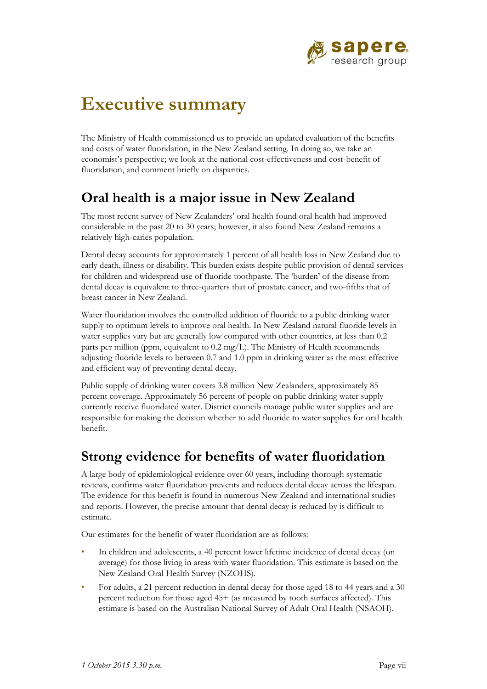

# **Executive summary**

The Ministry of Health commissioned us to provide an updated evaluation of the benefits and costs of water fluoridation, in the New Zealand setting. In doing so, we take an economist's perspective; we look at the national cost-effectiveness and cost-benefit of fluoridation, and comment briefly on disparities.

### **Oral health is a major issue in New Zealand**

The most recent survey of New Zealanders' oral health found oral health had improved considerable in the past 20 to 30 years; however, it also found New Zealand remains a relatively high-caries population.

Dental decay accounts for approximately 1 percent of all health loss in New Zealand due to early death, illness or disability. This burden exists despite public provision of dental services for children and widespread use of fluoride toothpaste. The 'burden' of the disease from dental decay is equivalent to three-quarters that of prostate cancer, and two-fifths that of breast cancer in New Zealand.

Water fluoridation involves the controlled addition of fluoride to a public drinking water supply to optimum levels to improve oral health. In New Zealand natural fluoride levels in water supplies vary but are generally low compared with other countries, at less than 0.2 parts per million (ppm, equivalent to 0.2 mg/L). The Ministry of Health recommends adjusting fluoride levels to between 0.7 and 1.0 ppm in drinking water as the most effective and efficient way of preventing dental decay.

Public supply of drinking water covers 3.8 million New Zealanders, approximately 85 percent coverage. Approximately 56 percent of people on public drinking water supply currently receive fluoridated water. District councils manage public water supplies and are responsible for making the decision whether to add fluoride to water supplies for oral health benefit.

### **Strong evidence for benefits of water fluoridation**

A large body of epidemiological evidence over 60 years, including thorough systematic reviews, confirms water fluoridation prevents and reduces dental decay across the lifespan. The evidence for this benefit is found in numerous New Zealand and international studies and reports. However, the precise amount that dental decay is reduced by is difficult to estimate.

Our estimates for the benefit of water fluoridation are as follows:

- In children and adolescents, a 40 percent lower lifetime incidence of dental decay (on average) for those living in areas with water fluoridation. This estimate is based on the New Zealand Oral Health Survey (NZOHS).
- For adults, a 21 percent reduction in dental decay for those aged 18 to 44 years and a 30 percent reduction for those aged 45+ (as measured by tooth surfaces affected). This estimate is based on the Australian National Survey of Adult Oral Health (NSAOH).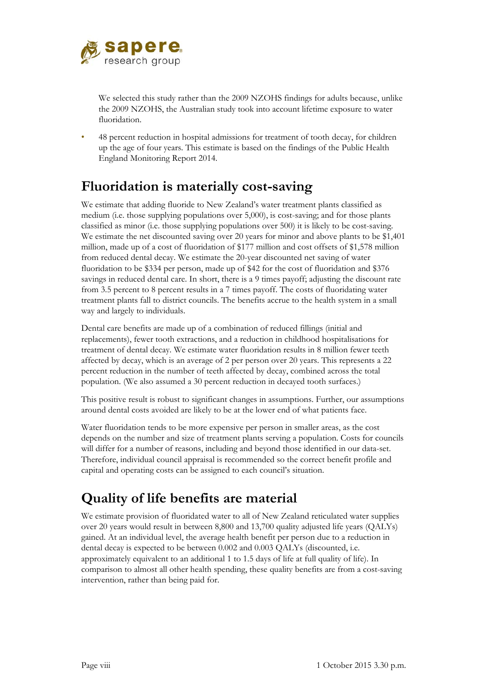

We selected this study rather than the 2009 NZOHS findings for adults because, unlike the 2009 NZOHS, the Australian study took into account lifetime exposure to water fluoridation.

• 48 percent reduction in hospital admissions for treatment of tooth decay, for children up the age of four years. This estimate is based on the findings of the Public Health England Monitoring Report 2014.

## **Fluoridation is materially cost-saving**

We estimate that adding fluoride to New Zealand's water treatment plants classified as medium (i.e. those supplying populations over 5,000), is cost-saving; and for those plants classified as minor (i.e. those supplying populations over 500) it is likely to be cost-saving. We estimate the net discounted saving over 20 years for minor and above plants to be \$1,401 million, made up of a cost of fluoridation of \$177 million and cost offsets of \$1,578 million from reduced dental decay. We estimate the 20-year discounted net saving of water fluoridation to be \$334 per person, made up of \$42 for the cost of fluoridation and \$376 savings in reduced dental care. In short, there is a 9 times payoff; adjusting the discount rate from 3.5 percent to 8 percent results in a 7 times payoff. The costs of fluoridating water treatment plants fall to district councils. The benefits accrue to the health system in a small way and largely to individuals.

Dental care benefits are made up of a combination of reduced fillings (initial and replacements), fewer tooth extractions, and a reduction in childhood hospitalisations for treatment of dental decay. We estimate water fluoridation results in 8 million fewer teeth affected by decay, which is an average of 2 per person over 20 years. This represents a 22 percent reduction in the number of teeth affected by decay, combined across the total population. (We also assumed a 30 percent reduction in decayed tooth surfaces.)

This positive result is robust to significant changes in assumptions. Further, our assumptions around dental costs avoided are likely to be at the lower end of what patients face.

Water fluoridation tends to be more expensive per person in smaller areas, as the cost depends on the number and size of treatment plants serving a population. Costs for councils will differ for a number of reasons, including and beyond those identified in our data-set. Therefore, individual council appraisal is recommended so the correct benefit profile and capital and operating costs can be assigned to each council's situation.

## **Quality of life benefits are material**

We estimate provision of fluoridated water to all of New Zealand reticulated water supplies over 20 years would result in between 8,800 and 13,700 quality adjusted life years (QALYs) gained. At an individual level, the average health benefit per person due to a reduction in dental decay is expected to be between 0.002 and 0.003 QALYs (discounted, i.e. approximately equivalent to an additional 1 to 1.5 days of life at full quality of life). In comparison to almost all other health spending, these quality benefits are from a cost-saving intervention, rather than being paid for.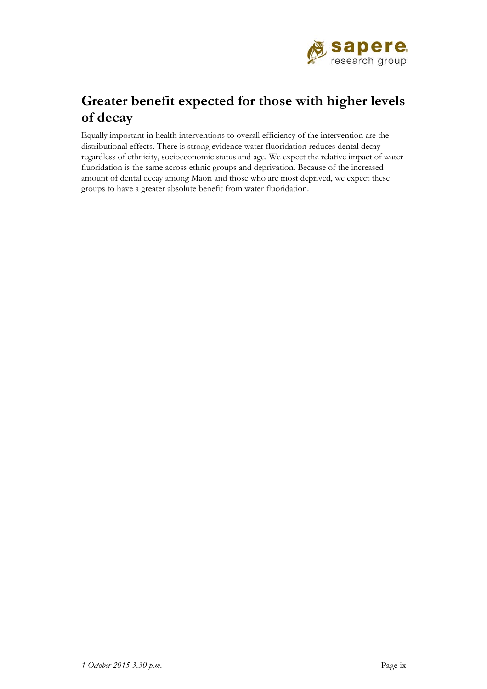

## **Greater benefit expected for those with higher levels of decay**

Equally important in health interventions to overall efficiency of the intervention are the distributional effects. There is strong evidence water fluoridation reduces dental decay regardless of ethnicity, socioeconomic status and age. We expect the relative impact of water fluoridation is the same across ethnic groups and deprivation. Because of the increased amount of dental decay among Maori and those who are most deprived, we expect these groups to have a greater absolute benefit from water fluoridation.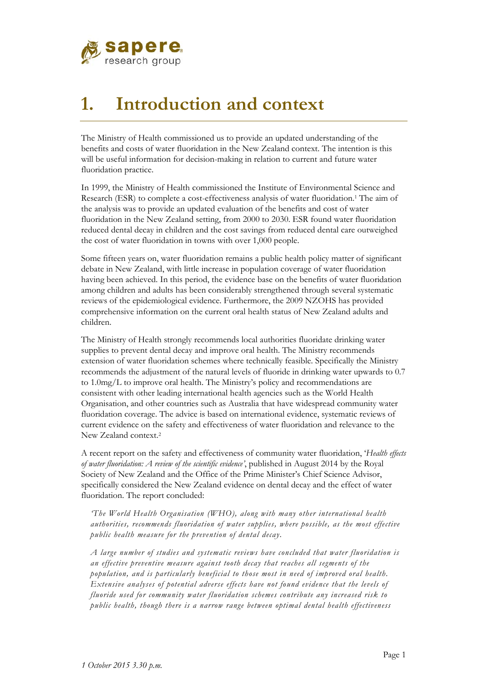

# **1. Introduction and context**

The Ministry of Health commissioned us to provide an updated understanding of the benefits and costs of water fluoridation in the New Zealand context. The intention is this will be useful information for decision-making in relation to current and future water fluoridation practice.

In 1999, the Ministry of Health commissioned the Institute of Environmental Science and Research (ESR) to complete a cost-effectiveness analysis of water fluoridation.1 The aim of the analysis was to provide an updated evaluation of the benefits and cost of water fluoridation in the New Zealand setting, from 2000 to 2030. ESR found water fluoridation reduced dental decay in children and the cost savings from reduced dental care outweighed the cost of water fluoridation in towns with over 1,000 people.

Some fifteen years on, water fluoridation remains a public health policy matter of significant debate in New Zealand, with little increase in population coverage of water fluoridation having been achieved. In this period, the evidence base on the benefits of water fluoridation among children and adults has been considerably strengthened through several systematic reviews of the epidemiological evidence. Furthermore, the 2009 NZOHS has provided comprehensive information on the current oral health status of New Zealand adults and children.

The Ministry of Health strongly recommends local authorities fluoridate drinking water supplies to prevent dental decay and improve oral health. The Ministry recommends extension of water fluoridation schemes where technically feasible. Specifically the Ministry recommends the adjustment of the natural levels of fluoride in drinking water upwards to 0.7 to 1.0mg/L to improve oral health. The Ministry's policy and recommendations are consistent with other leading international health agencies such as the World Health Organisation, and other countries such as Australia that have widespread community water fluoridation coverage. The advice is based on international evidence, systematic reviews of current evidence on the safety and effectiveness of water fluoridation and relevance to the New Zealand context.2

A recent report on the safety and effectiveness of community water fluoridation, '*Health effects of water fluoridation: A review of the scientific evidence'*, published in August 2014 by the Royal Society of New Zealand and the Office of the Prime Minister's Chief Science Advisor, specifically considered the New Zealand evidence on dental decay and the effect of water fluoridation. The report concluded:

*'The World Health Organisation (WHO), along with many other international health authorities, recommends fluoridation of water supplies, where possible, as the most effective public health measure for the prevention of dental decay.*

*A large number of studies and systematic reviews have concluded that water fluoridation is an effective preventive measure against tooth decay that reaches all segments of the population, and is particularly beneficial to those most in need of improved oral health. Extensive analyses of potential adverse effects have not found evidence that the levels of fluoride used for community water fluoridation schemes contribute any increased risk to public health, though there is a narrow range between optimal dental health effectiveness*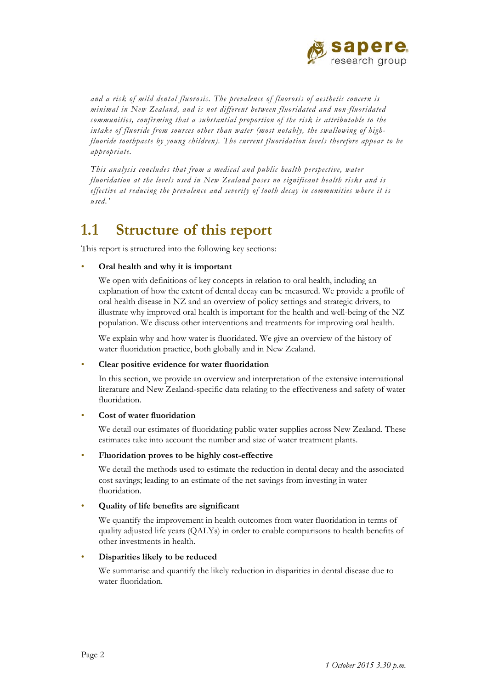

*and a risk of mild dental fluorosis. The prevalence of fluorosis of aesthetic concern is minimal in New Zealand, and is not different between fluoridated and non-fluoridated communities, confirming that a substantial proportion of the risk is attributable to the intake of fluoride from sources other than water (most notably, the swallowing of highfluoride toothpaste by young children). The current fluoridation levels therefore appear to be appropriate.*

*This analysis concludes that from a medical and public health perspective, water fluoridation at the levels used in New Zealand poses no significant health risks and is effective at reducing the prevalence and severity of tooth decay in communities where it is used.'*

## **1.1 Structure of this report**

This report is structured into the following key sections:

#### • **Oral health and why it is important**

We open with definitions of key concepts in relation to oral health, including an explanation of how the extent of dental decay can be measured. We provide a profile of oral health disease in NZ and an overview of policy settings and strategic drivers, to illustrate why improved oral health is important for the health and well-being of the NZ population. We discuss other interventions and treatments for improving oral health.

We explain why and how water is fluoridated. We give an overview of the history of water fluoridation practice, both globally and in New Zealand.

#### • **Clear positive evidence for water fluoridation**

In this section, we provide an overview and interpretation of the extensive international literature and New Zealand-specific data relating to the effectiveness and safety of water fluoridation.

#### • **Cost of water fluoridation**

We detail our estimates of fluoridating public water supplies across New Zealand. These estimates take into account the number and size of water treatment plants.

#### • **Fluoridation proves to be highly cost-effective**

We detail the methods used to estimate the reduction in dental decay and the associated cost savings; leading to an estimate of the net savings from investing in water fluoridation.

#### • **Quality of life benefits are significant**

We quantify the improvement in health outcomes from water fluoridation in terms of quality adjusted life years (QALYs) in order to enable comparisons to health benefits of other investments in health.

#### • **Disparities likely to be reduced**

We summarise and quantify the likely reduction in disparities in dental disease due to water fluoridation.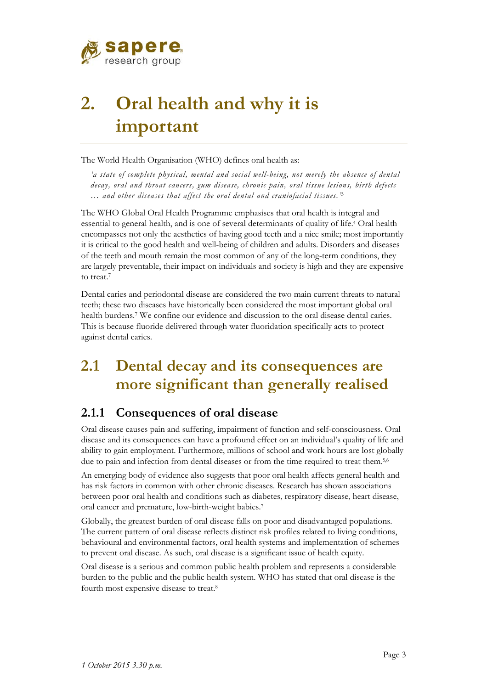

# **2. Oral health and why it is important**

The World Health Organisation (WHO) defines oral health as:

*'a state of complete physical, mental and social well-being, not merely the absence of dental decay, oral and throat cancers, gum disease, chronic pain, oral tissue lesions, birth defects … and other diseases that affect the oral dental and craniofacial tissues.'*<sup>3</sup>

The WHO Global Oral Health Programme emphasises that oral health is integral and essential to general health, and is one of several determinants of quality of life.4 Oral health encompasses not only the aesthetics of having good teeth and a nice smile; most importantly it is critical to the good health and well-being of children and adults. Disorders and diseases of the teeth and mouth remain the most common of any of the long-term conditions, they are largely preventable, their impact on individuals and society is high and they are expensive to treat.7

Dental caries and periodontal disease are considered the two main current threats to natural teeth; these two diseases have historically been considered the most important global oral health burdens.7 We confine our evidence and discussion to the oral disease dental caries. This is because fluoride delivered through water fluoridation specifically acts to protect against dental caries.

## **2.1 Dental decay and its consequences are more significant than generally realised**

### **2.1.1 Consequences of oral disease**

Oral disease causes pain and suffering, impairment of function and self-consciousness. Oral disease and its consequences can have a profound effect on an individual's quality of life and ability to gain employment. Furthermore, millions of school and work hours are lost globally due to pain and infection from dental diseases or from the time required to treat them.5,6

An emerging body of evidence also suggests that poor oral health affects general health and has risk factors in common with other chronic diseases. Research has shown associations between poor oral health and conditions such as diabetes, respiratory disease, heart disease, oral cancer and premature, low-birth-weight babies.7

Globally, the greatest burden of oral disease falls on poor and disadvantaged populations. The current pattern of oral disease reflects distinct risk profiles related to living conditions, behavioural and environmental factors, oral health systems and implementation of schemes to prevent oral disease. As such, oral disease is a significant issue of health equity.

Oral disease is a serious and common public health problem and represents a considerable burden to the public and the public health system. WHO has stated that oral disease is the fourth most expensive disease to treat.8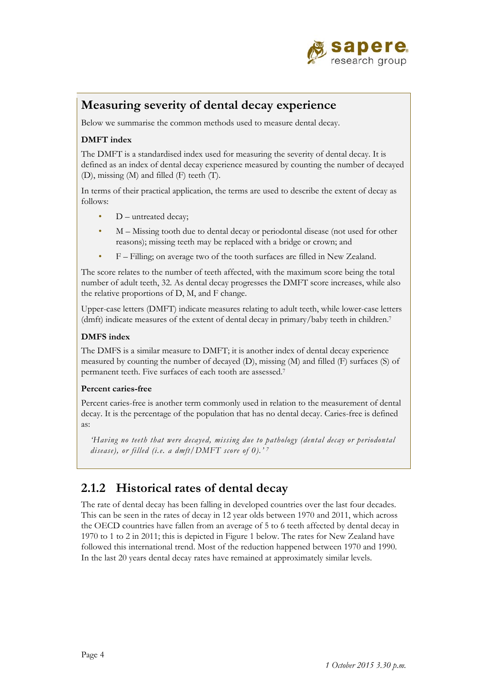

### **Measuring severity of dental decay experience**

Below we summarise the common methods used to measure dental decay.

#### **DMFT index**

The DMFT is a standardised index used for measuring the severity of dental decay. It is defined as an index of dental decay experience measured by counting the number of decayed (D), missing (M) and filled (F) teeth (T).

In terms of their practical application, the terms are used to describe the extent of decay as follows:

- D untreated decay;
- M Missing tooth due to dental decay or periodontal disease (not used for other reasons); missing teeth may be replaced with a bridge or crown; and
- F Filling; on average two of the tooth surfaces are filled in New Zealand.

The score relates to the number of teeth affected, with the maximum score being the total number of adult teeth, 32. As dental decay progresses the DMFT score increases, while also the relative proportions of D, M, and F change.

Upper-case letters (DMFT) indicate measures relating to adult teeth, while lower-case letters (dmft) indicate measures of the extent of dental decay in primary/baby teeth in children.7

#### **DMFS index**

The DMFS is a similar measure to DMFT; it is another index of dental decay experience measured by counting the number of decayed (D), missing (M) and filled (F) surfaces (S) of permanent teeth. Five surfaces of each tooth are assessed.7

#### **Percent caries-free**

Percent caries-free is another term commonly used in relation to the measurement of dental decay. It is the percentage of the population that has no dental decay. Caries-free is defined as:

*'Having no teeth that were decayed, missing due to pathology (dental decay or periodontal disease), or filled (i.e. a dmft/DMFT score of 0).' 7*

### **2.1.2 Historical rates of dental decay**

The rate of dental decay has been falling in developed countries over the last four decades. This can be seen in the rates of decay in 12 year olds between 1970 and 2011, which across the OECD countries have fallen from an average of 5 to 6 teeth affected by dental decay in 1970 to 1 to 2 in 2011; this is depicted in Figure 1 below. The rates for New Zealand have followed this international trend. Most of the reduction happened between 1970 and 1990. In the last 20 years dental decay rates have remained at approximately similar levels.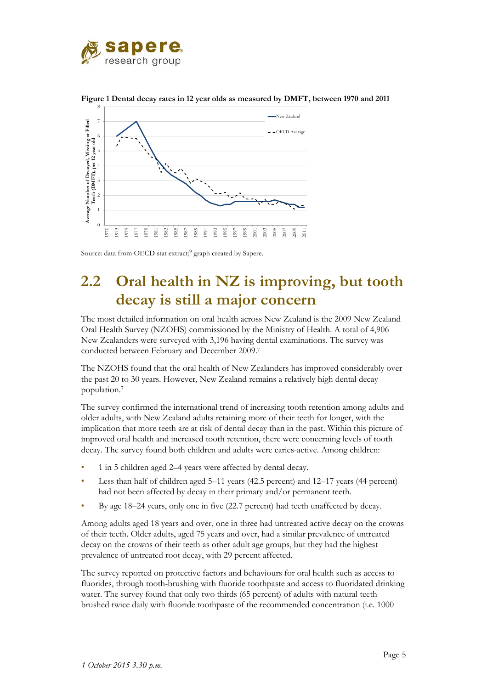



**Figure 1 Dental decay rates in 12 year olds as measured by DMFT, between 1970 and 2011** 

Source: data from OECD stat extract;<sup>9</sup> graph created by Sapere.

## **2.2 Oral health in NZ is improving, but tooth decay is still a major concern**

The most detailed information on oral health across New Zealand is the 2009 New Zealand Oral Health Survey (NZOHS) commissioned by the Ministry of Health. A total of 4,906 New Zealanders were surveyed with 3,196 having dental examinations. The survey was conducted between February and December 2009.7

The NZOHS found that the oral health of New Zealanders has improved considerably over the past 20 to 30 years. However, New Zealand remains a relatively high dental decay population.7

The survey confirmed the international trend of increasing tooth retention among adults and older adults, with New Zealand adults retaining more of their teeth for longer, with the implication that more teeth are at risk of dental decay than in the past. Within this picture of improved oral health and increased tooth retention, there were concerning levels of tooth decay. The survey found both children and adults were caries-active. Among children:

- 1 in 5 children aged 2–4 years were affected by dental decay.
- Less than half of children aged 5–11 years (42.5 percent) and 12–17 years (44 percent) had not been affected by decay in their primary and/or permanent teeth.
- By age 18–24 years, only one in five (22.7 percent) had teeth unaffected by decay.

Among adults aged 18 years and over, one in three had untreated active decay on the crowns of their teeth. Older adults, aged 75 years and over, had a similar prevalence of untreated decay on the crowns of their teeth as other adult age groups, but they had the highest prevalence of untreated root decay, with 29 percent affected.

The survey reported on protective factors and behaviours for oral health such as access to fluorides, through tooth-brushing with fluoride toothpaste and access to fluoridated drinking water. The survey found that only two thirds (65 percent) of adults with natural teeth brushed twice daily with fluoride toothpaste of the recommended concentration (i.e. 1000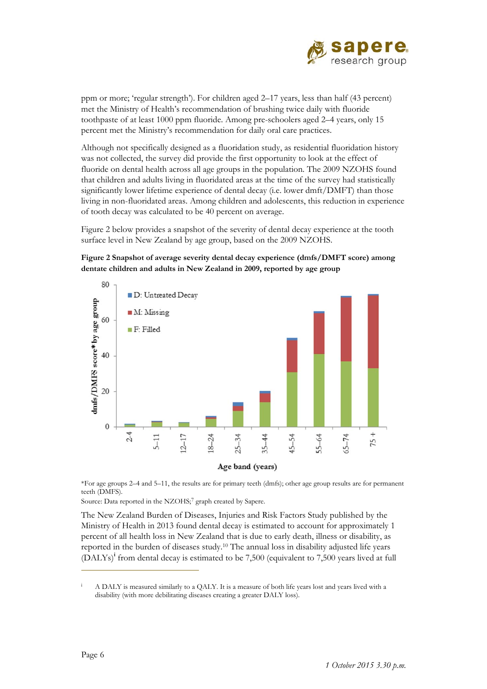

ppm or more; 'regular strength'). For children aged 2–17 years, less than half (43 percent) met the Ministry of Health's recommendation of brushing twice daily with fluoride toothpaste of at least 1000 ppm fluoride. Among pre-schoolers aged 2–4 years, only 15 percent met the Ministry's recommendation for daily oral care practices.

Although not specifically designed as a fluoridation study, as residential fluoridation history was not collected, the survey did provide the first opportunity to look at the effect of fluoride on dental health across all age groups in the population. The 2009 NZOHS found that children and adults living in fluoridated areas at the time of the survey had statistically significantly lower lifetime experience of dental decay (i.e. lower dmft/DMFT) than those living in non-fluoridated areas. Among children and adolescents, this reduction in experience of tooth decay was calculated to be 40 percent on average.

Figure 2 below provides a snapshot of the severity of dental decay experience at the tooth surface level in New Zealand by age group, based on the 2009 NZOHS.

**Figure 2 Snapshot of average severity dental decay experience (dmfs/DMFT score) among dentate children and adults in New Zealand in 2009, reported by age group** 



\*For age groups 2–4 and 5–11, the results are for primary teeth (dmfs); other age group results are for permanent teeth (DMFS).

Source: Data reported in the NZOHS;<sup>7</sup> graph created by Sapere.

The New Zealand Burden of Diseases, Injuries and Risk Factors Study published by the Ministry of Health in 2013 found dental decay is estimated to account for approximately 1 percent of all health loss in New Zealand that is due to early death, illness or disability, as reported in the burden of diseases study.10 The annual loss in disability adjusted life years (DALYs)**<sup>i</sup>** from dental decay is estimated to be 7,500 (equivalent to 7,500 years lived at full

 $\overline{a}$ 

i A DALY is measured similarly to a QALY. It is a measure of both life years lost and years lived with a disability (with more debilitating diseases creating a greater DALY loss).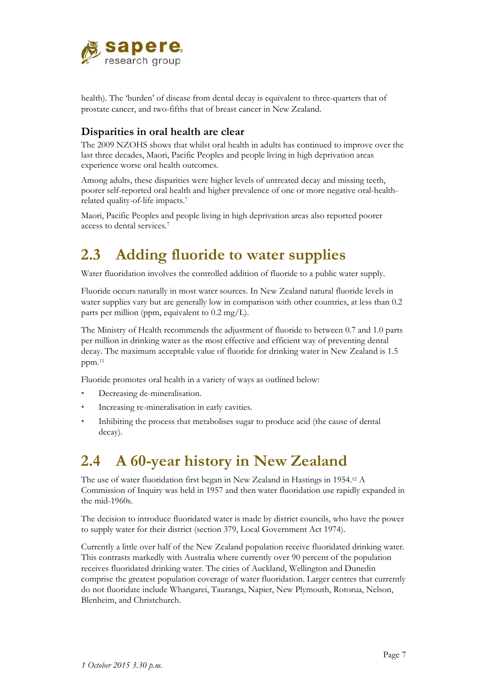

health). The 'burden' of disease from dental decay is equivalent to three-quarters that of prostate cancer, and two-fifths that of breast cancer in New Zealand.

### **Disparities in oral health are clear**

The 2009 NZOHS shows that whilst oral health in adults has continued to improve over the last three decades, Maori, Pacific Peoples and people living in high deprivation areas experience worse oral health outcomes.

Among adults, these disparities were higher levels of untreated decay and missing teeth, poorer self-reported oral health and higher prevalence of one or more negative oral-healthrelated quality-of-life impacts.7

Maori, Pacific Peoples and people living in high deprivation areas also reported poorer access to dental services.7

## **2.3 Adding fluoride to water supplies**

Water fluoridation involves the controlled addition of fluoride to a public water supply.

Fluoride occurs naturally in most water sources. In New Zealand natural fluoride levels in water supplies vary but are generally low in comparison with other countries, at less than 0.2 parts per million (ppm, equivalent to 0.2 mg/L).

The Ministry of Health recommends the adjustment of fluoride to between 0.7 and 1.0 parts per million in drinking water as the most effective and efficient way of preventing dental decay. The maximum acceptable value of fluoride for drinking water in New Zealand is 1.5 ppm.11

Fluoride promotes oral health in a variety of ways as outlined below:

- Decreasing de-mineralisation.
- Increasing re-mineralisation in early cavities.
- Inhibiting the process that metabolises sugar to produce acid (the cause of dental decay).

## **2.4 A 60-year history in New Zealand**

The use of water fluoridation first began in New Zealand in Hastings in 1954.12 A Commission of Inquiry was held in 1957 and then water fluoridation use rapidly expanded in the mid-1960s.

The decision to introduce fluoridated water is made by district councils, who have the power to supply water for their district (section 379, Local Government Act 1974).

Currently a little over half of the New Zealand population receive fluoridated drinking water. This contrasts markedly with Australia where currently over 90 percent of the population receives fluoridated drinking water. The cities of Auckland, Wellington and Dunedin comprise the greatest population coverage of water fluoridation. Larger centres that currently do not fluoridate include Whangarei, Tauranga, Napier, New Plymouth, Rotorua, Nelson, Blenheim, and Christchurch.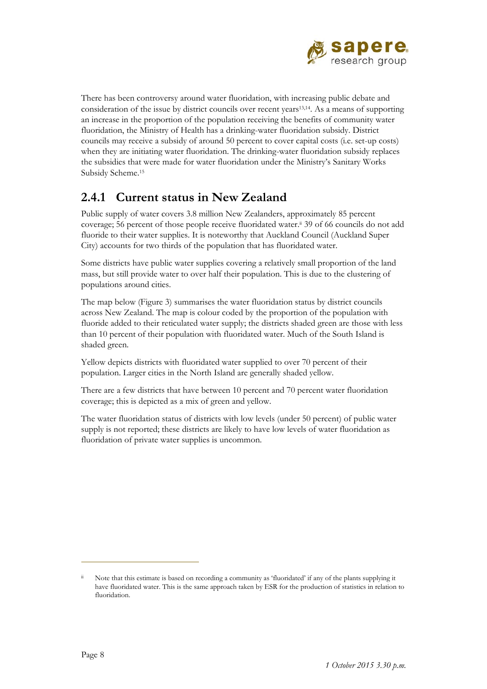

There has been controversy around water fluoridation, with increasing public debate and consideration of the issue by district councils over recent years13,14. As a means of supporting an increase in the proportion of the population receiving the benefits of community water fluoridation, the Ministry of Health has a drinking-water fluoridation subsidy. District councils may receive a subsidy of around 50 percent to cover capital costs (i.e. set-up costs) when they are initiating water fluoridation. The drinking-water fluoridation subsidy replaces the subsidies that were made for water fluoridation under the Ministry's Sanitary Works Subsidy Scheme.15

### **2.4.1 Current status in New Zealand**

Public supply of water covers 3.8 million New Zealanders, approximately 85 percent coverage; 56 percent of those people receive fluoridated water.ii 39 of 66 councils do not add fluoride to their water supplies. It is noteworthy that Auckland Council (Auckland Super City) accounts for two thirds of the population that has fluoridated water.

Some districts have public water supplies covering a relatively small proportion of the land mass, but still provide water to over half their population. This is due to the clustering of populations around cities.

The map below (Figure 3) summarises the water fluoridation status by district councils across New Zealand. The map is colour coded by the proportion of the population with fluoride added to their reticulated water supply; the districts shaded green are those with less than 10 percent of their population with fluoridated water. Much of the South Island is shaded green.

Yellow depicts districts with fluoridated water supplied to over 70 percent of their population. Larger cities in the North Island are generally shaded yellow.

There are a few districts that have between 10 percent and 70 percent water fluoridation coverage; this is depicted as a mix of green and yellow.

The water fluoridation status of districts with low levels (under 50 percent) of public water supply is not reported; these districts are likely to have low levels of water fluoridation as fluoridation of private water supplies is uncommon.

 $\overline{a}$ 

Note that this estimate is based on recording a community as 'fluoridated' if any of the plants supplying it have fluoridated water. This is the same approach taken by ESR for the production of statistics in relation to fluoridation.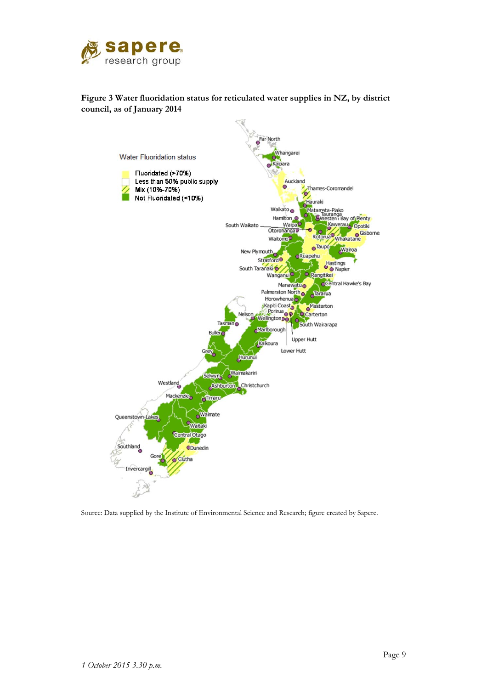

#### **Figure 3 Water fluoridation status for reticulated water supplies in NZ, by district council, as of January 2014**



Source: Data supplied by the Institute of Environmental Science and Research; figure created by Sapere.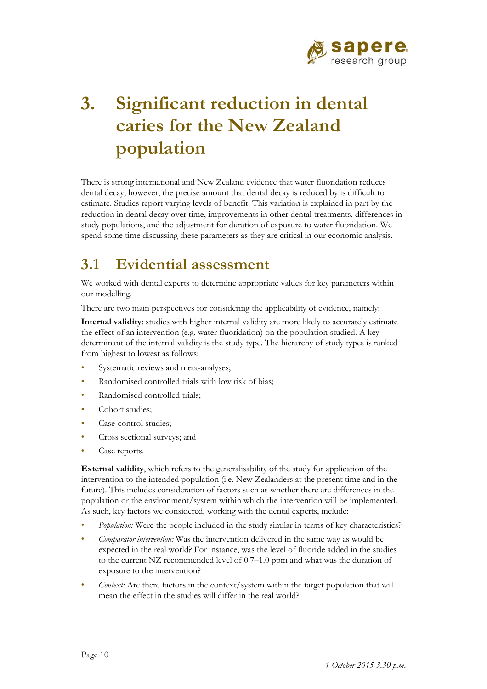

# **3. Significant reduction in dental caries for the New Zealand population**

There is strong international and New Zealand evidence that water fluoridation reduces dental decay; however, the precise amount that dental decay is reduced by is difficult to estimate. Studies report varying levels of benefit. This variation is explained in part by the reduction in dental decay over time, improvements in other dental treatments, differences in study populations, and the adjustment for duration of exposure to water fluoridation. We spend some time discussing these parameters as they are critical in our economic analysis.

## **3.1 Evidential assessment**

We worked with dental experts to determine appropriate values for key parameters within our modelling.

There are two main perspectives for considering the applicability of evidence, namely:

**Internal validity**: studies with higher internal validity are more likely to accurately estimate the effect of an intervention (e.g. water fluoridation) on the population studied. A key determinant of the internal validity is the study type. The hierarchy of study types is ranked from highest to lowest as follows:

- Systematic reviews and meta-analyses;
- Randomised controlled trials with low risk of bias;
- Randomised controlled trials:
- Cohort studies;
- Case-control studies;
- Cross sectional surveys; and
- Case reports.

**External validity**, which refers to the generalisability of the study for application of the intervention to the intended population (i.e. New Zealanders at the present time and in the future). This includes consideration of factors such as whether there are differences in the population or the environment/system within which the intervention will be implemented. As such, key factors we considered, working with the dental experts, include:

- *Population:* Were the people included in the study similar in terms of key characteristics?
- *Comparator intervention:* Was the intervention delivered in the same way as would be expected in the real world? For instance, was the level of fluoride added in the studies to the current NZ recommended level of 0.7–1.0 ppm and what was the duration of exposure to the intervention?
- *Context:* Are there factors in the context/system within the target population that will mean the effect in the studies will differ in the real world?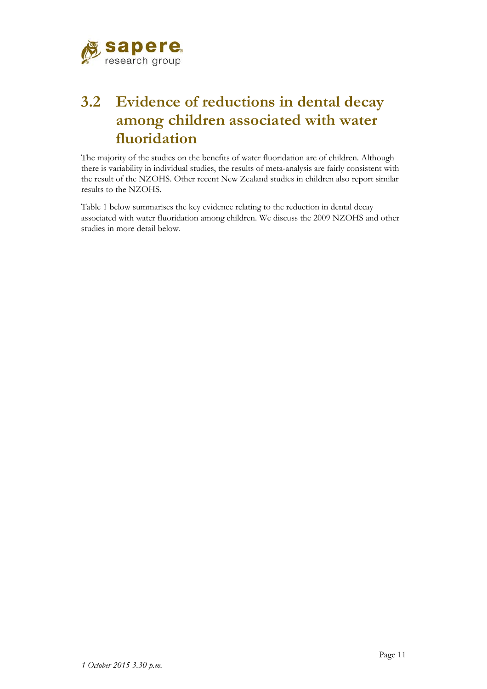

## **3.2 Evidence of reductions in dental decay among children associated with water fluoridation**

The majority of the studies on the benefits of water fluoridation are of children. Although there is variability in individual studies, the results of meta-analysis are fairly consistent with the result of the NZOHS. Other recent New Zealand studies in children also report similar results to the NZOHS.

Table 1 below summarises the key evidence relating to the reduction in dental decay associated with water fluoridation among children. We discuss the 2009 NZOHS and other studies in more detail below.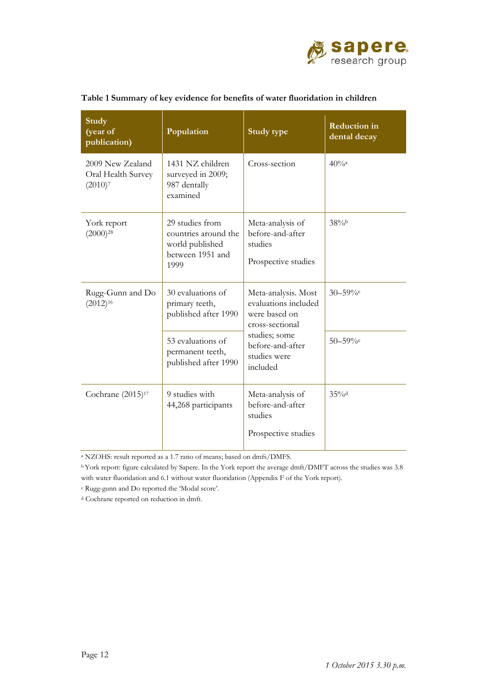

| <b>Study</b><br>(year of<br>publication)             | Population                                                                                                                                     | <b>Reduction</b> in<br>Study type<br>dental decay                      |                    |
|------------------------------------------------------|------------------------------------------------------------------------------------------------------------------------------------------------|------------------------------------------------------------------------|--------------------|
| 2009 New Zealand<br>Oral Health Survey<br>$(2010)^7$ | 1431 NZ children<br>surveyed in 2009;<br>987 dentally<br>examined                                                                              | Cross-section                                                          | $40%$ <sup>a</sup> |
| York report<br>$(2000)^{28}$                         | 29 studies from<br>countries around the<br>world published<br>between 1951 and<br>1999                                                         | Meta-analysis of<br>before-and-after<br>studies<br>Prospective studies | 38%                |
| Rugg-Gunn and Do<br>$(2012)^{16}$                    | 30 evaluations of<br>Meta-analysis. Most<br>evaluations included<br>primary teeth,<br>published after 1990<br>were based on<br>cross-sectional |                                                                        | $30 - 59%c$        |
|                                                      | 53 evaluations of<br>permanent teeth,<br>published after 1990                                                                                  | studies; some<br>before-and-after<br>studies were<br>included          | $50 - 59\%$ c      |
| Cochrane (2015) <sup>17</sup>                        | 9 studies with<br>44,268 participants                                                                                                          | Meta-analysis of<br>before-and-after<br>studies<br>Prospective studies | 35%                |

#### **Table 1 Summary of key evidence for benefits of water fluoridation in children**

a NZOHS: result reported as a 1.7 ratio of means; based on dmfs/DMFS.

b York report: figure calculated by Sapere. In the York report the average dmft/DMFT across the studies was 3.8 with water fluoridation and 6.1 without water fluoridation (Appendix F of the York report).

c Rugg-gunn and Do reported the 'Modal score'.

d Cochrane reported on reduction in dmft.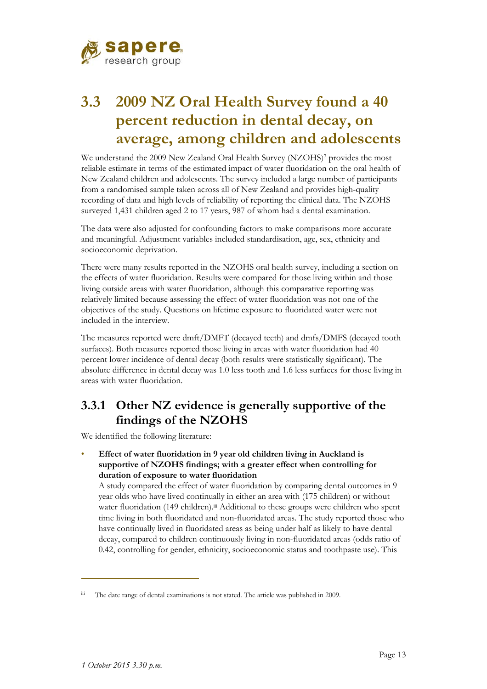

## **3.3 2009 NZ Oral Health Survey found a 40 percent reduction in dental decay, on average, among children and adolescents**

We understand the 2009 New Zealand Oral Health Survey (NZOHS)7 provides the most reliable estimate in terms of the estimated impact of water fluoridation on the oral health of New Zealand children and adolescents. The survey included a large number of participants from a randomised sample taken across all of New Zealand and provides high-quality recording of data and high levels of reliability of reporting the clinical data. The NZOHS surveyed 1,431 children aged 2 to 17 years, 987 of whom had a dental examination.

The data were also adjusted for confounding factors to make comparisons more accurate and meaningful. Adjustment variables included standardisation, age, sex, ethnicity and socioeconomic deprivation.

There were many results reported in the NZOHS oral health survey, including a section on the effects of water fluoridation. Results were compared for those living within and those living outside areas with water fluoridation, although this comparative reporting was relatively limited because assessing the effect of water fluoridation was not one of the objectives of the study. Questions on lifetime exposure to fluoridated water were not included in the interview.

The measures reported were dmft/DMFT (decayed teeth) and dmfs/DMFS (decayed tooth surfaces). Both measures reported those living in areas with water fluoridation had 40 percent lower incidence of dental decay (both results were statistically significant). The absolute difference in dental decay was 1.0 less tooth and 1.6 less surfaces for those living in areas with water fluoridation.

### **3.3.1 Other NZ evidence is generally supportive of the findings of the NZOHS**

We identified the following literature:

• **Effect of water fluoridation in 9 year old children living in Auckland is supportive of NZOHS findings; with a greater effect when controlling for duration of exposure to water fluoridation** 

A study compared the effect of water fluoridation by comparing dental outcomes in 9 year olds who have lived continually in either an area with (175 children) or without water fluoridation (149 children).<sup>iii</sup> Additional to these groups were children who spent time living in both fluoridated and non-fluoridated areas. The study reported those who have continually lived in fluoridated areas as being under half as likely to have dental decay, compared to children continuously living in non-fluoridated areas (odds ratio of 0.42, controlling for gender, ethnicity, socioeconomic status and toothpaste use). This

 $\overline{a}$ 

iii The date range of dental examinations is not stated. The article was published in 2009.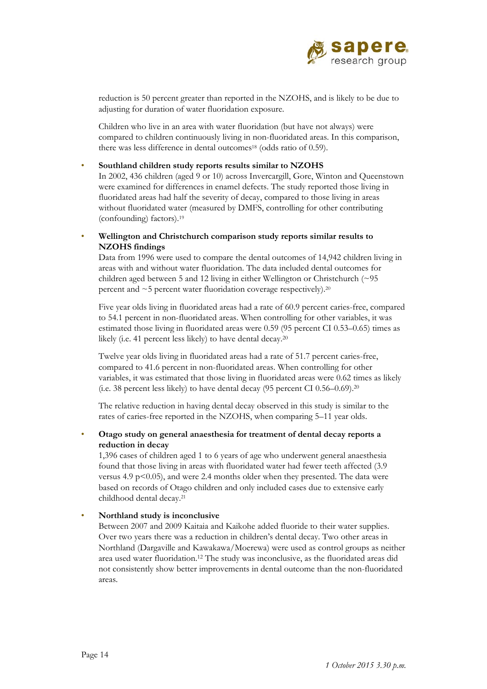

reduction is 50 percent greater than reported in the NZOHS, and is likely to be due to adjusting for duration of water fluoridation exposure.

Children who live in an area with water fluoridation (but have not always) were compared to children continuously living in non-fluoridated areas. In this comparison, there was less difference in dental outcomes<sup>18</sup> (odds ratio of 0.59).

• **Southland children study reports results similar to NZOHS** 

In 2002, 436 children (aged 9 or 10) across Invercargill, Gore, Winton and Queenstown were examined for differences in enamel defects. The study reported those living in fluoridated areas had half the severity of decay, compared to those living in areas without fluoridated water (measured by DMFS, controlling for other contributing (confounding) factors).19

• **Wellington and Christchurch comparison study reports similar results to NZOHS findings** 

Data from 1996 were used to compare the dental outcomes of 14,942 children living in areas with and without water fluoridation. The data included dental outcomes for children aged between 5 and 12 living in either Wellington or Christchurch (~95 percent and  $\sim$  5 percent water fluoridation coverage respectively).<sup>20</sup>

Five year olds living in fluoridated areas had a rate of 60.9 percent caries-free, compared to 54.1 percent in non-fluoridated areas. When controlling for other variables, it was estimated those living in fluoridated areas were 0.59 (95 percent CI 0.53–0.65) times as likely (i.e. 41 percent less likely) to have dental decay.<sup>20</sup>

Twelve year olds living in fluoridated areas had a rate of 51.7 percent caries-free, compared to 41.6 percent in non-fluoridated areas. When controlling for other variables, it was estimated that those living in fluoridated areas were 0.62 times as likely (i.e. 38 percent less likely) to have dental decay (95 percent CI 0.56–0.69).20

The relative reduction in having dental decay observed in this study is similar to the rates of caries-free reported in the NZOHS, when comparing 5–11 year olds.

• **Otago study on general anaesthesia for treatment of dental decay reports a reduction in decay** 

1,396 cases of children aged 1 to 6 years of age who underwent general anaesthesia found that those living in areas with fluoridated water had fewer teeth affected (3.9 versus 4.9 p $\leq$ 0.05), and were 2.4 months older when they presented. The data were based on records of Otago children and only included cases due to extensive early childhood dental decay.21

#### • **Northland study is inconclusive**

Between 2007 and 2009 Kaitaia and Kaikohe added fluoride to their water supplies. Over two years there was a reduction in children's dental decay. Two other areas in Northland (Dargaville and Kawakawa/Moerewa) were used as control groups as neither area used water fluoridation.12 The study was inconclusive, as the fluoridated areas did not consistently show better improvements in dental outcome than the non-fluoridated areas.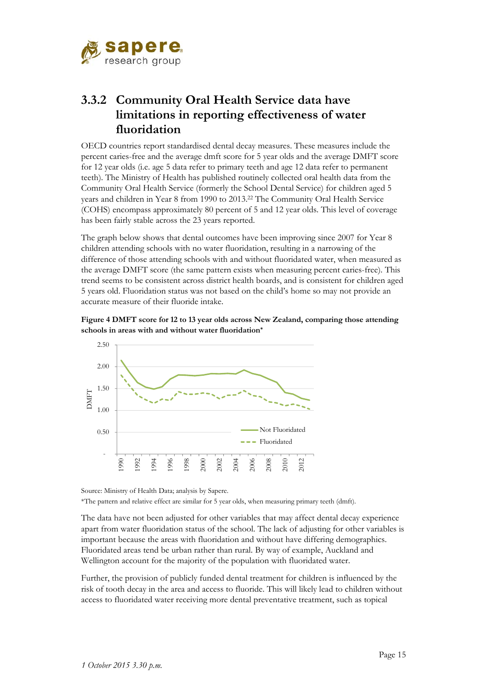

### **3.3.2 Community Oral Health Service data have limitations in reporting effectiveness of water fluoridation**

OECD countries report standardised dental decay measures. These measures include the percent caries-free and the average dmft score for 5 year olds and the average DMFT score for 12 year olds (i.e. age 5 data refer to primary teeth and age 12 data refer to permanent teeth). The Ministry of Health has published routinely collected oral health data from the Community Oral Health Service (formerly the School Dental Service) for children aged 5 years and children in Year 8 from 1990 to 2013.22 The Community Oral Health Service (COHS) encompass approximately 80 percent of 5 and 12 year olds. This level of coverage has been fairly stable across the 23 years reported.

The graph below shows that dental outcomes have been improving since 2007 for Year 8 children attending schools with no water fluoridation, resulting in a narrowing of the difference of those attending schools with and without fluoridated water, when measured as the average DMFT score (the same pattern exists when measuring percent caries-free). This trend seems to be consistent across district health boards, and is consistent for children aged 5 years old. Fluoridation status was not based on the child's home so may not provide an accurate measure of their fluoride intake.





Source: Ministry of Health Data; analysis by Sapere. \*The pattern and relative effect are similar for 5 year olds, when measuring primary teeth (dmft).

The data have not been adjusted for other variables that may affect dental decay experience apart from water fluoridation status of the school. The lack of adjusting for other variables is important because the areas with fluoridation and without have differing demographics. Fluoridated areas tend be urban rather than rural. By way of example, Auckland and Wellington account for the majority of the population with fluoridated water.

Further, the provision of publicly funded dental treatment for children is influenced by the risk of tooth decay in the area and access to fluoride. This will likely lead to children without access to fluoridated water receiving more dental preventative treatment, such as topical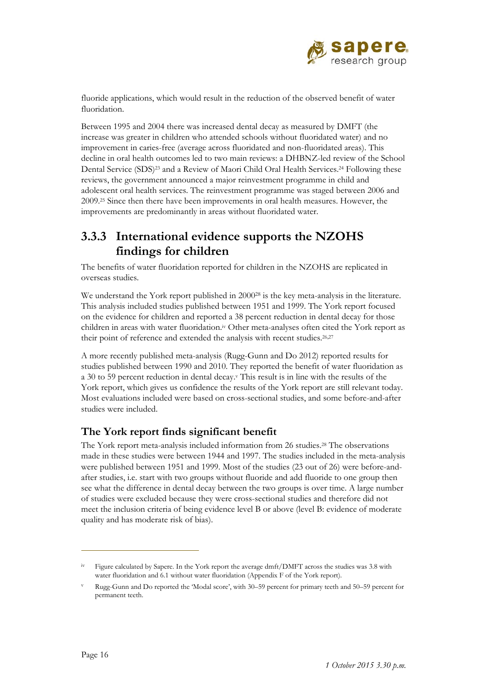

fluoride applications, which would result in the reduction of the observed benefit of water fluoridation.

Between 1995 and 2004 there was increased dental decay as measured by DMFT (the increase was greater in children who attended schools without fluoridated water) and no improvement in caries-free (average across fluoridated and non-fluoridated areas). This decline in oral health outcomes led to two main reviews: a DHBNZ-led review of the School Dental Service (SDS)<sup>23</sup> and a Review of Maori Child Oral Health Services.<sup>24</sup> Following these reviews, the government announced a major reinvestment programme in child and adolescent oral health services. The reinvestment programme was staged between 2006 and 2009.25 Since then there have been improvements in oral health measures. However, the improvements are predominantly in areas without fluoridated water.

### **3.3.3 International evidence supports the NZOHS findings for children**

The benefits of water fluoridation reported for children in the NZOHS are replicated in overseas studies.

We understand the York report published in 2000<sup>28</sup> is the key meta-analysis in the literature. This analysis included studies published between 1951 and 1999. The York report focused on the evidence for children and reported a 38 percent reduction in dental decay for those children in areas with water fluoridation.<sup>iv</sup> Other meta-analyses often cited the York report as their point of reference and extended the analysis with recent studies.<sup>26,27</sup>

A more recently published meta-analysis (Rugg-Gunn and Do 2012) reported results for studies published between 1990 and 2010. They reported the benefit of water fluoridation as a 30 to 59 percent reduction in dental decay.<sup>v</sup> This result is in line with the results of the York report, which gives us confidence the results of the York report are still relevant today. Most evaluations included were based on cross-sectional studies, and some before-and-after studies were included.

### **The York report finds significant benefit**

The York report meta-analysis included information from 26 studies.28 The observations made in these studies were between 1944 and 1997. The studies included in the meta-analysis were published between 1951 and 1999. Most of the studies (23 out of 26) were before-andafter studies, i.e. start with two groups without fluoride and add fluoride to one group then see what the difference in dental decay between the two groups is over time. A large number of studies were excluded because they were cross-sectional studies and therefore did not meet the inclusion criteria of being evidence level B or above (level B: evidence of moderate quality and has moderate risk of bias).

 $\overline{a}$ 

iv Figure calculated by Sapere. In the York report the average dmft/DMFT across the studies was 3.8 with water fluoridation and 6.1 without water fluoridation (Appendix F of the York report).

v Rugg-Gunn and Do reported the 'Modal score', with 30–59 percent for primary teeth and 50–59 percent for permanent teeth.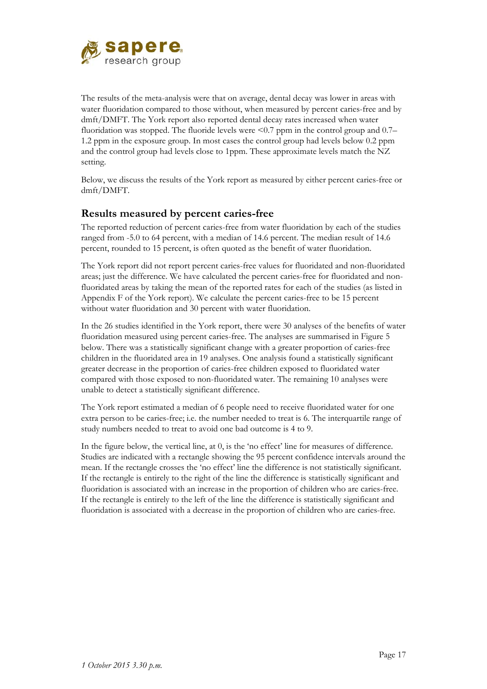

The results of the meta-analysis were that on average, dental decay was lower in areas with water fluoridation compared to those without, when measured by percent caries-free and by dmft/DMFT. The York report also reported dental decay rates increased when water fluoridation was stopped. The fluoride levels were  $\leq 0.7$  ppm in the control group and 0.7– 1.2 ppm in the exposure group. In most cases the control group had levels below 0.2 ppm and the control group had levels close to 1ppm. These approximate levels match the NZ setting.

Below, we discuss the results of the York report as measured by either percent caries-free or dmft/DMFT.

### **Results measured by percent caries-free**

The reported reduction of percent caries-free from water fluoridation by each of the studies ranged from -5.0 to 64 percent, with a median of 14.6 percent. The median result of 14.6 percent, rounded to 15 percent, is often quoted as the benefit of water fluoridation.

The York report did not report percent caries-free values for fluoridated and non-fluoridated areas; just the difference. We have calculated the percent caries-free for fluoridated and nonfluoridated areas by taking the mean of the reported rates for each of the studies (as listed in Appendix F of the York report). We calculate the percent caries-free to be 15 percent without water fluoridation and 30 percent with water fluoridation.

In the 26 studies identified in the York report, there were 30 analyses of the benefits of water fluoridation measured using percent caries-free. The analyses are summarised in Figure 5 below. There was a statistically significant change with a greater proportion of caries-free children in the fluoridated area in 19 analyses. One analysis found a statistically significant greater decrease in the proportion of caries-free children exposed to fluoridated water compared with those exposed to non-fluoridated water. The remaining 10 analyses were unable to detect a statistically significant difference.

The York report estimated a median of 6 people need to receive fluoridated water for one extra person to be caries-free; i.e. the number needed to treat is 6. The interquartile range of study numbers needed to treat to avoid one bad outcome is 4 to 9.

In the figure below, the vertical line, at 0, is the 'no effect' line for measures of difference. Studies are indicated with a rectangle showing the 95 percent confidence intervals around the mean. If the rectangle crosses the 'no effect' line the difference is not statistically significant. If the rectangle is entirely to the right of the line the difference is statistically significant and fluoridation is associated with an increase in the proportion of children who are caries-free. If the rectangle is entirely to the left of the line the difference is statistically significant and fluoridation is associated with a decrease in the proportion of children who are caries-free.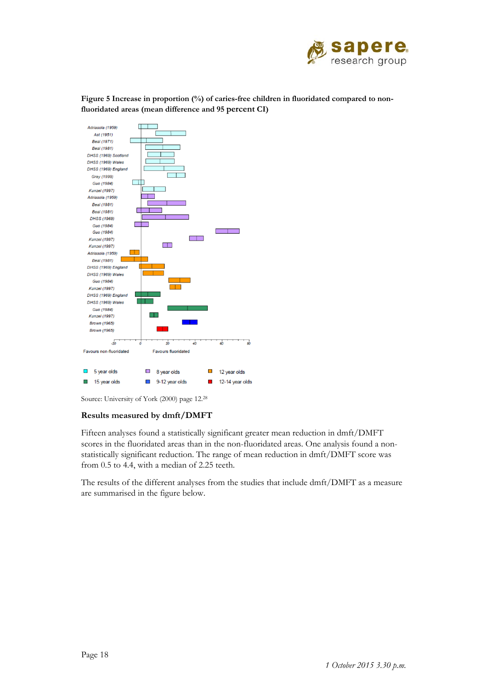

Figure 5 Increase in proportion (%) of caries-free children in fluoridated compared to non**fluoridated areas (mean difference and 95 percent CI)** 



Source: University of York (2000) page 12.28

#### **Results measured by dmft/DMFT**

Fifteen analyses found a statistically significant greater mean reduction in dmft/DMFT scores in the fluoridated areas than in the non-fluoridated areas. One analysis found a nonstatistically significant reduction. The range of mean reduction in dmft/DMFT score was from 0.5 to 4.4, with a median of 2.25 teeth.

The results of the different analyses from the studies that include dmft/DMFT as a measure are summarised in the figure below.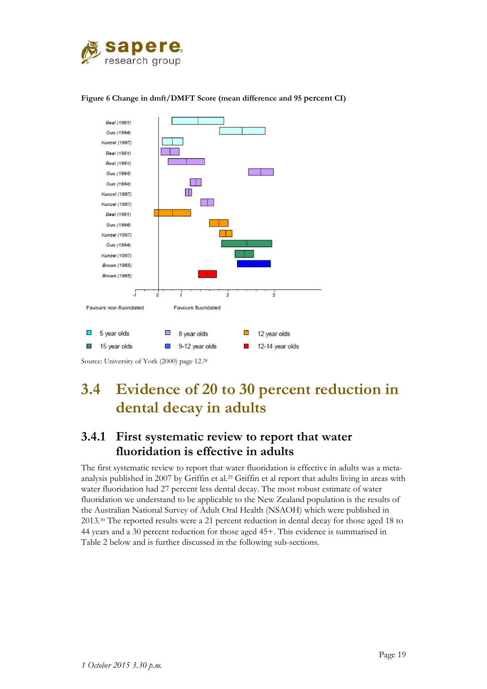



#### **Figure 6 Change in dmft/DMFT Score (mean difference and 95 percent CI)**

Source: University of York (2000) page 12.28

## **3.4 Evidence of 20 to 30 percent reduction in dental decay in adults**

### **3.4.1 First systematic review to report that water fluoridation is effective in adults**

The first systematic review to report that water fluoridation is effective in adults was a metaanalysis published in 2007 by Griffin et al.<sup>29</sup> Griffin et al report that adults living in areas with water fluoridation had 27 percent less dental decay. The most robust estimate of water fluoridation we understand to be applicable to the New Zealand population is the results of the Australian National Survey of Adult Oral Health (NSAOH) which were published in 2013.30 The reported results were a 21 percent reduction in dental decay for those aged 18 to 44 years and a 30 percent reduction for those aged 45+. This evidence is summarised in Table 2 below and is further discussed in the following sub-sections.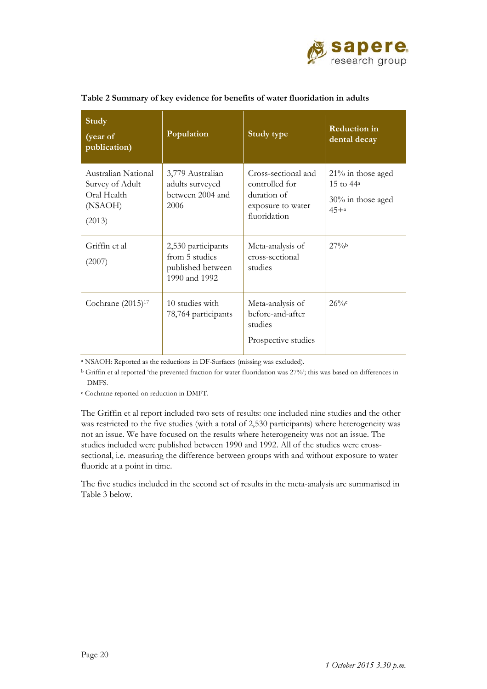

| Study<br>(year of<br>publication)                                          | Population                                                                 | Study type                                                                                | <b>Reduction</b> in<br>dental decay                                   |
|----------------------------------------------------------------------------|----------------------------------------------------------------------------|-------------------------------------------------------------------------------------------|-----------------------------------------------------------------------|
| Australian National<br>Survey of Adult<br>Oral Health<br>(NSAOH)<br>(2013) | 3,779 Australian<br>adults surveyed<br>between 2004 and<br>2006            | Cross-sectional and<br>controlled for<br>duration of<br>exposure to water<br>fluoridation | $21\%$ in those aged<br>15 to $44^a$<br>30% in those aged<br>$45 + a$ |
| Griffin et al<br>(2007)                                                    | 2,530 participants<br>from 5 studies<br>published between<br>1990 and 1992 | Meta-analysis of<br>cross-sectional<br>studies                                            | 27%b                                                                  |
| Cochrane (2015) <sup>17</sup>                                              | 10 studies with<br>78,764 participants                                     | Meta-analysis of<br>before-and-after<br>studies<br>Prospective studies                    | $26\%c$                                                               |

#### **Table 2 Summary of key evidence for benefits of water fluoridation in adults**

a NSAOH: Reported as the reductions in DF-Surfaces (missing was excluded).

b Griffin et al reported 'the prevented fraction for water fluoridation was 27%'; this was based on differences in DMFS.

c Cochrane reported on reduction in DMFT.

The Griffin et al report included two sets of results: one included nine studies and the other was restricted to the five studies (with a total of 2,530 participants) where heterogeneity was not an issue. We have focused on the results where heterogeneity was not an issue. The studies included were published between 1990 and 1992. All of the studies were crosssectional, i.e. measuring the difference between groups with and without exposure to water fluoride at a point in time.

The five studies included in the second set of results in the meta-analysis are summarised in Table 3 below.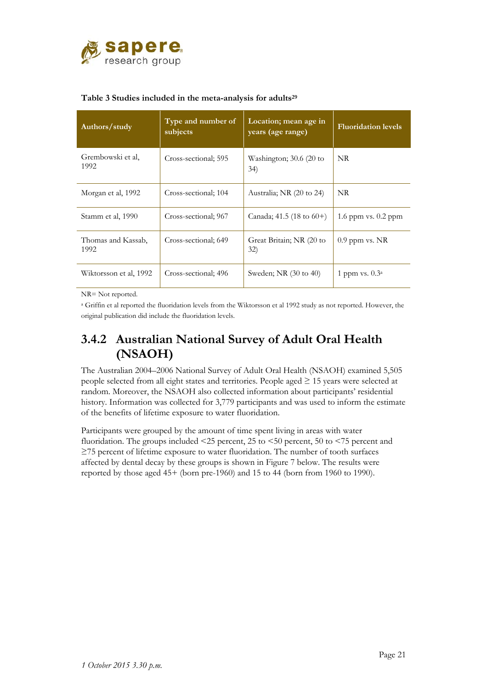

| Authors/study              | Type and number of<br>subjects | Location; mean age in<br>years (age range) | <b>Fluoridation levels</b> |
|----------------------------|--------------------------------|--------------------------------------------|----------------------------|
| Grembowski et al,<br>1992  | Cross-sectional; 595           | Washington; $30.6$ (20 to<br>34)           | NR.                        |
| Morgan et al, 1992         | Cross-sectional; 104           | Australia; NR (20 to 24)                   | NR.                        |
| Stamm et al, 1990          | Cross-sectional; 967           | Canada; 41.5 (18 to $60+$ )                | 1.6 ppm vs. $0.2$ ppm      |
| Thomas and Kassab,<br>1992 | Cross-sectional; 649           | Great Britain; NR (20 to<br>32)            | $0.9$ ppm vs. NR           |
| Wiktorsson et al, 1992     | Cross-sectional: 496           | Sweden; NR (30 to 40)                      | 1 ppm vs. $0.3a$           |

#### **Table 3 Studies included in the meta-analysis for adults29**

NR= Not reported.

a Griffin et al reported the fluoridation levels from the Wiktorsson et al 1992 study as not reported. However, the original publication did include the fluoridation levels.

### **3.4.2 Australian National Survey of Adult Oral Health (NSAOH)**

The Australian 2004–2006 National Survey of Adult Oral Health (NSAOH) examined 5,505 people selected from all eight states and territories. People aged ≥ 15 years were selected at random. Moreover, the NSAOH also collected information about participants' residential history. Information was collected for 3,779 participants and was used to inform the estimate of the benefits of lifetime exposure to water fluoridation.

Participants were grouped by the amount of time spent living in areas with water fluoridation. The groups included <25 percent, 25 to <50 percent, 50 to <75 percent and ≥75 percent of lifetime exposure to water fluoridation. The number of tooth surfaces affected by dental decay by these groups is shown in Figure 7 below. The results were reported by those aged 45+ (born pre-1960) and 15 to 44 (born from 1960 to 1990).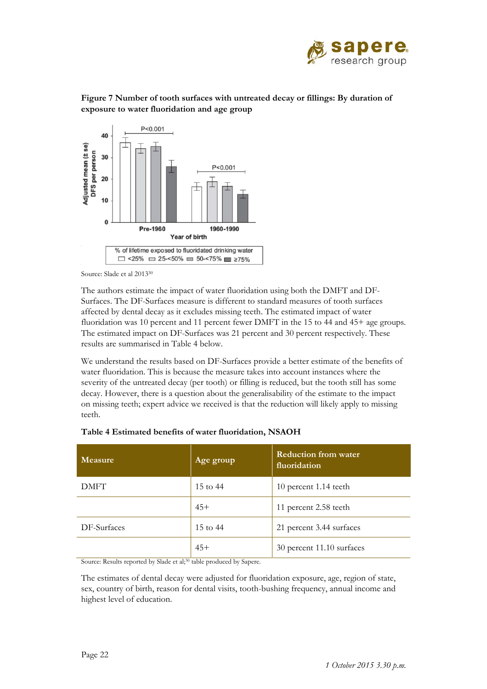



**Figure 7 Number of tooth surfaces with untreated decay or fillings: By duration of exposure to water fluoridation and age group** 

Source: Slade et al 201330

The authors estimate the impact of water fluoridation using both the DMFT and DF-Surfaces. The DF-Surfaces measure is different to standard measures of tooth surfaces affected by dental decay as it excludes missing teeth. The estimated impact of water fluoridation was 10 percent and 11 percent fewer DMFT in the 15 to 44 and 45+ age groups. The estimated impact on DF-Surfaces was 21 percent and 30 percent respectively. These results are summarised in Table 4 below.

We understand the results based on DF-Surfaces provide a better estimate of the benefits of water fluoridation. This is because the measure takes into account instances where the severity of the untreated decay (per tooth) or filling is reduced, but the tooth still has some decay. However, there is a question about the generalisability of the estimate to the impact on missing teeth; expert advice we received is that the reduction will likely apply to missing teeth.

| <b>Measure</b> | Age group | <b>Reduction from water</b><br>fluoridation |
|----------------|-----------|---------------------------------------------|
| <b>DMFT</b>    | 15 to 44  | 10 percent 1.14 teeth                       |
|                | $45+$     | 11 percent 2.58 teeth                       |
| DF-Surfaces    | 15 to 44  | 21 percent 3.44 surfaces                    |
|                | $45+$     | 30 percent 11.10 surfaces                   |

|  |  |  |  |  |  |  | Table 4 Estimated benefits of water fluoridation, NSAOH |
|--|--|--|--|--|--|--|---------------------------------------------------------|
|--|--|--|--|--|--|--|---------------------------------------------------------|

Source: Results reported by Slade et al;<sup>30</sup> table produced by Sapere.

The estimates of dental decay were adjusted for fluoridation exposure, age, region of state, sex, country of birth, reason for dental visits, tooth-bushing frequency, annual income and highest level of education.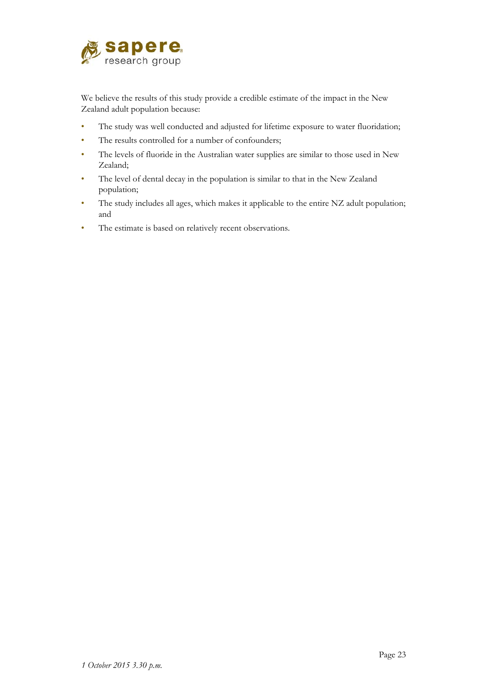

We believe the results of this study provide a credible estimate of the impact in the New Zealand adult population because:

- The study was well conducted and adjusted for lifetime exposure to water fluoridation;
- The results controlled for a number of confounders;
- The levels of fluoride in the Australian water supplies are similar to those used in New Zealand;
- The level of dental decay in the population is similar to that in the New Zealand population;
- The study includes all ages, which makes it applicable to the entire NZ adult population; and
- The estimate is based on relatively recent observations.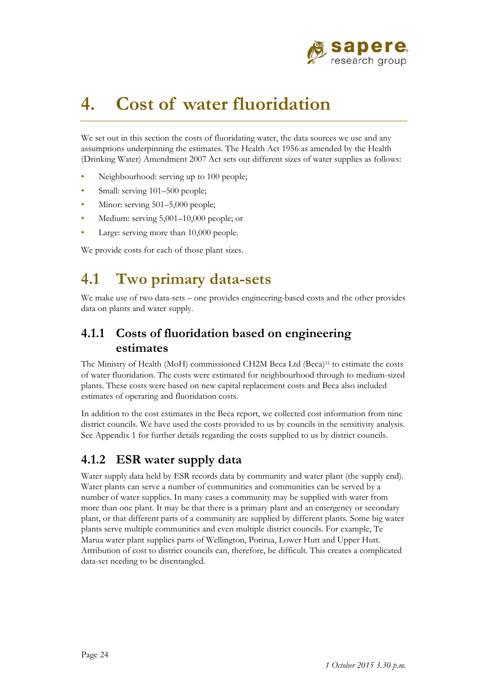

# **4. Cost of water fluoridation**

We set out in this section the costs of fluoridating water, the data sources we use and any assumptions underpinning the estimates. The Health Act 1956 as amended by the Health (Drinking Water) Amendment 2007 Act sets out different sizes of water supplies as follows:

- Neighbourhood: serving up to 100 people;
- Small: serving 101–500 people;
- Minor: serving 501–5,000 people;
- Medium: serving 5,001–10,000 people; or
- Large: serving more than 10,000 people.

We provide costs for each of those plant sizes.

## **4.1 Two primary data-sets**

We make use of two data-sets – one provides engineering-based costs and the other provides data on plants and water supply.

### **4.1.1 Costs of fluoridation based on engineering estimates**

The Ministry of Health (MoH) commissioned CH2M Beca Ltd (Beca)31 to estimate the costs of water fluoridation. The costs were estimated for neighbourhood through to medium-sized plants. These costs were based on new capital replacement costs and Beca also included estimates of operating and fluoridation costs.

In addition to the cost estimates in the Beca report, we collected cost information from nine district councils. We have used the costs provided to us by councils in the sensitivity analysis. See Appendix 1 for further details regarding the costs supplied to us by district councils.

### **4.1.2 ESR water supply data**

Water supply data held by ESR records data by community and water plant (the supply end). Water plants can serve a number of communities and communities can be served by a number of water supplies. In many cases a community may be supplied with water from more than one plant. It may be that there is a primary plant and an emergency or secondary plant, or that different parts of a community are supplied by different plants. Some big water plants serve multiple communities and even multiple district councils. For example, Te Marua water plant supplies parts of Wellington, Porirua, Lower Hutt and Upper Hutt. Attribution of cost to district councils can, therefore, be difficult. This creates a complicated data-set needing to be disentangled.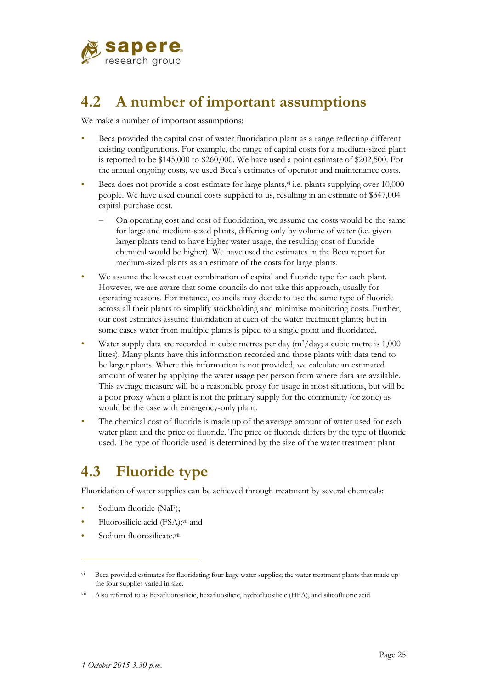

# **4.2 A number of important assumptions**

We make a number of important assumptions:

- Beca provided the capital cost of water fluoridation plant as a range reflecting different existing configurations. For example, the range of capital costs for a medium-sized plant is reported to be \$145,000 to \$260,000. We have used a point estimate of \$202,500. For the annual ongoing costs, we used Beca's estimates of operator and maintenance costs.
- Beca does not provide a cost estimate for large plants, vi i.e. plants supplying over 10,000 people. We have used council costs supplied to us, resulting in an estimate of \$347,004 capital purchase cost.
	- On operating cost and cost of fluoridation, we assume the costs would be the same for large and medium-sized plants, differing only by volume of water (i.e. given larger plants tend to have higher water usage, the resulting cost of fluoride chemical would be higher). We have used the estimates in the Beca report for medium-sized plants as an estimate of the costs for large plants.
- We assume the lowest cost combination of capital and fluoride type for each plant. However, we are aware that some councils do not take this approach, usually for operating reasons. For instance, councils may decide to use the same type of fluoride across all their plants to simplify stockholding and minimise monitoring costs. Further, our cost estimates assume fluoridation at each of the water treatment plants; but in some cases water from multiple plants is piped to a single point and fluoridated.
- Water supply data are recorded in cubic metres per day  $(m^3/day; a$  cubic metre is 1,000 litres). Many plants have this information recorded and those plants with data tend to be larger plants. Where this information is not provided, we calculate an estimated amount of water by applying the water usage per person from where data are available. This average measure will be a reasonable proxy for usage in most situations, but will be a poor proxy when a plant is not the primary supply for the community (or zone) as would be the case with emergency-only plant.
- The chemical cost of fluoride is made up of the average amount of water used for each water plant and the price of fluoride. The price of fluoride differs by the type of fluoride used. The type of fluoride used is determined by the size of the water treatment plant.

# **4.3 Fluoride type**

Fluoridation of water supplies can be achieved through treatment by several chemicals:

- Sodium fluoride (NaF);
- Fluorosilicic acid (FSA);vii and
- Sodium fluorosilicate.viii

 $\overline{a}$ 

vi Beca provided estimates for fluoridating four large water supplies; the water treatment plants that made up the four supplies varied in size.

vii Also referred to as hexafluorosilicic, hexafluosilicic, hydrofluosilicic (HFA), and silicofluoric acid.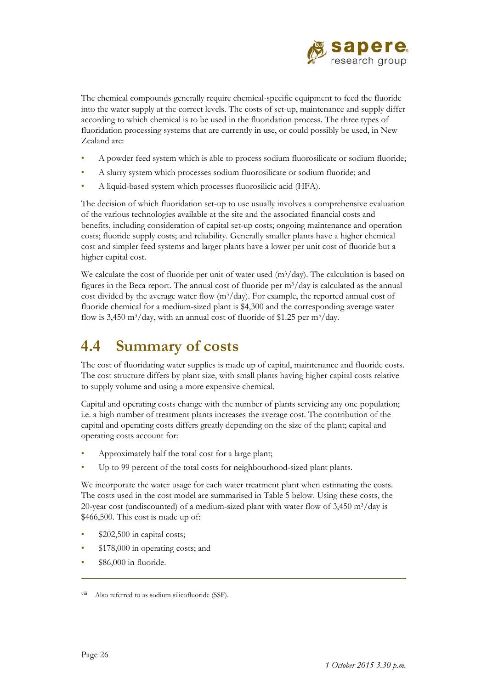

The chemical compounds generally require chemical-specific equipment to feed the fluoride into the water supply at the correct levels. The costs of set-up, maintenance and supply differ according to which chemical is to be used in the fluoridation process. The three types of fluoridation processing systems that are currently in use, or could possibly be used, in New Zealand are:

- A powder feed system which is able to process sodium fluorosilicate or sodium fluoride;
- A slurry system which processes sodium fluorosilicate or sodium fluoride; and
- A liquid-based system which processes fluorosilicic acid (HFA).

The decision of which fluoridation set-up to use usually involves a comprehensive evaluation of the various technologies available at the site and the associated financial costs and benefits, including consideration of capital set-up costs; ongoing maintenance and operation costs; fluoride supply costs; and reliability. Generally smaller plants have a higher chemical cost and simpler feed systems and larger plants have a lower per unit cost of fluoride but a higher capital cost.

We calculate the cost of fluoride per unit of water used  $(m<sup>3</sup>/day)$ . The calculation is based on figures in the Beca report. The annual cost of fluoride per  $m^3$ /day is calculated as the annual cost divided by the average water flow  $(m<sup>3</sup>/day)$ . For example, the reported annual cost of fluoride chemical for a medium-sized plant is \$4,300 and the corresponding average water flow is 3,450 m<sup>3</sup>/day, with an annual cost of fluoride of \$1.25 per m<sup>3</sup>/day.

# **4.4 Summary of costs**

The cost of fluoridating water supplies is made up of capital, maintenance and fluoride costs. The cost structure differs by plant size, with small plants having higher capital costs relative to supply volume and using a more expensive chemical.

Capital and operating costs change with the number of plants servicing any one population; i.e. a high number of treatment plants increases the average cost. The contribution of the capital and operating costs differs greatly depending on the size of the plant; capital and operating costs account for:

- Approximately half the total cost for a large plant;
- Up to 99 percent of the total costs for neighbourhood-sized plant plants.

We incorporate the water usage for each water treatment plant when estimating the costs. The costs used in the cost model are summarised in Table 5 below. Using these costs, the 20-year cost (undiscounted) of a medium-sized plant with water flow of  $3,450 \text{ m}^3/\text{day}$  is \$466,500. This cost is made up of:

- \$202,500 in capital costs;
- \$178,000 in operating costs; and
- \$86,000 in fluoride.

 $\overline{a}$ 

viii Also referred to as sodium silicofluoride (SSF).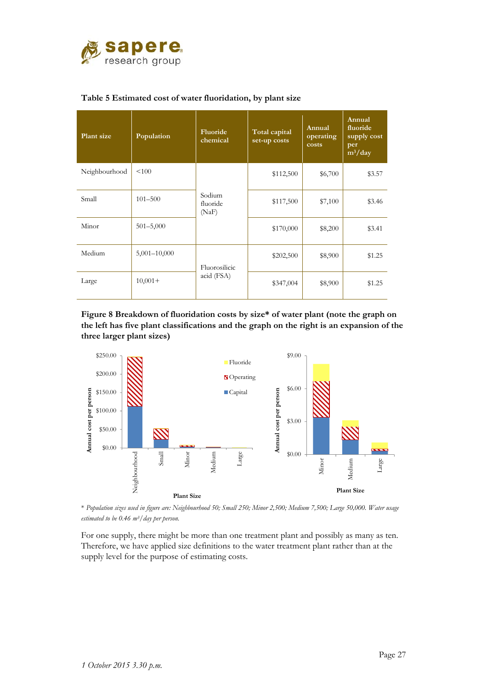

| Plant size    | Population       | Fluoride<br>chemical        | Total capital<br>set-up costs | Annual<br>operating<br>costs | Annual<br>fluoride<br>supply cost<br>per<br>$m^3/day$ |
|---------------|------------------|-----------------------------|-------------------------------|------------------------------|-------------------------------------------------------|
| Neighbourhood | < 100            | Sodium<br>fluoride<br>(NaF) | \$112,500                     | \$6,700                      | \$3.57                                                |
| Small         | $101 - 500$      |                             | \$117,500                     | \$7,100                      | \$3.46                                                |
| Minor         | $501 - 5,000$    |                             | \$170,000                     | \$8,200                      | \$3.41                                                |
| Medium        | $5,001 - 10,000$ | Fluorosilicic               | \$202,500                     | \$8,900                      | \$1.25                                                |
| Large         | $10,001+$        | acid (FSA)                  | \$347,004                     | \$8,900                      | \$1.25                                                |

#### **Table 5 Estimated cost of water fluoridation, by plant size**

**Figure 8 Breakdown of fluoridation costs by size\* of water plant (note the graph on the left has five plant classifications and the graph on the right is an expansion of the three larger plant sizes)**



\* *Population sizes used in figure are: Neighbourhood 50; Small 250; Minor 2,500; Medium 7,500; Large 50,000. Water usage estimated to be 0.46 m3/day per person.* 

For one supply, there might be more than one treatment plant and possibly as many as ten. Therefore, we have applied size definitions to the water treatment plant rather than at the supply level for the purpose of estimating costs.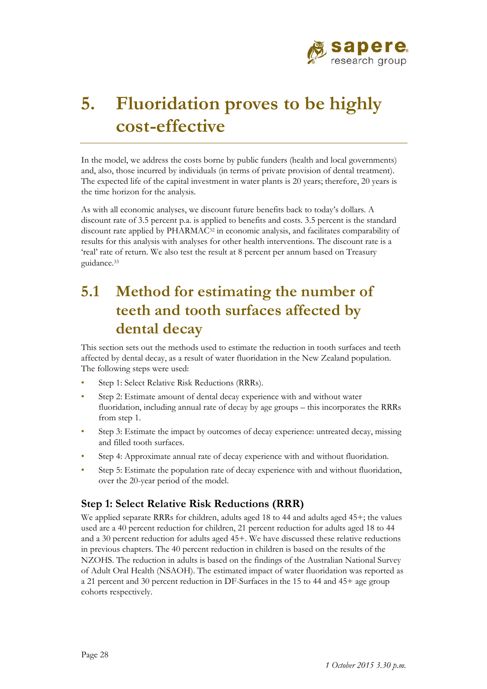

# **5. Fluoridation proves to be highly cost-effective**

In the model, we address the costs borne by public funders (health and local governments) and, also, those incurred by individuals (in terms of private provision of dental treatment). The expected life of the capital investment in water plants is 20 years; therefore, 20 years is the time horizon for the analysis.

As with all economic analyses, we discount future benefits back to today's dollars. A discount rate of 3.5 percent p.a. is applied to benefits and costs. 3.5 percent is the standard discount rate applied by PHARMAC<sup>32</sup> in economic analysis, and facilitates comparability of results for this analysis with analyses for other health interventions. The discount rate is a 'real' rate of return. We also test the result at 8 percent per annum based on Treasury guidance.33

# **5.1 Method for estimating the number of teeth and tooth surfaces affected by dental decay**

This section sets out the methods used to estimate the reduction in tooth surfaces and teeth affected by dental decay, as a result of water fluoridation in the New Zealand population. The following steps were used:

- Step 1: Select Relative Risk Reductions (RRRs).
- Step 2: Estimate amount of dental decay experience with and without water fluoridation, including annual rate of decay by age groups – this incorporates the RRRs from step 1.
- Step 3: Estimate the impact by outcomes of decay experience: untreated decay, missing and filled tooth surfaces.
- Step 4: Approximate annual rate of decay experience with and without fluoridation.
- Step 5: Estimate the population rate of decay experience with and without fluoridation, over the 20-year period of the model.

#### **Step 1: Select Relative Risk Reductions (RRR)**

We applied separate RRRs for children, adults aged 18 to 44 and adults aged 45+; the values used are a 40 percent reduction for children, 21 percent reduction for adults aged 18 to 44 and a 30 percent reduction for adults aged 45+. We have discussed these relative reductions in previous chapters. The 40 percent reduction in children is based on the results of the NZOHS. The reduction in adults is based on the findings of the Australian National Survey of Adult Oral Health (NSAOH). The estimated impact of water fluoridation was reported as a 21 percent and 30 percent reduction in DF-Surfaces in the 15 to 44 and 45+ age group cohorts respectively.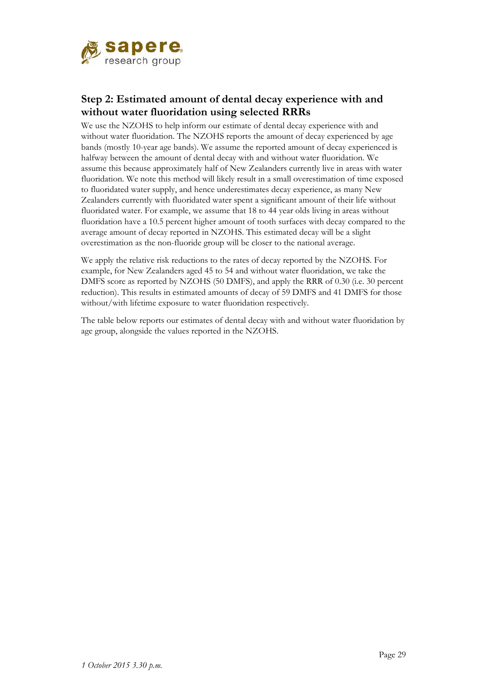

#### **Step 2: Estimated amount of dental decay experience with and without water fluoridation using selected RRRs**

We use the NZOHS to help inform our estimate of dental decay experience with and without water fluoridation. The NZOHS reports the amount of decay experienced by age bands (mostly 10-year age bands). We assume the reported amount of decay experienced is halfway between the amount of dental decay with and without water fluoridation. We assume this because approximately half of New Zealanders currently live in areas with water fluoridation. We note this method will likely result in a small overestimation of time exposed to fluoridated water supply, and hence underestimates decay experience, as many New Zealanders currently with fluoridated water spent a significant amount of their life without fluoridated water. For example, we assume that 18 to 44 year olds living in areas without fluoridation have a 10.5 percent higher amount of tooth surfaces with decay compared to the average amount of decay reported in NZOHS. This estimated decay will be a slight overestimation as the non-fluoride group will be closer to the national average.

We apply the relative risk reductions to the rates of decay reported by the NZOHS. For example, for New Zealanders aged 45 to 54 and without water fluoridation, we take the DMFS score as reported by NZOHS (50 DMFS), and apply the RRR of 0.30 (i.e. 30 percent reduction). This results in estimated amounts of decay of 59 DMFS and 41 DMFS for those without/with lifetime exposure to water fluoridation respectively.

The table below reports our estimates of dental decay with and without water fluoridation by age group, alongside the values reported in the NZOHS.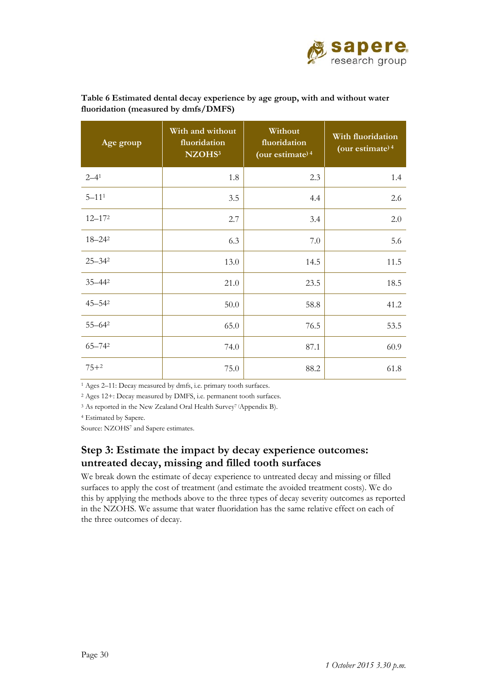

| Age group             | With and without<br>fluoridation<br>NZOHS <sup>3</sup> | Without<br>fluoridation<br>(our estimate) <sup>4</sup> | With fluoridation<br>(our estimate) <sup>4</sup> |
|-----------------------|--------------------------------------------------------|--------------------------------------------------------|--------------------------------------------------|
| $2 - 4^1$             | 1.8                                                    | 2.3                                                    | 1.4                                              |
| $5 - 11$ <sup>1</sup> | 3.5                                                    | 4.4                                                    | 2.6                                              |
| $12 - 172$            | 2.7                                                    | 3.4                                                    | 2.0                                              |
| 18-242                | 6.3                                                    | $7.0\,$                                                | 5.6                                              |
| $25 - 34^2$           | 13.0                                                   | 14.5                                                   | 11.5                                             |
| $35 - 442$            | 21.0                                                   | 23.5                                                   | 18.5                                             |
| $45 - 54^2$           | 50.0                                                   | 58.8                                                   | 41.2                                             |
| $55 - 64^2$           | 65.0                                                   | 76.5                                                   | 53.5                                             |
| $65 - 742$            | 74.0                                                   | 87.1                                                   | 60.9                                             |
| $75 + 2$              | 75.0                                                   | 88.2                                                   | 61.8                                             |

**Table 6 Estimated dental decay experience by age group, with and without water fluoridation (measured by dmfs/DMFS)** 

1 Ages 2–11: Decay measured by dmfs, i.e. primary tooth surfaces.

2 Ages 12+: Decay measured by DMFS, i.e. permanent tooth surfaces.

<sup>3</sup> As reported in the New Zealand Oral Health Survey<sup>7</sup> (Appendix B).

4 Estimated by Sapere.

Source: NZOHS7 and Sapere estimates.

#### **Step 3: Estimate the impact by decay experience outcomes: untreated decay, missing and filled tooth surfaces**

We break down the estimate of decay experience to untreated decay and missing or filled surfaces to apply the cost of treatment (and estimate the avoided treatment costs). We do this by applying the methods above to the three types of decay severity outcomes as reported in the NZOHS. We assume that water fluoridation has the same relative effect on each of the three outcomes of decay.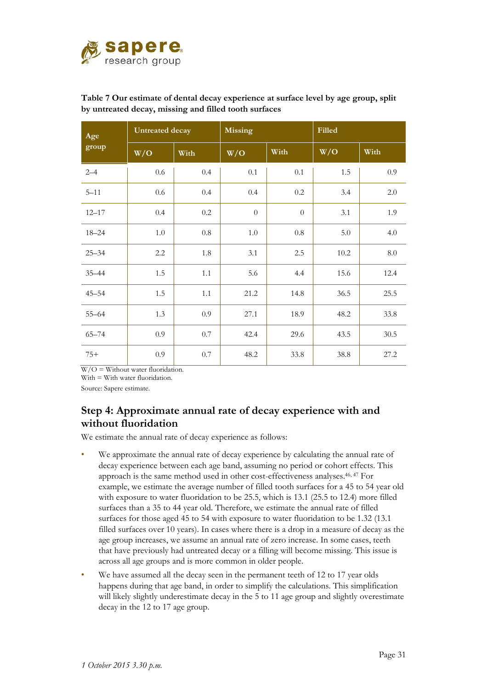

| Age       | Untreated decay |         | <b>Missing</b>   |          | Filled |         |
|-----------|-----------------|---------|------------------|----------|--------|---------|
| group     | W/O             | With    | W/O              | With     | W/O    | With    |
| $2 - 4$   | $0.6\,$         | 0.4     | 0.1              | 0.1      | 1.5    | 0.9     |
| $5 - 11$  | $0.6\,$         | 0.4     | 0.4              | $0.2\,$  | 3.4    | 2.0     |
| $12 - 17$ | 0.4             | $0.2\,$ | $\boldsymbol{0}$ | $\theta$ | 3.1    | 1.9     |
| $18 - 24$ | 1.0             | $0.8\,$ | $1.0\,$          | $0.8\,$  | 5.0    | 4.0     |
| $25 - 34$ | $2.2\,$         | 1.8     | 3.1              | $2.5\,$  | 10.2   | $8.0\,$ |
| $35 - 44$ | 1.5             | 1.1     | 5.6              | 4.4      | 15.6   | 12.4    |
| $45 - 54$ | 1.5             | 1.1     | 21.2             | 14.8     | 36.5   | 25.5    |
| $55 - 64$ | 1.3             | 0.9     | 27.1             | 18.9     | 48.2   | 33.8    |
| $65 - 74$ | 0.9             | $0.7\,$ | 42.4             | 29.6     | 43.5   | 30.5    |
| $75+$     | 0.9             | $0.7\,$ | 48.2             | 33.8     | 38.8   | 27.2    |

#### **Table 7 Our estimate of dental decay experience at surface level by age group, split by untreated decay, missing and filled tooth surfaces**

 $W/O =$  Without water fluoridation.

With = With water fluoridation.

Source: Sapere estimate.

#### **Step 4: Approximate annual rate of decay experience with and without fluoridation**

We estimate the annual rate of decay experience as follows:

- We approximate the annual rate of decay experience by calculating the annual rate of decay experience between each age band, assuming no period or cohort effects. This approach is the same method used in other cost-effectiveness analyses.46, 47 For example, we estimate the average number of filled tooth surfaces for a 45 to 54 year old with exposure to water fluoridation to be 25.5, which is 13.1 (25.5 to 12.4) more filled surfaces than a 35 to 44 year old. Therefore, we estimate the annual rate of filled surfaces for those aged 45 to 54 with exposure to water fluoridation to be 1.32 (13.1 filled surfaces over 10 years). In cases where there is a drop in a measure of decay as the age group increases, we assume an annual rate of zero increase. In some cases, teeth that have previously had untreated decay or a filling will become missing. This issue is across all age groups and is more common in older people.
- We have assumed all the decay seen in the permanent teeth of 12 to 17 year olds happens during that age band, in order to simplify the calculations. This simplification will likely slightly underestimate decay in the 5 to 11 age group and slightly overestimate decay in the 12 to 17 age group.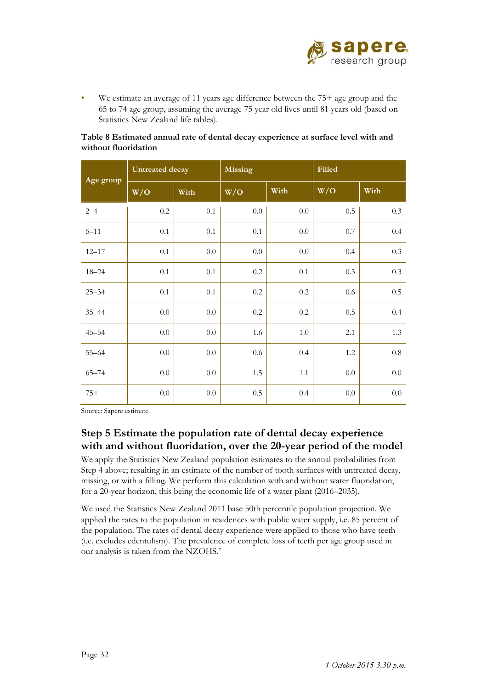

• We estimate an average of 11 years age difference between the 75+ age group and the 65 to 74 age group, assuming the average 75 year old lives until 81 years old (based on Statistics New Zealand life tables).

|           | <b>Untreated decay</b> |         | <b>Missing</b> |         | Filled  |         |
|-----------|------------------------|---------|----------------|---------|---------|---------|
| Age group | W/O                    | With    | W/O            | With    | W/O     | With    |
| $2 - 4$   | $0.2\,$                | $0.1\,$ | $0.0\,$        | $0.0\,$ | $0.5\,$ | $0.3\,$ |
| $5 - 11$  | 0.1                    | $0.1\,$ | 0.1            | $0.0\,$ | $0.7\,$ | 0.4     |
| $12 - 17$ | 0.1                    | $0.0\,$ | $0.0\,$        | $0.0\,$ | 0.4     | 0.3     |
| $18 - 24$ | 0.1                    | $0.1\,$ | $0.2\,$        | 0.1     | 0.3     | 0.3     |
| $25 - 34$ | 0.1                    | $0.1\,$ | $0.2\,$        | $0.2\,$ | $0.6\,$ | 0.5     |
| $35 - 44$ | 0.0                    | $0.0\,$ | $0.2\,$        | $0.2\,$ | 0.5     | 0.4     |
| $45 - 54$ | $0.0\,$                | $0.0\,$ | 1.6            | $1.0\,$ | 2.1     | 1.3     |
| $55 - 64$ | 0.0                    | $0.0\,$ | $0.6\,$        | 0.4     | 1.2     | $0.8\,$ |
| $65 - 74$ | 0.0                    | $0.0\,$ | 1.5            | 1.1     | $0.0\,$ | $0.0\,$ |
| $75+$     | 0.0                    | $0.0\,$ | $0.5\,$        | 0.4     | $0.0\,$ | $0.0\,$ |

#### **Table 8 Estimated annual rate of dental decay experience at surface level with and without fluoridation**

Source: Sapere estimate.

#### **Step 5 Estimate the population rate of dental decay experience with and without fluoridation, over the 20-year period of the model**

We apply the Statistics New Zealand population estimates to the annual probabilities from Step 4 above; resulting in an estimate of the number of tooth surfaces with untreated decay, missing, or with a filling. We perform this calculation with and without water fluoridation, for a 20-year horizon, this being the economic life of a water plant (2016–2035).

We used the Statistics New Zealand 2011 base 50th percentile population projection. We applied the rates to the population in residences with public water supply, i.e. 85 percent of the population. The rates of dental decay experience were applied to those who have teeth (i.e. excludes edentulism). The prevalence of complete loss of teeth per age group used in our analysis is taken from the NZOHS.7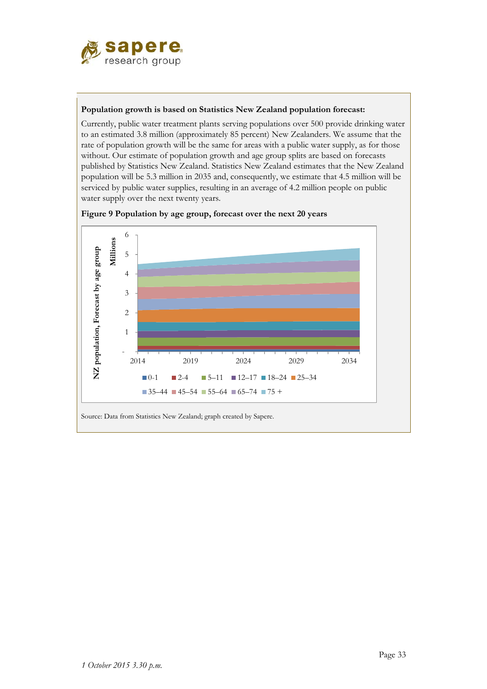

#### **Population growth is based on Statistics New Zealand population forecast:**

Currently, public water treatment plants serving populations over 500 provide drinking water to an estimated 3.8 million (approximately 85 percent) New Zealanders. We assume that the rate of population growth will be the same for areas with a public water supply, as for those without. Our estimate of population growth and age group splits are based on forecasts published by Statistics New Zealand. Statistics New Zealand estimates that the New Zealand population will be 5.3 million in 2035 and, consequently, we estimate that 4.5 million will be serviced by public water supplies, resulting in an average of 4.2 million people on public water supply over the next twenty years.



**Figure 9 Population by age group, forecast over the next 20 years**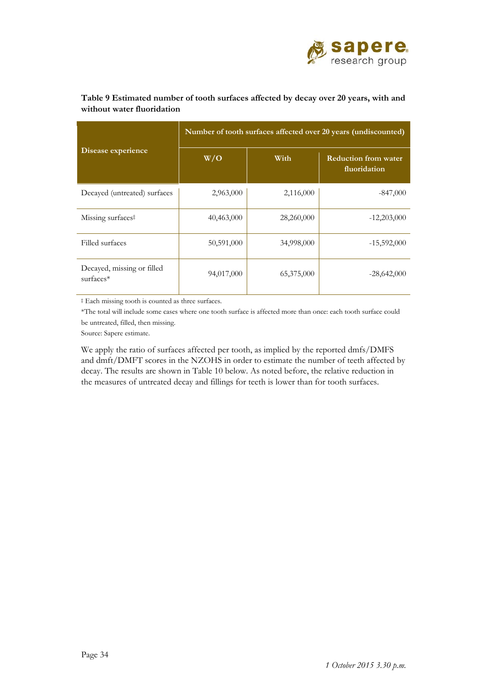

|                                         | Number of tooth surfaces affected over 20 years (undiscounted) |            |                                             |  |  |
|-----------------------------------------|----------------------------------------------------------------|------------|---------------------------------------------|--|--|
| Disease experience                      | W/O                                                            | With       | <b>Reduction from water</b><br>fluoridation |  |  |
| Decayed (untreated) surfaces            | 2,963,000                                                      | 2,116,000  | $-847,000$                                  |  |  |
| Missing surfaces <sup>‡</sup>           | 40,463,000                                                     | 28,260,000 | $-12,203,000$                               |  |  |
| Filled surfaces                         | 50,591,000                                                     | 34,998,000 | $-15,592,000$                               |  |  |
| Decayed, missing or filled<br>surfaces* | 94,017,000                                                     | 65,375,000 | $-28,642,000$                               |  |  |

#### **Table 9 Estimated number of tooth surfaces affected by decay over 20 years, with and without water fluoridation**

‡ Each missing tooth is counted as three surfaces.

\*The total will include some cases where one tooth surface is affected more than once: each tooth surface could be untreated, filled, then missing.

Source: Sapere estimate.

We apply the ratio of surfaces affected per tooth, as implied by the reported dmfs/DMFS and dmft/DMFT scores in the NZOHS in order to estimate the number of teeth affected by decay. The results are shown in Table 10 below. As noted before, the relative reduction in the measures of untreated decay and fillings for teeth is lower than for tooth surfaces.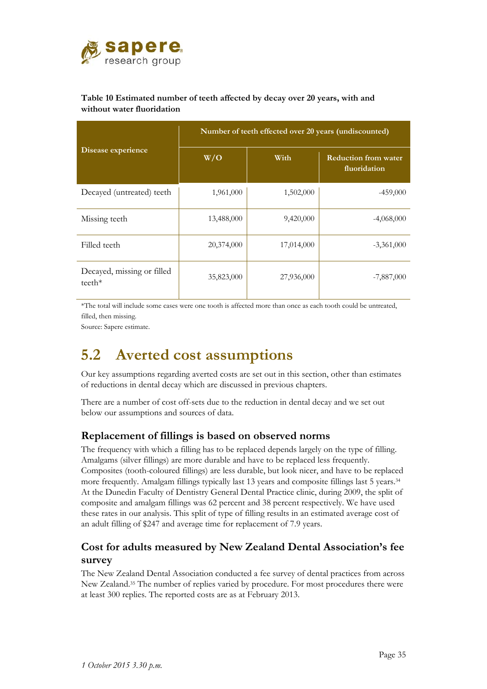

#### **Table 10 Estimated number of teeth affected by decay over 20 years, with and without water fluoridation**

|                                        | Number of teeth effected over 20 years (undiscounted) |            |                                             |  |  |
|----------------------------------------|-------------------------------------------------------|------------|---------------------------------------------|--|--|
| Disease experience                     | W/O                                                   | With       | <b>Reduction from water</b><br>fluoridation |  |  |
| Decayed (untreated) teeth              | 1,961,000                                             | 1,502,000  | $-459,000$                                  |  |  |
| Missing teeth                          | 13,488,000                                            | 9,420,000  | $-4,068,000$                                |  |  |
| Filled teeth                           | 20,374,000                                            | 17,014,000 | $-3,361,000$                                |  |  |
| Decayed, missing or filled<br>$teeth*$ | 35,823,000                                            | 27,936,000 | $-7,887,000$                                |  |  |

\*The total will include some cases were one tooth is affected more than once as each tooth could be untreated, filled, then missing.

Source: Sapere estimate.

# **5.2 Averted cost assumptions**

Our key assumptions regarding averted costs are set out in this section, other than estimates of reductions in dental decay which are discussed in previous chapters.

There are a number of cost off-sets due to the reduction in dental decay and we set out below our assumptions and sources of data.

#### **Replacement of fillings is based on observed norms**

The frequency with which a filling has to be replaced depends largely on the type of filling. Amalgams (silver fillings) are more durable and have to be replaced less frequently. Composites (tooth-coloured fillings) are less durable, but look nicer, and have to be replaced more frequently. Amalgam fillings typically last 13 years and composite fillings last 5 years.34 At the Dunedin Faculty of Dentistry General Dental Practice clinic, during 2009, the split of composite and amalgam fillings was 62 percent and 38 percent respectively. We have used these rates in our analysis. This split of type of filling results in an estimated average cost of an adult filling of \$247 and average time for replacement of 7.9 years.

#### **Cost for adults measured by New Zealand Dental Association's fee survey**

The New Zealand Dental Association conducted a fee survey of dental practices from across New Zealand.35 The number of replies varied by procedure. For most procedures there were at least 300 replies. The reported costs are as at February 2013.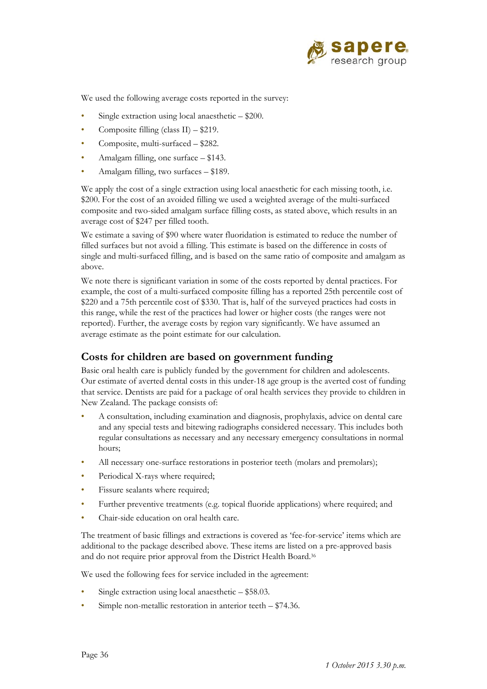

We used the following average costs reported in the survey:

- Single extraction using local anaesthetic  $-$  \$200.
- Composite filling (class II) \$219.
- Composite, multi-surfaced \$282.
- Amalgam filling, one surface \$143.
- Amalgam filling, two surfaces \$189.

We apply the cost of a single extraction using local anaesthetic for each missing tooth, i.e. \$200. For the cost of an avoided filling we used a weighted average of the multi-surfaced composite and two-sided amalgam surface filling costs, as stated above, which results in an average cost of \$247 per filled tooth.

We estimate a saving of \$90 where water fluoridation is estimated to reduce the number of filled surfaces but not avoid a filling. This estimate is based on the difference in costs of single and multi-surfaced filling, and is based on the same ratio of composite and amalgam as above.

We note there is significant variation in some of the costs reported by dental practices. For example, the cost of a multi-surfaced composite filling has a reported 25th percentile cost of \$220 and a 75th percentile cost of \$330. That is, half of the surveyed practices had costs in this range, while the rest of the practices had lower or higher costs (the ranges were not reported). Further, the average costs by region vary significantly. We have assumed an average estimate as the point estimate for our calculation.

#### **Costs for children are based on government funding**

Basic oral health care is publicly funded by the government for children and adolescents. Our estimate of averted dental costs in this under-18 age group is the averted cost of funding that service. Dentists are paid for a package of oral health services they provide to children in New Zealand. The package consists of:

- A consultation, including examination and diagnosis, prophylaxis, advice on dental care and any special tests and bitewing radiographs considered necessary. This includes both regular consultations as necessary and any necessary emergency consultations in normal hours;
- All necessary one-surface restorations in posterior teeth (molars and premolars);
- Periodical X-rays where required;
- Fissure sealants where required;
- Further preventive treatments (e.g. topical fluoride applications) where required; and
- Chair-side education on oral health care.

The treatment of basic fillings and extractions is covered as 'fee-for-service' items which are additional to the package described above. These items are listed on a pre-approved basis and do not require prior approval from the District Health Board.36

We used the following fees for service included in the agreement:

- Single extraction using local anaesthetic \$58.03.
- Simple non-metallic restoration in anterior teeth  $-$  \$74.36.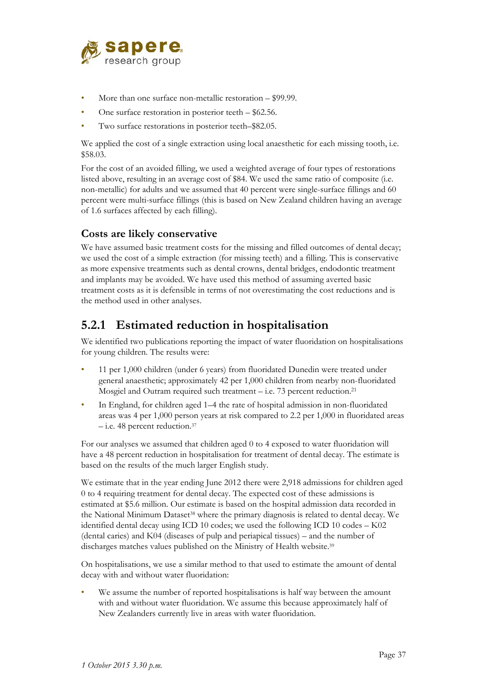

- More than one surface non-metallic restoration \$99.99.
- One surface restoration in posterior teeth \$62.56.
- Two surface restorations in posterior teeth–\$82.05.

We applied the cost of a single extraction using local anaesthetic for each missing tooth, i.e. \$58.03.

For the cost of an avoided filling, we used a weighted average of four types of restorations listed above, resulting in an average cost of \$84. We used the same ratio of composite (i.e. non-metallic) for adults and we assumed that 40 percent were single-surface fillings and 60 percent were multi-surface fillings (this is based on New Zealand children having an average of 1.6 surfaces affected by each filling).

#### **Costs are likely conservative**

We have assumed basic treatment costs for the missing and filled outcomes of dental decay; we used the cost of a simple extraction (for missing teeth) and a filling. This is conservative as more expensive treatments such as dental crowns, dental bridges, endodontic treatment and implants may be avoided. We have used this method of assuming averted basic treatment costs as it is defensible in terms of not overestimating the cost reductions and is the method used in other analyses.

### **5.2.1 Estimated reduction in hospitalisation**

We identified two publications reporting the impact of water fluoridation on hospitalisations for young children. The results were:

- 11 per 1,000 children (under 6 years) from fluoridated Dunedin were treated under general anaesthetic; approximately 42 per 1,000 children from nearby non-fluoridated Mosgiel and Outram required such treatment – i.e. 73 percent reduction.<sup>21</sup>
- In England, for children aged 1–4 the rate of hospital admission in non-fluoridated areas was 4 per 1,000 person years at risk compared to 2.2 per 1,000 in fluoridated areas – i.e. 48 percent reduction.37

For our analyses we assumed that children aged 0 to 4 exposed to water fluoridation will have a 48 percent reduction in hospitalisation for treatment of dental decay. The estimate is based on the results of the much larger English study.

We estimate that in the year ending June 2012 there were 2,918 admissions for children aged 0 to 4 requiring treatment for dental decay. The expected cost of these admissions is estimated at \$5.6 million. Our estimate is based on the hospital admission data recorded in the National Minimum Dataset38 where the primary diagnosis is related to dental decay. We identified dental decay using ICD 10 codes; we used the following ICD 10 codes – K02 (dental caries) and K04 (diseases of pulp and periapical tissues) – and the number of discharges matches values published on the Ministry of Health website.<sup>39</sup>

On hospitalisations, we use a similar method to that used to estimate the amount of dental decay with and without water fluoridation:

We assume the number of reported hospitalisations is half way between the amount with and without water fluoridation. We assume this because approximately half of New Zealanders currently live in areas with water fluoridation.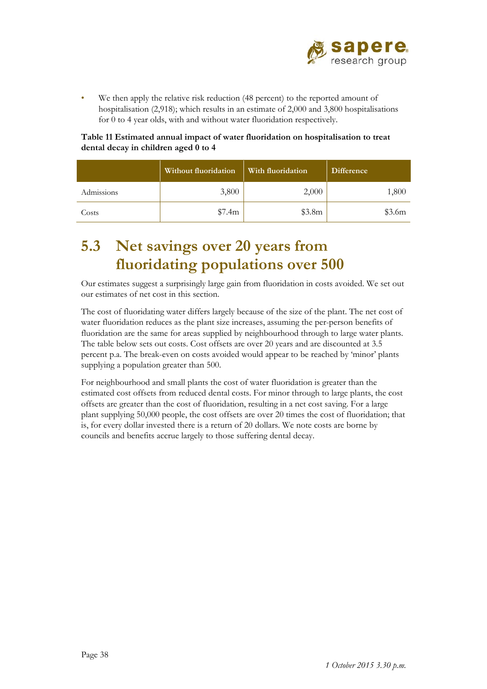

• We then apply the relative risk reduction (48 percent) to the reported amount of hospitalisation (2,918); which results in an estimate of 2,000 and 3,800 hospitalisations for 0 to 4 year olds, with and without water fluoridation respectively.

#### **Table 11 Estimated annual impact of water fluoridation on hospitalisation to treat dental decay in children aged 0 to 4**

|            | <b>Without fluoridation</b> | With fluoridation | <b>Difference</b> |
|------------|-----------------------------|-------------------|-------------------|
| Admissions | 3,800                       | 2,000             | 1,800             |
| Costs      | \$7.4m                      | \$3.8m            | \$3.6m            |

# **5.3 Net savings over 20 years from fluoridating populations over 500**

Our estimates suggest a surprisingly large gain from fluoridation in costs avoided. We set out our estimates of net cost in this section.

The cost of fluoridating water differs largely because of the size of the plant. The net cost of water fluoridation reduces as the plant size increases, assuming the per-person benefits of fluoridation are the same for areas supplied by neighbourhood through to large water plants. The table below sets out costs. Cost offsets are over 20 years and are discounted at 3.5 percent p.a. The break-even on costs avoided would appear to be reached by 'minor' plants supplying a population greater than 500.

For neighbourhood and small plants the cost of water fluoridation is greater than the estimated cost offsets from reduced dental costs. For minor through to large plants, the cost offsets are greater than the cost of fluoridation, resulting in a net cost saving. For a large plant supplying 50,000 people, the cost offsets are over 20 times the cost of fluoridation; that is, for every dollar invested there is a return of 20 dollars. We note costs are borne by councils and benefits accrue largely to those suffering dental decay.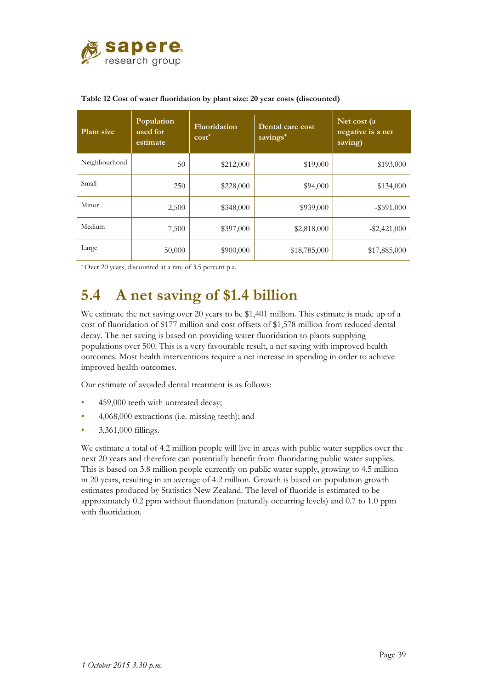

| <b>Plant size</b> | Population<br>used for<br>estimate | Fluoridation<br>$cost^*$ | Dental care cost<br>savings* | Net cost (a<br>negative is a net<br>saving) |
|-------------------|------------------------------------|--------------------------|------------------------------|---------------------------------------------|
| Neighbourhood     | 50                                 | \$212,000                | \$19,000                     | \$193,000                                   |
| Small             | 250                                | \$228,000                | \$94,000                     | \$134,000                                   |
| Minor             | 2,500                              | \$348,000                | \$939,000                    | $-$ \$591,000                               |
| Medium            | 7,500                              | \$397,000                | \$2,818,000                  | $-$ \$2,421,000                             |
| Large             | 50,000                             | \$900,000                | \$18,785,000                 | $-$ \$17,885,000                            |

#### **Table 12 Cost of water fluoridation by plant size: 20 year costs (discounted)**

\* Over 20 years, discounted at a rate of 3.5 percent p.a.

# **5.4 A net saving of \$1.4 billion**

We estimate the net saving over 20 years to be \$1,401 million. This estimate is made up of a cost of fluoridation of \$177 million and cost offsets of \$1,578 million from reduced dental decay. The net saving is based on providing water fluoridation to plants supplying populations over 500. This is a very favourable result, a net saving with improved health outcomes. Most health interventions require a net increase in spending in order to achieve improved health outcomes.

Our estimate of avoided dental treatment is as follows:

- 459,000 teeth with untreated decay;
- 4,068,000 extractions (i.e. missing teeth); and
- 3,361,000 fillings.

We estimate a total of 4.2 million people will live in areas with public water supplies over the next 20 years and therefore can potentially benefit from fluoridating public water supplies. This is based on 3.8 million people currently on public water supply, growing to 4.5 million in 20 years, resulting in an average of 4.2 million. Growth is based on population growth estimates produced by Statistics New Zealand. The level of fluoride is estimated to be approximately 0.2 ppm without fluoridation (naturally occurring levels) and 0.7 to 1.0 ppm with fluoridation.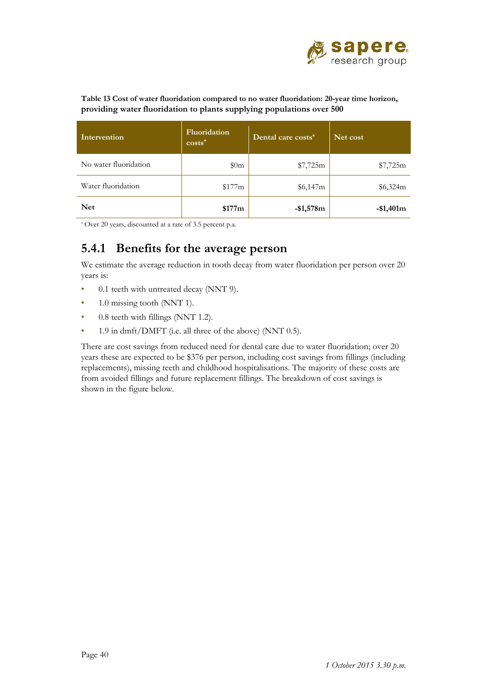

**Table 13 Cost of water fluoridation compared to no water fluoridation: 20-year time horizon, providing water fluoridation to plants supplying populations over 500**

| Intervention          | Fluoridation<br>$costs^*$ | Dental care costs* | Net cost   |
|-----------------------|---------------------------|--------------------|------------|
| No water fluoridation | \$0m                      | \$7,725m           | \$7,725m   |
| Water fluoridation    | \$177m                    | \$6,147m           | \$6,324m   |
| <b>Net</b>            | \$177m                    | $-$1,578m$         | $-$1,401m$ |

\* Over 20 years, discounted at a rate of 3.5 percent p.a.

### **5.4.1 Benefits for the average person**

We estimate the average reduction in tooth decay from water fluoridation per person over 20 years is:

- 0.1 teeth with untreated decay (NNT 9).
- 1.0 missing tooth (NNT 1).
- 0.8 teeth with fillings (NNT 1.2).
- 1.9 in dmft/DMFT (i.e. all three of the above) (NNT 0.5).

There are cost savings from reduced need for dental care due to water fluoridation; over 20 years these are expected to be \$376 per person, including cost savings from fillings (including replacements), missing teeth and childhood hospitalisations. The majority of these costs are from avoided fillings and future replacement fillings. The breakdown of cost savings is shown in the figure below.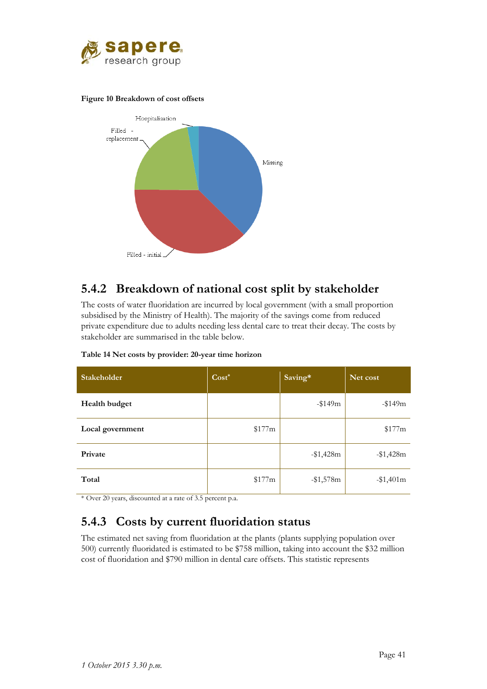

#### **Figure 10 Breakdown of cost offsets**



### **5.4.2 Breakdown of national cost split by stakeholder**

The costs of water fluoridation are incurred by local government (with a small proportion subsidised by the Ministry of Health). The majority of the savings come from reduced private expenditure due to adults needing less dental care to treat their decay. The costs by stakeholder are summarised in the table below.

| <b>Stakeholder</b> | $Cost*$ | Saving*   | Net cost   |
|--------------------|---------|-----------|------------|
| Health budget      |         | $-149m$   | $-149m$    |
| Local government   | \$177m  |           | \$177m     |
| Private            |         | $-1,428m$ | $-1,428m$  |
| Total              | \$177m  | $-1,578m$ | $-$1,401m$ |

#### **Table 14 Net costs by provider: 20-year time horizon**

\* Over 20 years, discounted at a rate of 3.5 percent p.a.

### **5.4.3 Costs by current fluoridation status**

The estimated net saving from fluoridation at the plants (plants supplying population over 500) currently fluoridated is estimated to be \$758 million, taking into account the \$32 million cost of fluoridation and \$790 million in dental care offsets. This statistic represents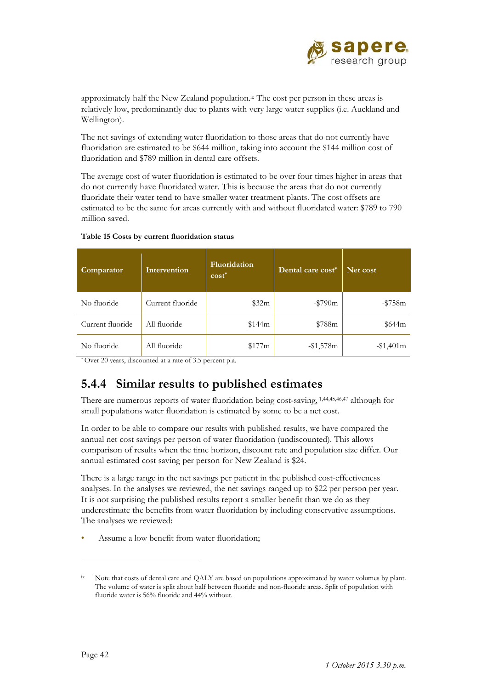

approximately half the New Zealand population.ix The cost per person in these areas is relatively low, predominantly due to plants with very large water supplies (i.e. Auckland and Wellington).

The net savings of extending water fluoridation to those areas that do not currently have fluoridation are estimated to be \$644 million, taking into account the \$144 million cost of fluoridation and \$789 million in dental care offsets.

The average cost of water fluoridation is estimated to be over four times higher in areas that do not currently have fluoridated water. This is because the areas that do not currently fluoridate their water tend to have smaller water treatment plants. The cost offsets are estimated to be the same for areas currently with and without fluoridated water: \$789 to 790 million saved.

| Comparator       | Intervention     | <b>Fluoridation</b><br>$cost^*$ | Dental care cost* | Net cost      |
|------------------|------------------|---------------------------------|-------------------|---------------|
| No fluoride      | Current fluoride | \$32m                           | $-$ \$790 $m$     | $-15758m$     |
| Current fluoride | All fluoride     | \$144m                          | $-18788m$         | $-$ \$644 $m$ |
| No fluoride      | All fluoride     | \$177m                          | $-1,578m$         | $-1,401m$     |

#### **Table 15 Costs by current fluoridation status**

\* Over 20 years, discounted at a rate of 3.5 percent p.a.

### **5.4.4 Similar results to published estimates**

There are numerous reports of water fluoridation being cost-saving, 1,44,45,46,47 although for small populations water fluoridation is estimated by some to be a net cost.

In order to be able to compare our results with published results, we have compared the annual net cost savings per person of water fluoridation (undiscounted). This allows comparison of results when the time horizon, discount rate and population size differ. Our annual estimated cost saving per person for New Zealand is \$24.

There is a large range in the net savings per patient in the published cost-effectiveness analyses. In the analyses we reviewed, the net savings ranged up to \$22 per person per year. It is not surprising the published results report a smaller benefit than we do as they underestimate the benefits from water fluoridation by including conservative assumptions. The analyses we reviewed:

Assume a low benefit from water fluoridation;

 $\overline{a}$ 

<sup>&</sup>lt;sup>ix</sup> Note that costs of dental care and QALY are based on populations approximated by water volumes by plant. The volume of water is split about half between fluoride and non-fluoride areas. Split of population with fluoride water is 56% fluoride and 44% without.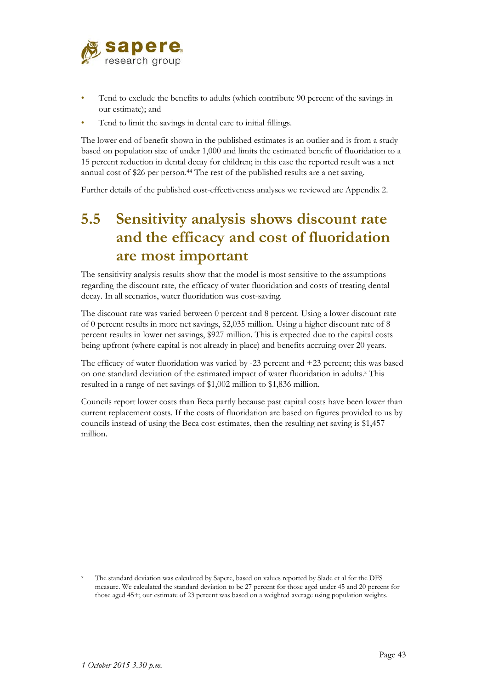

- Tend to exclude the benefits to adults (which contribute 90 percent of the savings in our estimate); and
- Tend to limit the savings in dental care to initial fillings.

The lower end of benefit shown in the published estimates is an outlier and is from a study based on population size of under 1,000 and limits the estimated benefit of fluoridation to a 15 percent reduction in dental decay for children; in this case the reported result was a net annual cost of \$26 per person.<sup>44</sup> The rest of the published results are a net saving.

Further details of the published cost-effectiveness analyses we reviewed are Appendix 2.

# **5.5 Sensitivity analysis shows discount rate and the efficacy and cost of fluoridation are most important**

The sensitivity analysis results show that the model is most sensitive to the assumptions regarding the discount rate, the efficacy of water fluoridation and costs of treating dental decay. In all scenarios, water fluoridation was cost-saving.

The discount rate was varied between 0 percent and 8 percent. Using a lower discount rate of 0 percent results in more net savings, \$2,035 million. Using a higher discount rate of 8 percent results in lower net savings, \$927 million. This is expected due to the capital costs being upfront (where capital is not already in place) and benefits accruing over 20 years.

The efficacy of water fluoridation was varied by -23 percent and +23 percent; this was based on one standard deviation of the estimated impact of water fluoridation in adults.<sup>x</sup> This resulted in a range of net savings of \$1,002 million to \$1,836 million.

Councils report lower costs than Beca partly because past capital costs have been lower than current replacement costs. If the costs of fluoridation are based on figures provided to us by councils instead of using the Beca cost estimates, then the resulting net saving is \$1,457 million.

 $\overline{a}$ 

x The standard deviation was calculated by Sapere, based on values reported by Slade et al for the DFS measure. We calculated the standard deviation to be 27 percent for those aged under 45 and 20 percent for those aged 45+; our estimate of 23 percent was based on a weighted average using population weights.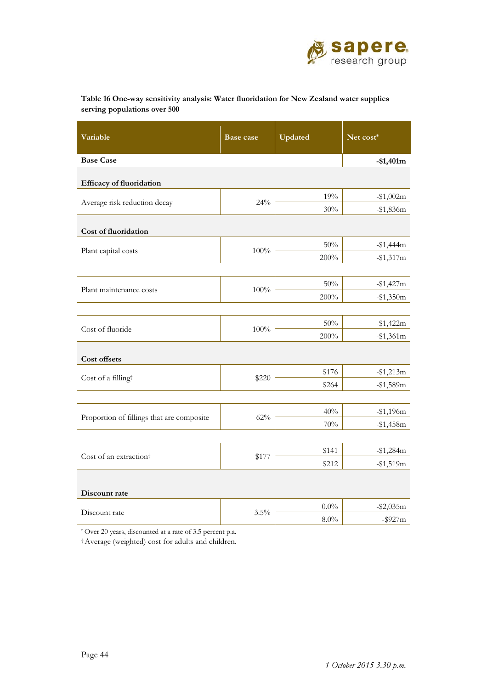

| Table 16 One-way sensitivity analysis: Water fluoridation for New Zealand water supplies |  |
|------------------------------------------------------------------------------------------|--|
| serving populations over 500                                                             |  |

| Variable                                  | <b>Base case</b> | Updated | Net cost*   |  |  |  |
|-------------------------------------------|------------------|---------|-------------|--|--|--|
| <b>Base Case</b>                          |                  |         | $-$1,401m$  |  |  |  |
| Efficacy of fluoridation                  |                  |         |             |  |  |  |
| Average risk reduction decay              | 24%              | 19%     | $-$1,002m$  |  |  |  |
|                                           |                  | $30\%$  | $-$1,836m$  |  |  |  |
| Cost of fluoridation                      |                  |         |             |  |  |  |
| Plant capital costs                       | 100%             | 50%     | $-$1,444m$  |  |  |  |
|                                           |                  | 200%    | $-1,317m$   |  |  |  |
|                                           |                  |         |             |  |  |  |
| Plant maintenance costs                   | $100\%$          | 50%     | $-1,427m$   |  |  |  |
|                                           |                  | $200\%$ | $-$1,350m$  |  |  |  |
|                                           |                  |         |             |  |  |  |
| Cost of fluoride                          | 100%             | $50\%$  | $-$1,422m$  |  |  |  |
|                                           |                  | 200%    | $-1,361m$   |  |  |  |
| Cost offsets                              |                  |         |             |  |  |  |
| Cost of a filling <sup>†</sup>            | \$220            | \$176   | $-$1,213m$  |  |  |  |
|                                           |                  | \$264   | $-$1,589m$  |  |  |  |
|                                           |                  |         |             |  |  |  |
| Proportion of fillings that are composite | 62%              | 40%     | $-$1,196m$  |  |  |  |
|                                           |                  | 70%     | $-$1,458m$  |  |  |  |
|                                           |                  |         |             |  |  |  |
| Cost of an extraction <sup>†</sup>        | \$177            | \$141   | $-$1,284m$  |  |  |  |
|                                           |                  | \$212   | $-1,519m$   |  |  |  |
| Discount rate                             |                  |         |             |  |  |  |
|                                           |                  | $0.0\%$ | $- $2,035m$ |  |  |  |
| Discount rate                             | 3.5%             | 8.0%    | $-$ \$927m  |  |  |  |

\* Over 20 years, discounted at a rate of 3.5 percent p.a.

† Average (weighted) cost for adults and children.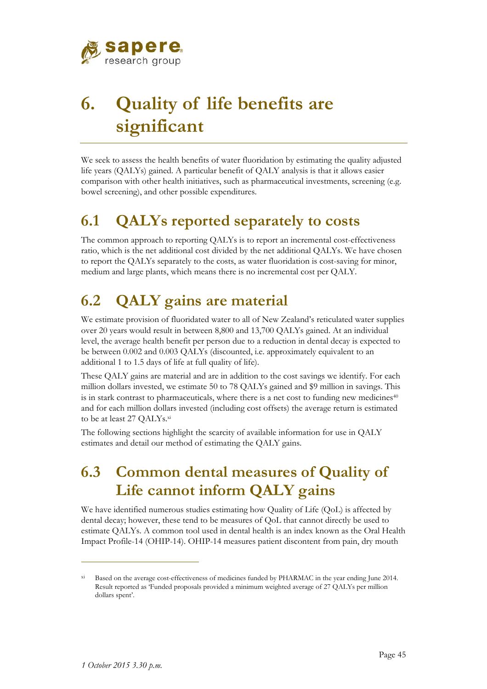

# **6. Quality of life benefits are significant**

We seek to assess the health benefits of water fluoridation by estimating the quality adjusted life years (QALYs) gained. A particular benefit of QALY analysis is that it allows easier comparison with other health initiatives, such as pharmaceutical investments, screening (e.g. bowel screening), and other possible expenditures.

# **6.1 QALYs reported separately to costs**

The common approach to reporting QALYs is to report an incremental cost-effectiveness ratio, which is the net additional cost divided by the net additional QALYs. We have chosen to report the QALYs separately to the costs, as water fluoridation is cost-saving for minor, medium and large plants, which means there is no incremental cost per QALY.

# **6.2 QALY gains are material**

We estimate provision of fluoridated water to all of New Zealand's reticulated water supplies over 20 years would result in between 8,800 and 13,700 QALYs gained. At an individual level, the average health benefit per person due to a reduction in dental decay is expected to be between 0.002 and 0.003 QALYs (discounted, i.e. approximately equivalent to an additional 1 to 1.5 days of life at full quality of life).

These QALY gains are material and are in addition to the cost savings we identify. For each million dollars invested, we estimate 50 to 78 QALYs gained and \$9 million in savings. This is in stark contrast to pharmaceuticals, where there is a net cost to funding new medicines $40$ and for each million dollars invested (including cost offsets) the average return is estimated to be at least 27 QALYs.xi

The following sections highlight the scarcity of available information for use in QALY estimates and detail our method of estimating the QALY gains.

# **6.3 Common dental measures of Quality of Life cannot inform QALY gains**

We have identified numerous studies estimating how Quality of Life (QoL) is affected by dental decay; however, these tend to be measures of QoL that cannot directly be used to estimate QALYs. A common tool used in dental health is an index known as the Oral Health Impact Profile-14 (OHIP-14). OHIP-14 measures patient discontent from pain, dry mouth

 $\overline{a}$ 

xi Based on the average cost-effectiveness of medicines funded by PHARMAC in the year ending June 2014. Result reported as 'Funded proposals provided a minimum weighted average of 27 QALYs per million dollars spent'.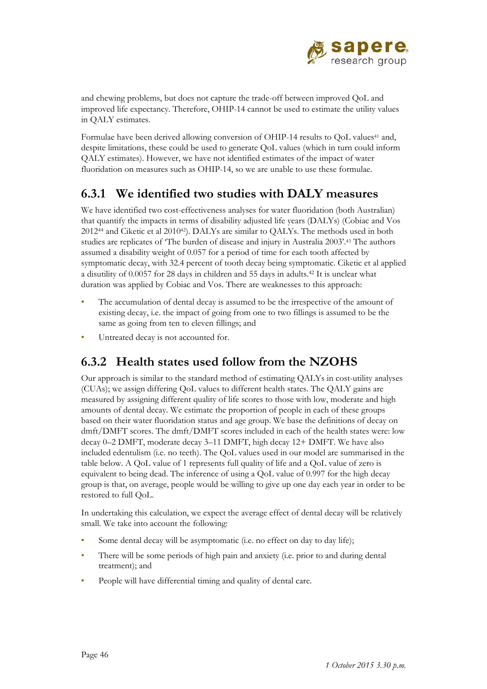

and chewing problems, but does not capture the trade-off between improved QoL and improved life expectancy. Therefore, OHIP-14 cannot be used to estimate the utility values in QALY estimates.

Formulae have been derived allowing conversion of OHIP-14 results to QoL values<sup>41</sup> and, despite limitations, these could be used to generate QoL values (which in turn could inform QALY estimates). However, we have not identified estimates of the impact of water fluoridation on measures such as OHIP-14, so we are unable to use these formulae.

### **6.3.1 We identified two studies with DALY measures**

We have identified two cost-effectiveness analyses for water fluoridation (both Australian) that quantify the impacts in terms of disability adjusted life years (DALYs) (Cobiac and Vos  $2012<sup>44</sup>$  and Ciketic et al  $2010<sup>42</sup>$ . DALYs are similar to QALYs. The methods used in both studies are replicates of 'The burden of disease and injury in Australia 2003'.43 The authors assumed a disability weight of 0.057 for a period of time for each tooth affected by symptomatic decay, with 32.4 percent of tooth decay being symptomatic. Ciketic et al applied a disutility of 0.0057 for 28 days in children and 55 days in adults.42 It is unclear what duration was applied by Cobiac and Vos. There are weaknesses to this approach:

- The accumulation of dental decay is assumed to be the irrespective of the amount of existing decay, i.e. the impact of going from one to two fillings is assumed to be the same as going from ten to eleven fillings; and
- Untreated decay is not accounted for.

### **6.3.2 Health states used follow from the NZOHS**

Our approach is similar to the standard method of estimating QALYs in cost-utility analyses (CUAs); we assign differing QoL values to different health states. The QALY gains are measured by assigning different quality of life scores to those with low, moderate and high amounts of dental decay. We estimate the proportion of people in each of these groups based on their water fluoridation status and age group. We base the definitions of decay on dmft/DMFT scores. The dmft/DMFT scores included in each of the health states were: low decay 0–2 DMFT, moderate decay 3–11 DMFT, high decay 12+ DMFT. We have also included edentulism (i.e. no teeth). The QoL values used in our model are summarised in the table below. A QoL value of 1 represents full quality of life and a QoL value of zero is equivalent to being dead. The inference of using a QoL value of 0.997 for the high decay group is that, on average, people would be willing to give up one day each year in order to be restored to full QoL.

In undertaking this calculation, we expect the average effect of dental decay will be relatively small. We take into account the following:

- Some dental decay will be asymptomatic (i.e. no effect on day to day life);
- There will be some periods of high pain and anxiety (i.e. prior to and during dental treatment); and
- People will have differential timing and quality of dental care.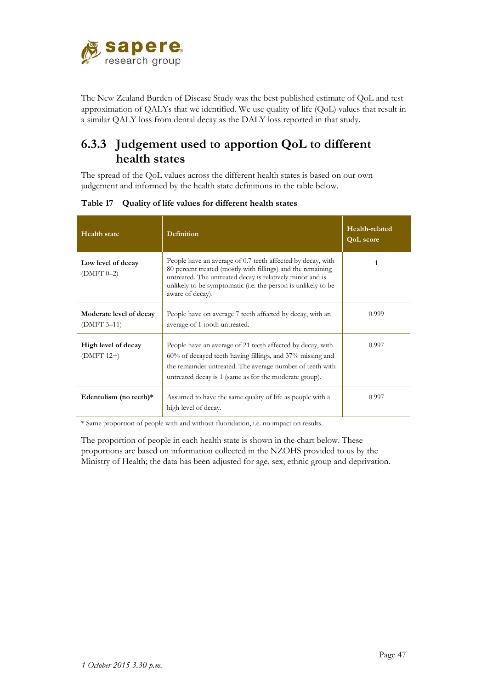

The New Zealand Burden of Disease Study was the best published estimate of QoL and test approximation of QALYs that we identified. We use quality of life (QoL) values that result in a similar QALY loss from dental decay as the DALY loss reported in that study.

### **6.3.3 Judgement used to apportion QoL to different health states**

The spread of the QoL values across the different health states is based on our own judgement and informed by the health state definitions in the table below.

| <b>Health</b> state                    | Definition                                                                                                                                                                                                                                                                   | Health-related<br><b>QoL</b> score |
|----------------------------------------|------------------------------------------------------------------------------------------------------------------------------------------------------------------------------------------------------------------------------------------------------------------------------|------------------------------------|
| Low level of decay<br>$(DMFT 0-2)$     | People have an average of 0.7 teeth affected by decay, with<br>80 percent treated (mostly with fillings) and the remaining<br>untreated. The untreated decay is relatively minor and is<br>unlikely to be symptomatic (i.e. the person is unlikely to be<br>aware of decay). | 1                                  |
| Moderate level of decay<br>(DMFT 3–11) | People have on average 7 teeth affected by decay, with an<br>average of 1 tooth untreated.                                                                                                                                                                                   | 0.999                              |
| High level of decay<br>$(DMFT 12+)$    | People have an average of 21 teeth affected by decay, with<br>$60\%$ of decayed teeth having fillings, and $37\%$ missing and<br>the remainder untreated. The average number of teeth with<br>untreated decay is 1 (same as for the moderate group).                         | 0.997                              |
| Edentulism (no teeth)*                 | Assumed to have the same quality of life as people with a<br>high level of decay.                                                                                                                                                                                            | 0.997                              |

**Table 17 Quality of life values for different health states**

\* Same proportion of people with and without fluoridation, i.e. no impact on results.

The proportion of people in each health state is shown in the chart below. These proportions are based on information collected in the NZOHS provided to us by the Ministry of Health; the data has been adjusted for age, sex, ethnic group and deprivation.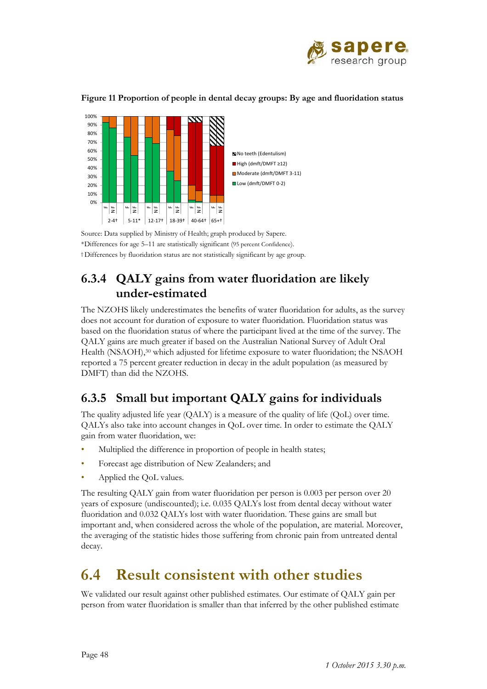



**Figure 11 Proportion of people in dental decay groups: By age and fluoridation status** 

Source: Data supplied by Ministry of Health; graph produced by Sapere. \*Differences for age 5–11 are statistically significant (95 percent Confidence). † Differences by fluoridation status are not statistically significant by age group.

### **6.3.4 QALY gains from water fluoridation are likely under-estimated**

The NZOHS likely underestimates the benefits of water fluoridation for adults, as the survey does not account for duration of exposure to water fluoridation. Fluoridation status was based on the fluoridation status of where the participant lived at the time of the survey. The QALY gains are much greater if based on the Australian National Survey of Adult Oral Health (NSAOH),<sup>30</sup> which adjusted for lifetime exposure to water fluoridation; the NSAOH reported a 75 percent greater reduction in decay in the adult population (as measured by DMFT) than did the NZOHS.

### **6.3.5 Small but important QALY gains for individuals**

The quality adjusted life year (QALY) is a measure of the quality of life (QoL) over time. QALYs also take into account changes in QoL over time. In order to estimate the QALY gain from water fluoridation, we:

- Multiplied the difference in proportion of people in health states;
- Forecast age distribution of New Zealanders; and
- Applied the QoL values.

The resulting QALY gain from water fluoridation per person is 0.003 per person over 20 years of exposure (undiscounted); i.e. 0.035 QALYs lost from dental decay without water fluoridation and 0.032 QALYs lost with water fluoridation. These gains are small but important and, when considered across the whole of the population, are material. Moreover, the averaging of the statistic hides those suffering from chronic pain from untreated dental decay.

# **6.4 Result consistent with other studies**

We validated our result against other published estimates. Our estimate of QALY gain per person from water fluoridation is smaller than that inferred by the other published estimate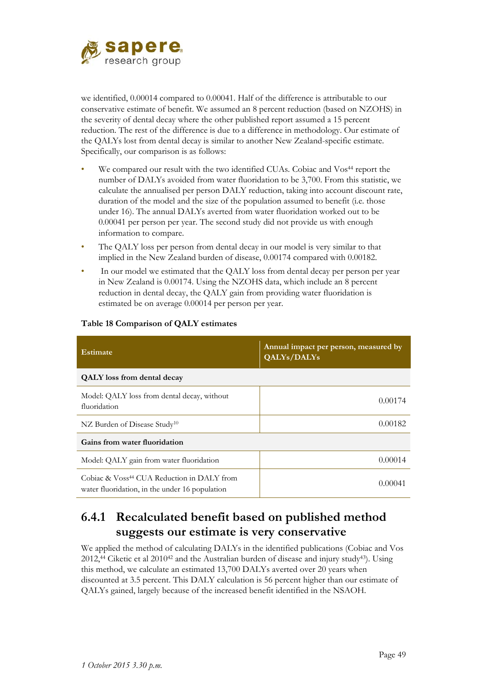

we identified, 0.00014 compared to 0.00041. Half of the difference is attributable to our conservative estimate of benefit. We assumed an 8 percent reduction (based on NZOHS) in the severity of dental decay where the other published report assumed a 15 percent reduction. The rest of the difference is due to a difference in methodology. Our estimate of the QALYs lost from dental decay is similar to another New Zealand-specific estimate. Specifically, our comparison is as follows:

- We compared our result with the two identified CUAs. Cobiac and Vos<sup>44</sup> report the number of DALYs avoided from water fluoridation to be 3,700. From this statistic, we calculate the annualised per person DALY reduction, taking into account discount rate, duration of the model and the size of the population assumed to benefit (i.e. those under 16). The annual DALYs averted from water fluoridation worked out to be 0.00041 per person per year. The second study did not provide us with enough information to compare.
- The QALY loss per person from dental decay in our model is very similar to that implied in the New Zealand burden of disease, 0.00174 compared with 0.00182.
- In our model we estimated that the QALY loss from dental decay per person per year in New Zealand is 0.00174. Using the NZOHS data, which include an 8 percent reduction in dental decay, the QALY gain from providing water fluoridation is estimated be on average 0.00014 per person per year.

| <b>Estimate</b>                                                                                          | Annual impact per person, measured by<br>QALYs/DALYs |
|----------------------------------------------------------------------------------------------------------|------------------------------------------------------|
| <b>QALY</b> loss from dental decay                                                                       |                                                      |
| Model: QALY loss from dental decay, without<br>fluoridation                                              | 0.00174                                              |
| NZ Burden of Disease Study <sup>10</sup>                                                                 | 0.00182                                              |
| Gains from water fluoridation                                                                            |                                                      |
| Model: QALY gain from water fluoridation                                                                 | 0.00014                                              |
| Cobiac & Voss <sup>44</sup> CUA Reduction in DALY from<br>water fluoridation, in the under 16 population | 0.00041                                              |

#### **Table 18 Comparison of QALY estimates**

### **6.4.1 Recalculated benefit based on published method suggests our estimate is very conservative**

We applied the method of calculating DALYs in the identified publications (Cobiac and Vos 2012,44 Ciketic et al 201042 and the Australian burden of disease and injury study43). Using this method, we calculate an estimated 13,700 DALYs averted over 20 years when discounted at 3.5 percent. This DALY calculation is 56 percent higher than our estimate of QALYs gained, largely because of the increased benefit identified in the NSAOH.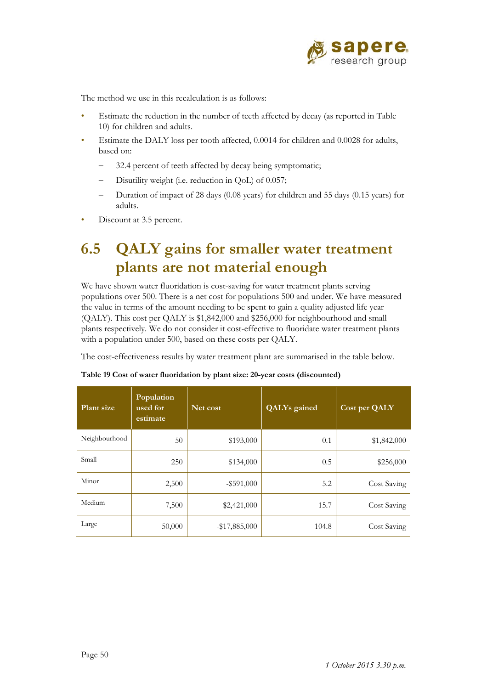

The method we use in this recalculation is as follows:

- Estimate the reduction in the number of teeth affected by decay (as reported in Table 10) for children and adults.
- Estimate the DALY loss per tooth affected, 0.0014 for children and 0.0028 for adults, based on:
	- 32.4 percent of teeth affected by decay being symptomatic;
	- Disutility weight (i.e. reduction in QoL) of 0.057;
	- Duration of impact of 28 days (0.08 years) for children and 55 days (0.15 years) for adults.
- Discount at 3.5 percent.

# **6.5 QALY gains for smaller water treatment plants are not material enough**

We have shown water fluoridation is cost-saving for water treatment plants serving populations over 500. There is a net cost for populations 500 and under. We have measured the value in terms of the amount needing to be spent to gain a quality adjusted life year (QALY). This cost per QALY is \$1,842,000 and \$256,000 for neighbourhood and small plants respectively. We do not consider it cost-effective to fluoridate water treatment plants with a population under 500, based on these costs per QALY.

The cost-effectiveness results by water treatment plant are summarised in the table below.

| Plant size    | Population<br>used for<br>estimate | Net cost         | <b>QALYs</b> gained | Cost per QALY |
|---------------|------------------------------------|------------------|---------------------|---------------|
| Neighbourhood | 50                                 | \$193,000        | 0.1                 | \$1,842,000   |
| Small         | 250                                | \$134,000        | 0.5                 | \$256,000     |
| Minor         | 2,500                              | $-$ \$591,000    | 5.2                 | Cost Saving   |
| Medium        | 7,500                              | $-$ \$2,421,000  | 15.7                | Cost Saving   |
| Large         | 50,000                             | $-$ \$17,885,000 | 104.8               | Cost Saving   |

**Table 19 Cost of water fluoridation by plant size: 20-year costs (discounted)**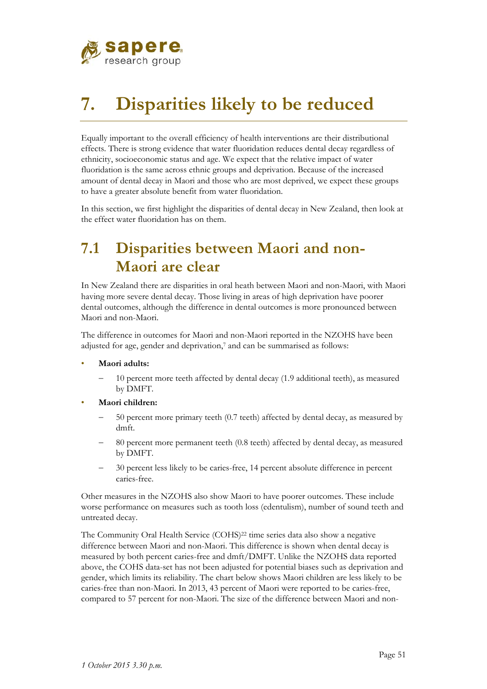

# **7. Disparities likely to be reduced**

Equally important to the overall efficiency of health interventions are their distributional effects. There is strong evidence that water fluoridation reduces dental decay regardless of ethnicity, socioeconomic status and age. We expect that the relative impact of water fluoridation is the same across ethnic groups and deprivation. Because of the increased amount of dental decay in Maori and those who are most deprived, we expect these groups to have a greater absolute benefit from water fluoridation.

In this section, we first highlight the disparities of dental decay in New Zealand, then look at the effect water fluoridation has on them.

# **7.1 Disparities between Maori and non-Maori are clear**

In New Zealand there are disparities in oral heath between Maori and non-Maori, with Maori having more severe dental decay. Those living in areas of high deprivation have poorer dental outcomes, although the difference in dental outcomes is more pronounced between Maori and non-Maori.

The difference in outcomes for Maori and non-Maori reported in the NZOHS have been adjusted for age, gender and deprivation,<sup>7</sup> and can be summarised as follows:

- **Maori adults:** 
	- 10 percent more teeth affected by dental decay (1.9 additional teeth), as measured by DMFT.
- **Maori children:** 
	- 50 percent more primary teeth (0.7 teeth) affected by dental decay, as measured by dmft.
	- 80 percent more permanent teeth (0.8 teeth) affected by dental decay, as measured by DMFT.
	- 30 percent less likely to be caries-free, 14 percent absolute difference in percent caries-free.

Other measures in the NZOHS also show Maori to have poorer outcomes. These include worse performance on measures such as tooth loss (edentulism), number of sound teeth and untreated decay.

The Community Oral Health Service (COHS)<sup>22</sup> time series data also show a negative difference between Maori and non-Maori. This difference is shown when dental decay is measured by both percent caries-free and dmft/DMFT. Unlike the NZOHS data reported above, the COHS data-set has not been adjusted for potential biases such as deprivation and gender, which limits its reliability. The chart below shows Maori children are less likely to be caries-free than non-Maori. In 2013, 43 percent of Maori were reported to be caries-free, compared to 57 percent for non-Maori. The size of the difference between Maori and non-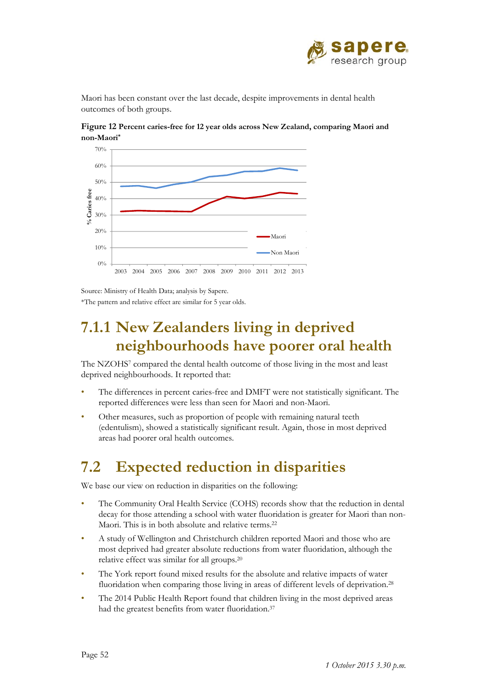

Maori has been constant over the last decade, despite improvements in dental health outcomes of both groups.



**Figure 12 Percent caries-free for 12 year olds across New Zealand, comparing Maori and non-Maori\***

Source: Ministry of Health Data; analysis by Sapere. \*The pattern and relative effect are similar for 5 year olds.

## **7.1.1 New Zealanders living in deprived neighbourhoods have poorer oral health**

The NZOHS<sup>7</sup> compared the dental health outcome of those living in the most and least deprived neighbourhoods. It reported that:

- The differences in percent caries-free and DMFT were not statistically significant. The reported differences were less than seen for Maori and non-Maori.
- Other measures, such as proportion of people with remaining natural teeth (edentulism), showed a statistically significant result. Again, those in most deprived areas had poorer oral health outcomes.

# **7.2 Expected reduction in disparities**

We base our view on reduction in disparities on the following:

- The Community Oral Health Service (COHS) records show that the reduction in dental decay for those attending a school with water fluoridation is greater for Maori than non-Maori. This is in both absolute and relative terms.22
- A study of Wellington and Christchurch children reported Maori and those who are most deprived had greater absolute reductions from water fluoridation, although the relative effect was similar for all groups.20
- The York report found mixed results for the absolute and relative impacts of water fluoridation when comparing those living in areas of different levels of deprivation.<sup>28</sup>
- The 2014 Public Health Report found that children living in the most deprived areas had the greatest benefits from water fluoridation.<sup>37</sup>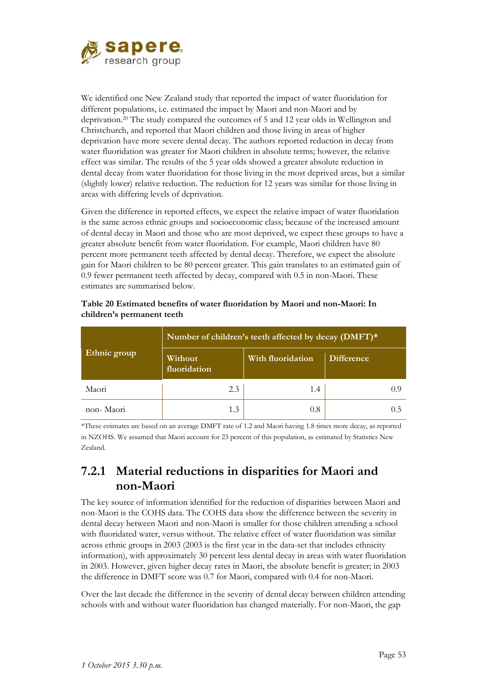

We identified one New Zealand study that reported the impact of water fluoridation for different populations, i.e. estimated the impact by Maori and non-Maori and by deprivation.20 The study compared the outcomes of 5 and 12 year olds in Wellington and Christchurch, and reported that Maori children and those living in areas of higher deprivation have more severe dental decay. The authors reported reduction in decay from water fluoridation was greater for Maori children in absolute terms; however, the relative effect was similar. The results of the 5 year olds showed a greater absolute reduction in dental decay from water fluoridation for those living in the most deprived areas, but a similar (slightly lower) relative reduction. The reduction for 12 years was similar for those living in areas with differing levels of deprivation.

Given the difference in reported effects, we expect the relative impact of water fluoridation is the same across ethnic groups and socioeconomic class; because of the increased amount of dental decay in Maori and those who are most deprived, we expect these groups to have a greater absolute benefit from water fluoridation. For example, Maori children have 80 percent more permanent teeth affected by dental decay. Therefore, we expect the absolute gain for Maori children to be 80 percent greater. This gain translates to an estimated gain of 0.9 fewer permanent teeth affected by decay, compared with 0.5 in non-Maori. These estimates are summarised below.

|              | Number of children's teeth affected by decay (DMFT)* |                   |                   |  |  |  |
|--------------|------------------------------------------------------|-------------------|-------------------|--|--|--|
| Ethnic group | Without<br>fluoridation                              | With fluoridation | <b>Difference</b> |  |  |  |
| Maori        | 2.3                                                  | 1.4               | (1.9)             |  |  |  |
| non-Maori    |                                                      | 0.8               |                   |  |  |  |

**Table 20 Estimated benefits of water fluoridation by Maori and non-Maori: In children's permanent teeth** 

\*These estimates are based on an average DMFT rate of 1.2 and Maori having 1.8 times more decay, as reported in NZOHS. We assumed that Maori account for 23 percent of this population, as estimated by Statistics New Zealand.

### **7.2.1 Material reductions in disparities for Maori and non-Maori**

The key source of information identified for the reduction of disparities between Maori and non-Maori is the COHS data. The COHS data show the difference between the severity in dental decay between Maori and non-Maori is smaller for those children attending a school with fluoridated water, versus without. The relative effect of water fluoridation was similar across ethnic groups in 2003 (2003 is the first year in the data-set that includes ethnicity information), with approximately 30 percent less dental decay in areas with water fluoridation in 2003. However, given higher decay rates in Maori, the absolute benefit is greater; in 2003 the difference in DMFT score was 0.7 for Maori, compared with 0.4 for non-Maori.

Over the last decade the difference in the severity of dental decay between children attending schools with and without water fluoridation has changed materially. For non-Maori, the gap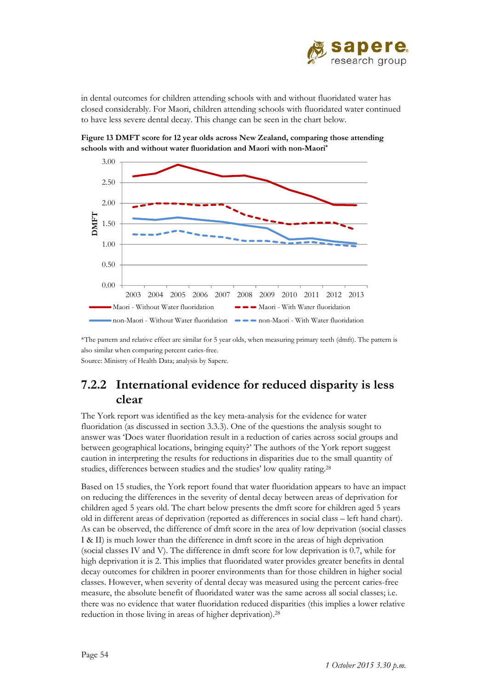

in dental outcomes for children attending schools with and without fluoridated water has closed considerably. For Maori, children attending schools with fluoridated water continued to have less severe dental decay. This change can be seen in the chart below.

**Figure 13 DMFT score for 12 year olds across New Zealand, comparing those attending** 

**schools with and without water fluoridation and Maori with non-Maori\*** 1.00 1.50 2.00 2.50 3.00 **DMFT**



\*The pattern and relative effect are similar for 5 year olds, when measuring primary teeth (dmft). The pattern is also similar when comparing percent caries-free. Source: Ministry of Health Data; analysis by Sapere.

### **7.2.2 International evidence for reduced disparity is less clear**

The York report was identified as the key meta-analysis for the evidence for water fluoridation (as discussed in section 3.3.3). One of the questions the analysis sought to answer was 'Does water fluoridation result in a reduction of caries across social groups and between geographical locations, bringing equity?' The authors of the York report suggest caution in interpreting the results for reductions in disparities due to the small quantity of studies, differences between studies and the studies' low quality rating.28

Based on 15 studies, the York report found that water fluoridation appears to have an impact on reducing the differences in the severity of dental decay between areas of deprivation for children aged 5 years old. The chart below presents the dmft score for children aged 5 years old in different areas of deprivation (reported as differences in social class – left hand chart). As can be observed, the difference of dmft score in the area of low deprivation (social classes I & II) is much lower than the difference in dmft score in the areas of high deprivation (social classes IV and V). The difference in dmft score for low deprivation is 0.7, while for high deprivation it is 2. This implies that fluoridated water provides greater benefits in dental decay outcomes for children in poorer environments than for those children in higher social classes. However, when severity of dental decay was measured using the percent caries-free measure, the absolute benefit of fluoridated water was the same across all social classes; i.e. there was no evidence that water fluoridation reduced disparities (this implies a lower relative reduction in those living in areas of higher deprivation).28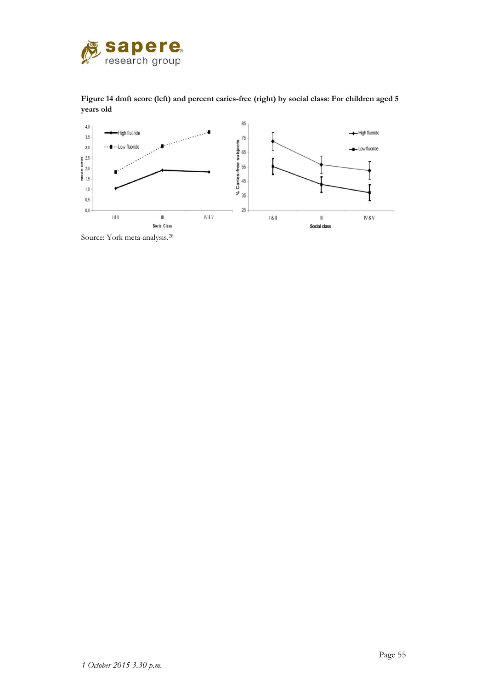

**Figure 14 dmft score (left) and percent caries-free (right) by social class: For children aged 5 years old** 



Source: York meta-analysis.28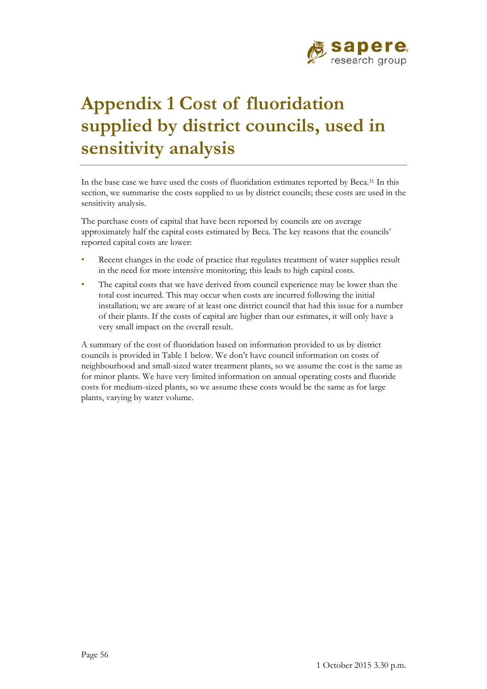

# **Appendix 1 Cost of fluoridation supplied by district councils, used in sensitivity analysis**

In the base case we have used the costs of fluoridation estimates reported by Beca.31 In this section, we summarise the costs supplied to us by district councils; these costs are used in the sensitivity analysis.

The purchase costs of capital that have been reported by councils are on average approximately half the capital costs estimated by Beca. The key reasons that the councils' reported capital costs are lower:

- Recent changes in the code of practice that regulates treatment of water supplies result in the need for more intensive monitoring; this leads to high capital costs.
- The capital costs that we have derived from council experience may be lower than the total cost incurred. This may occur when costs are incurred following the initial installation; we are aware of at least one district council that had this issue for a number of their plants. If the costs of capital are higher than our estimates, it will only have a very small impact on the overall result.

A summary of the cost of fluoridation based on information provided to us by district councils is provided in Table 1 below. We don't have council information on costs of neighbourhood and small-sized water treatment plants, so we assume the cost is the same as for minor plants. We have very limited information on annual operating costs and fluoride costs for medium-sized plants, so we assume these costs would be the same as for large plants, varying by water volume.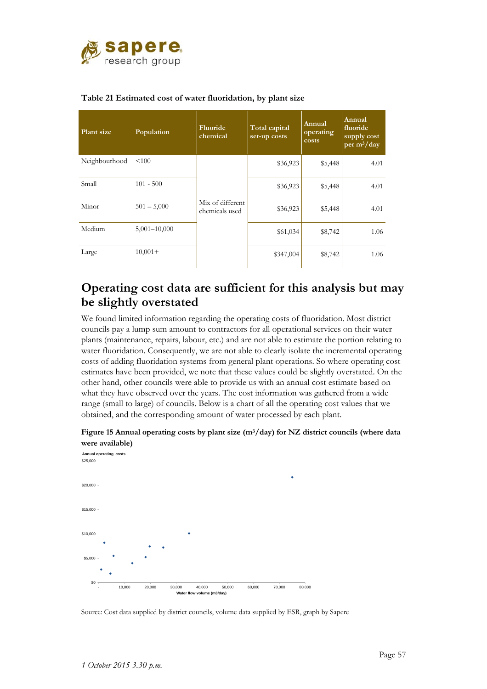

| Plant size    | Population       | Fluoride<br>chemical               | Total capital<br>set-up costs | Annual<br>operating<br>costs | Annual<br>fluoride<br>supply cost<br>per $m^3$ /day |
|---------------|------------------|------------------------------------|-------------------------------|------------------------------|-----------------------------------------------------|
| Neighbourhood | < 100            |                                    | \$36,923                      | \$5,448                      | 4.01                                                |
| Small         | $101 - 500$      |                                    | \$36,923                      | \$5,448                      | 4.01                                                |
| Minor         | $501 - 5,000$    | Mix of different<br>chemicals used | \$36,923                      | \$5,448                      | 4.01                                                |
| Medium        | $5,001 - 10,000$ |                                    | \$61,034                      | \$8,742                      | 1.06                                                |
| Large         | $10,001+$        |                                    | \$347,004                     | \$8,742                      | 1.06                                                |

#### **Table 21 Estimated cost of water fluoridation, by plant size**

### **Operating cost data are sufficient for this analysis but may be slightly overstated**

We found limited information regarding the operating costs of fluoridation. Most district councils pay a lump sum amount to contractors for all operational services on their water plants (maintenance, repairs, labour, etc.) and are not able to estimate the portion relating to water fluoridation. Consequently, we are not able to clearly isolate the incremental operating costs of adding fluoridation systems from general plant operations. So where operating cost estimates have been provided, we note that these values could be slightly overstated. On the other hand, other councils were able to provide us with an annual cost estimate based on what they have observed over the years. The cost information was gathered from a wide range (small to large) of councils. Below is a chart of all the operating cost values that we obtained, and the corresponding amount of water processed by each plant.



**Figure 15 Annual operating costs by plant size (m3/day) for NZ district councils (where data were available)** 

Source: Cost data supplied by district councils, volume data supplied by ESR, graph by Sapere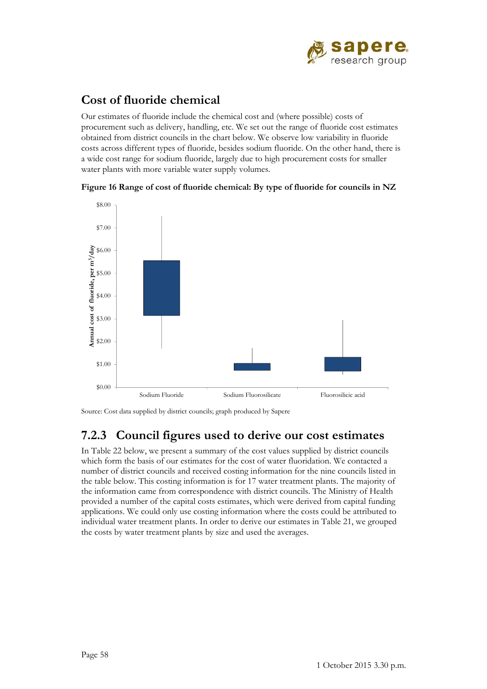

### **Cost of fluoride chemical**

Our estimates of fluoride include the chemical cost and (where possible) costs of procurement such as delivery, handling, etc. We set out the range of fluoride cost estimates obtained from district councils in the chart below. We observe low variability in fluoride costs across different types of fluoride, besides sodium fluoride. On the other hand, there is a wide cost range for sodium fluoride, largely due to high procurement costs for smaller water plants with more variable water supply volumes.





Source: Cost data supplied by district councils; graph produced by Sapere

### **7.2.3 Council figures used to derive our cost estimates**

In Table 22 below, we present a summary of the cost values supplied by district councils which form the basis of our estimates for the cost of water fluoridation. We contacted a number of district councils and received costing information for the nine councils listed in the table below. This costing information is for 17 water treatment plants. The majority of the information came from correspondence with district councils. The Ministry of Health provided a number of the capital costs estimates, which were derived from capital funding applications. We could only use costing information where the costs could be attributed to individual water treatment plants. In order to derive our estimates in Table 21, we grouped the costs by water treatment plants by size and used the averages.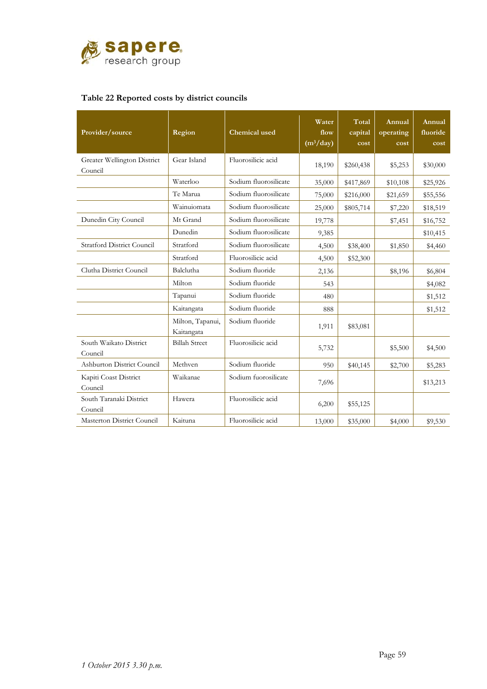

#### **Table 22 Reported costs by district councils**

| Provider/source                        | Region                         | <b>Chemical</b> used  | Water<br>flow<br>(m <sup>3</sup> /day) | Total<br>capital<br>cost | Annual<br>operating<br>cost | Annual<br>fluoride<br>cost |
|----------------------------------------|--------------------------------|-----------------------|----------------------------------------|--------------------------|-----------------------------|----------------------------|
| Greater Wellington District<br>Council | Gear Island                    | Fluorosilicic acid    | 18,190                                 | \$260,438                | \$5,253                     | \$30,000                   |
|                                        | Waterloo                       | Sodium fluorosilicate | 35,000                                 | \$417,869                | \$10,108                    | \$25,926                   |
|                                        | Te Marua                       | Sodium fluorosilicate | 75,000                                 | \$216,000                | \$21,659                    | \$55,556                   |
|                                        | Wainuiomata                    | Sodium fluorosilicate | 25,000                                 | \$805,714                | \$7,220                     | \$18,519                   |
| Dunedin City Council                   | Mt Grand                       | Sodium fluorosilicate | 19,778                                 |                          | \$7,451                     | \$16,752                   |
|                                        | Dunedin                        | Sodium fluorosilicate | 9,385                                  |                          |                             | \$10,415                   |
| <b>Stratford District Council</b>      | Stratford                      | Sodium fluorosilicate | 4,500                                  | \$38,400                 | \$1,850                     | \$4,460                    |
|                                        | Stratford                      | Fluorosilicic acid    | 4,500                                  | \$52,300                 |                             |                            |
| Clutha District Council                | Balclutha                      | Sodium fluoride       | 2,136                                  |                          | \$8,196                     | \$6,804                    |
|                                        | Milton                         | Sodium fluoride       | 543                                    |                          |                             | \$4,082                    |
|                                        | Tapanui                        | Sodium fluoride       | 480                                    |                          |                             | \$1,512                    |
|                                        | Kaitangata                     | Sodium fluoride       | 888                                    |                          |                             | \$1,512                    |
|                                        | Milton, Tapanui,<br>Kaitangata | Sodium fluoride       | 1,911                                  | \$83,081                 |                             |                            |
| South Waikato District<br>Council      | <b>Billah Street</b>           | Fluorosilicic acid    | 5,732                                  |                          | \$5,500                     | \$4,500                    |
| Ashburton District Council             | Methven                        | Sodium fluoride       | 950                                    | \$40,145                 | \$2,700                     | \$5,283                    |
| Kapiti Coast District<br>Council       | Waikanae                       | Sodium fuorosilicate  | 7,696                                  |                          |                             | \$13,213                   |
| South Taranaki District<br>Council     | Hawera                         | Fluorosilicic acid    | 6,200                                  | \$55,125                 |                             |                            |
| Masterton District Council             | Kaituna                        | Fluorosilicic acid    | 13,000                                 | \$35,000                 | \$4,000                     | \$9,530                    |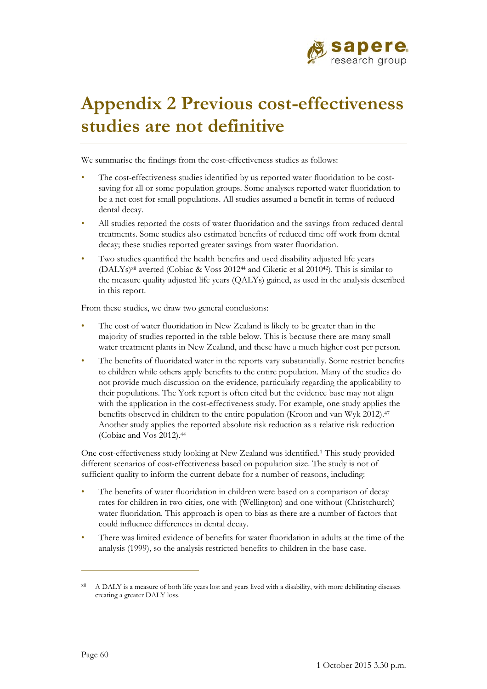

# **Appendix 2 Previous cost-effectiveness studies are not definitive**

We summarise the findings from the cost-effectiveness studies as follows:

- The cost-effectiveness studies identified by us reported water fluoridation to be costsaving for all or some population groups. Some analyses reported water fluoridation to be a net cost for small populations. All studies assumed a benefit in terms of reduced dental decay.
- All studies reported the costs of water fluoridation and the savings from reduced dental treatments. Some studies also estimated benefits of reduced time off work from dental decay; these studies reported greater savings from water fluoridation.
- Two studies quantified the health benefits and used disability adjusted life years (DALYs)<sup>xii</sup> averted (Cobiac & Voss 2012<sup>44</sup> and Ciketic et al 2010<sup>42</sup>). This is similar to the measure quality adjusted life years (QALYs) gained, as used in the analysis described in this report.

From these studies, we draw two general conclusions:

- The cost of water fluoridation in New Zealand is likely to be greater than in the majority of studies reported in the table below. This is because there are many small water treatment plants in New Zealand, and these have a much higher cost per person.
- The benefits of fluoridated water in the reports vary substantially. Some restrict benefits to children while others apply benefits to the entire population. Many of the studies do not provide much discussion on the evidence, particularly regarding the applicability to their populations. The York report is often cited but the evidence base may not align with the application in the cost-effectiveness study. For example, one study applies the benefits observed in children to the entire population (Kroon and van Wyk 2012).47 Another study applies the reported absolute risk reduction as a relative risk reduction (Cobiac and Vos 2012).44

One cost-effectiveness study looking at New Zealand was identified.1 This study provided different scenarios of cost-effectiveness based on population size. The study is not of sufficient quality to inform the current debate for a number of reasons, including:

- The benefits of water fluoridation in children were based on a comparison of decay rates for children in two cities, one with (Wellington) and one without (Christchurch) water fluoridation. This approach is open to bias as there are a number of factors that could influence differences in dental decay.
- There was limited evidence of benefits for water fluoridation in adults at the time of the analysis (1999), so the analysis restricted benefits to children in the base case.

 $\overline{a}$ 

A DALY is a measure of both life years lost and years lived with a disability, with more debilitating diseases creating a greater DALY loss.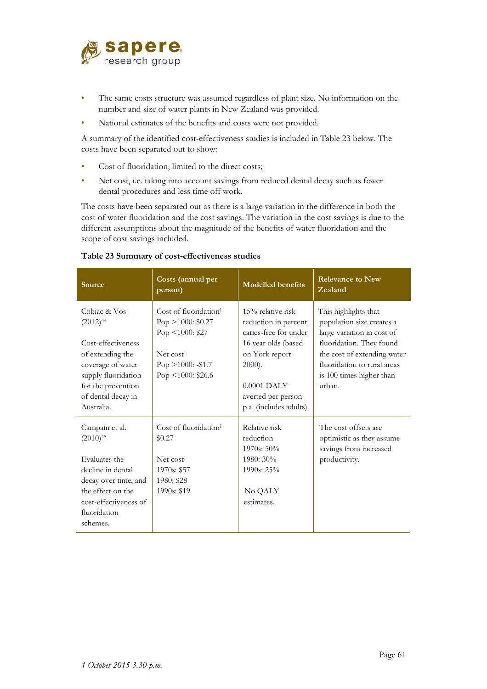

- The same costs structure was assumed regardless of plant size. No information on the number and size of water plants in New Zealand was provided.
- National estimates of the benefits and costs were not provided.

A summary of the identified cost-effectiveness studies is included in Table 23 below. The costs have been separated out to show:

- Cost of fluoridation, limited to the direct costs;
- Net cost, i.e. taking into account savings from reduced dental decay such as fewer dental procedures and less time off work.

The costs have been separated out as there is a large variation in the difference in both the cost of water fluoridation and the cost savings. The variation in the cost savings is due to the different assumptions about the magnitude of the benefits of water fluoridation and the scope of cost savings included.

| Source                                                                                                                                                                        | Costs (annual per<br>person)                                                                                                                               | <b>Modelled benefits</b>                                                                                                                                                                   | <b>Relevance to New</b><br>Zealand                                                                                                                                                                              |
|-------------------------------------------------------------------------------------------------------------------------------------------------------------------------------|------------------------------------------------------------------------------------------------------------------------------------------------------------|--------------------------------------------------------------------------------------------------------------------------------------------------------------------------------------------|-----------------------------------------------------------------------------------------------------------------------------------------------------------------------------------------------------------------|
| Cobiac & Vos<br>$(2012)^{44}$<br>Cost-effectiveness<br>of extending the<br>coverage of water<br>supply fluoridation<br>for the prevention<br>of dental decay in<br>Australia. | Cost of fluoridation <sup>1</sup><br>Pop $>1000$ : \$0.27<br>Pop $\leq 1000$ : \$27<br>Net cost <sup>1</sup><br>Pop $>1000$ : -\$1.7<br>Pop <1000: $$26.6$ | 15% relative risk<br>reduction in percent<br>caries-free for under<br>16 year olds (based<br>on York report<br>$2000$ ).<br>$0.0001$ DALY<br>averted per person<br>p.a. (includes adults). | This highlights that<br>population size creates a<br>large variation in cost of<br>fluoridation. They found<br>the cost of extending water<br>fluoridation to rural areas<br>is 100 times higher than<br>urban. |
| Campain et al.<br>$(2010)^{45}$<br>Evaluates the<br>decline in dental<br>decay over time, and<br>the effect on the<br>cost-effectiveness of<br>fluoridation<br>schemes.       | Cost of fluoridation <sup>1</sup><br>\$0.27<br>Net cost <sup>1</sup><br>1970s: \$57<br>1980: \$28<br>1990s: \$19                                           | Relative risk<br>reduction<br>$1970s: 50\%$<br>1980: 30%<br>$1990s: 25\%$<br>No QALY<br>estimates.                                                                                         | The cost offsets are<br>optimistic as they assume<br>savings from increased<br>productivity.                                                                                                                    |

## **Table 23 Summary of cost-effectiveness studies**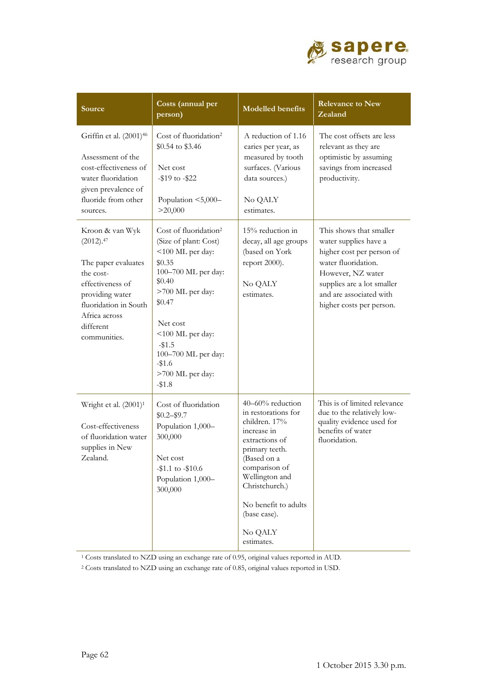

| Source                                                                                                                                                                         | Costs (annual per<br>person)                                                                                                                                                                                                                                      | <b>Modelled benefits</b>                                                                                                                                                                                                                         | <b>Relevance to New</b><br>Zealand                                                                                                                                                                             |
|--------------------------------------------------------------------------------------------------------------------------------------------------------------------------------|-------------------------------------------------------------------------------------------------------------------------------------------------------------------------------------------------------------------------------------------------------------------|--------------------------------------------------------------------------------------------------------------------------------------------------------------------------------------------------------------------------------------------------|----------------------------------------------------------------------------------------------------------------------------------------------------------------------------------------------------------------|
| Griffin et al. (2001) <sup>46</sup><br>Assessment of the<br>cost-effectiveness of<br>water fluoridation<br>given prevalence of<br>fluoride from other<br>sources.              | Cost of fluoridation <sup>2</sup><br>\$0.54 to \$3.46<br>Net cost<br>-\$19 to -\$22<br>Population <5,000-<br>>20,000                                                                                                                                              | A reduction of 1.16<br>caries per year, as<br>measured by tooth<br>surfaces. (Various<br>data sources.)<br>No QALY<br>estimates.                                                                                                                 | The cost offsets are less<br>relevant as they are<br>optimistic by assuming<br>savings from increased<br>productivity.                                                                                         |
| Kroon & van Wyk<br>(2012).47<br>The paper evaluates<br>the cost-<br>effectiveness of<br>providing water<br>fluoridation in South<br>Africa across<br>different<br>communities. | Cost of fluoridation <sup>2</sup><br>(Size of plant: Cost)<br><100 ML per day:<br>\$0.35<br>100-700 ML per day:<br>\$0.40<br>>700 ML per day:<br>\$0.47<br>Net cost<br><100 ML per day:<br>$-$1.5$<br>100-700 ML per day:<br>$-1.6$<br>>700 ML per day:<br>$-1.8$ | 15% reduction in<br>decay, all age groups<br>(based on York<br>report 2000).<br>No QALY<br>estimates.                                                                                                                                            | This shows that smaller<br>water supplies have a<br>higher cost per person of<br>water fluoridation.<br>However, NZ water<br>supplies are a lot smaller<br>and are associated with<br>higher costs per person. |
| Wright et al. (2001) <sup>1</sup><br>Cost-effectiveness<br>of fluoridation water<br>supplies in New<br>Zealand.                                                                | Cost of fluoridation<br>$$0.2 - $9.7$<br>Population 1,000-<br>300,000<br>$\hbox{Net cost}$<br>$-\$1.1$ to $-\$10.6$<br>Population 1,000-<br>300,000                                                                                                               | 40-60% reduction<br>in restorations for<br>children. 17%<br>increase in<br>extractions of<br>primary teeth.<br>(Based on a<br>comparison of<br>Wellington and<br>Christchurch.)<br>No benefit to adults<br>(base case).<br>No QALY<br>estimates. | This is of limited relevance<br>due to the relatively low-<br>quality evidence used for<br>benefits of water<br>fluoridation.                                                                                  |

1 Costs translated to NZD using an exchange rate of 0.95, original values reported in AUD.

2 Costs translated to NZD using an exchange rate of 0.85, original values reported in USD.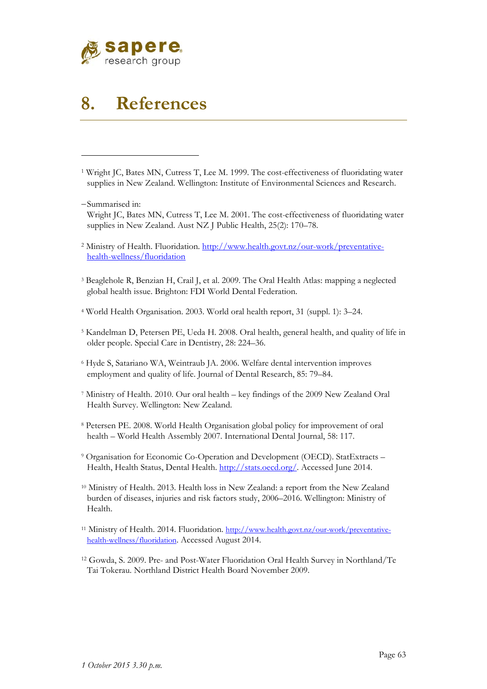

## **8. References**

- 1 Wright JC, Bates MN, Cutress T, Lee M. 1999. The cost-effectiveness of fluoridating water supplies in New Zealand. Wellington: Institute of Environmental Sciences and Research.
- Summarised in:

- Wright JC, Bates MN, Cutress T, Lee M. 2001. The cost-effectiveness of fluoridating water supplies in New Zealand. Aust NZ J Public Health, 25(2): 170–78.
- 2 Ministry of Health. Fluoridation. http://www.health.govt.nz/our-work/preventativehealth-wellness/fluoridation
- 3 Beaglehole R, Benzian H, Crail J, et al. 2009. The Oral Health Atlas: mapping a neglected global health issue. Brighton: FDI World Dental Federation.
- 4 World Health Organisation. 2003. World oral health report, 31 (suppl. 1): 3–24.
- 5 Kandelman D, Petersen PE, Ueda H. 2008. Oral health, general health, and quality of life in older people. Special Care in Dentistry, 28: 224–36.
- 6 Hyde S, Satariano WA, Weintraub JA. 2006. Welfare dental intervention improves employment and quality of life. Journal of Dental Research, 85: 79–84.
- 7 Ministry of Health. 2010. Our oral health key findings of the 2009 New Zealand Oral Health Survey. Wellington: New Zealand.
- 8 Petersen PE. 2008. World Health Organisation global policy for improvement of oral health – World Health Assembly 2007. International Dental Journal, 58: 117.
- 9 Organisation for Economic Co-Operation and Development (OECD). StatExtracts Health, Health Status, Dental Health. http://stats.oecd.org/. Accessed June 2014.
- 10 Ministry of Health. 2013. Health loss in New Zealand: a report from the New Zealand burden of diseases, injuries and risk factors study, 2006–2016. Wellington: Ministry of Health.
- 11 Ministry of Health. 2014. Fluoridation. http://www.health.govt.nz/our-work/preventativehealth-wellness/fluoridation. Accessed August 2014.
- 12 Gowda, S. 2009. Pre- and Post-Water Fluoridation Oral Health Survey in Northland/Te Tai Tokerau. Northland District Health Board November 2009.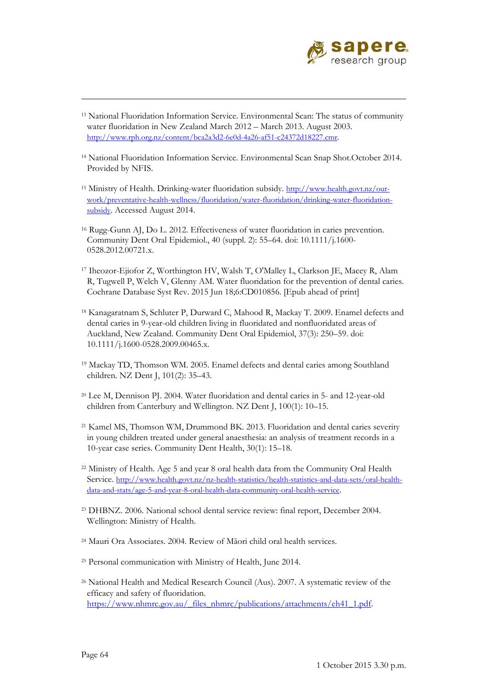

- 13 National Fluoridation Information Service. Environmental Scan: The status of community water fluoridation in New Zealand March 2012 – March 2013. August 2003. http://www.rph.org.nz/content/bca2a3d2-6e0d-4a26-af51-c24372d18227.cmr.
- 14 National Fluoridation Information Service. Environmental Scan Snap Shot.October 2014. Provided by NFIS.
- 15 Ministry of Health. Drinking-water fluoridation subsidy. http://www.health.govt.nz/ourwork/preventative-health-wellness/fluoridation/water-fluoridation/drinking-water-fluoridationsubsidy. Accessed August 2014.
- <sup>16</sup> Rugg-Gunn AJ, Do L. 2012. Effectiveness of water fluoridation in caries prevention. Community Dent Oral Epidemiol., 40 (suppl. 2): 55–64. doi: 10.1111/j.1600- 0528.2012.00721.x.
- 17 Iheozor-Ejiofor Z, Worthington HV, Walsh T, O'Malley L, Clarkson JE, Macey R, Alam R, Tugwell P, Welch V, Glenny AM. Water fluoridation for the prevention of dental caries. Cochrane Database Syst Rev. 2015 Jun 18;6:CD010856. [Epub ahead of print]
- 18 Kanagaratnam S, Schluter P, Durward C, Mahood R, Mackay T. 2009. Enamel defects and dental caries in 9-year-old children living in fluoridated and nonfluoridated areas of Auckland, New Zealand. Community Dent Oral Epidemiol, 37(3): 250–59. doi: 10.1111/j.1600-0528.2009.00465.x.
- 19 Mackay TD, Thomson WM. 2005. Enamel defects and dental caries among Southland children. NZ Dent J, 101(2): 35–43.
- 20 Lee M, Dennison PJ. 2004. Water fluoridation and dental caries in 5- and 12-year-old children from Canterbury and Wellington. NZ Dent J, 100(1): 10–15.
- 21 Kamel MS, Thomson WM, Drummond BK. 2013. Fluoridation and dental caries severity in young children treated under general anaesthesia: an analysis of treatment records in a 10-year case series. Community Dent Health, 30(1): 15–18.
- 22 Ministry of Health. Age 5 and year 8 oral health data from the Community Oral Health Service. http://www.health.govt.nz/nz-health-statistics/health-statistics-and-data-sets/oral-healthdata-and-stats/age-5-and-year-8-oral-health-data-community-oral-health-service.
- 23 DHBNZ. 2006. National school dental service review: final report, December 2004. Wellington: Ministry of Health.
- 24 Mauri Ora Associates. 2004. Review of Māori child oral health services.
- 25 Personal communication with Ministry of Health, June 2014.
- 26 National Health and Medical Research Council (Aus). 2007. A systematic review of the efficacy and safety of fluoridation. https://www.nhmrc.gov.au/\_files\_nhmrc/publications/attachments/eh41\_1.pdf.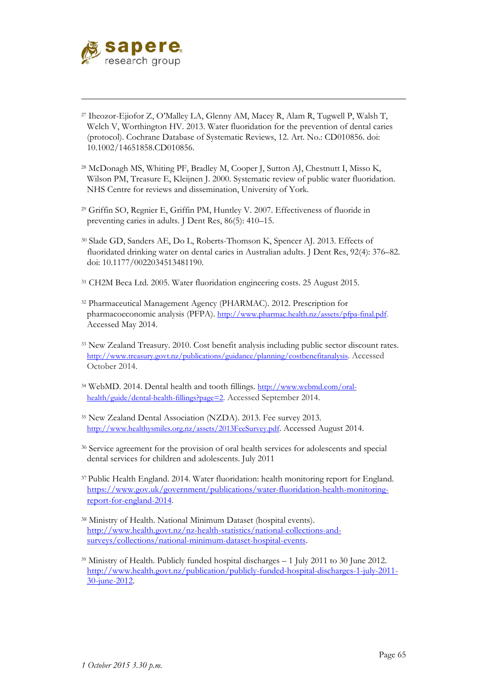

- 27 Iheozor-Ejiofor Z, O'Malley LA, Glenny AM, Macey R, Alam R, Tugwell P, Walsh T, Welch V, Worthington HV. 2013. Water fluoridation for the prevention of dental caries (protocol). Cochrane Database of Systematic Reviews, 12. Art. No.: CD010856. doi: 10.1002/14651858.CD010856.
- 28 McDonagh MS, Whiting PF, Bradley M, Cooper J, Sutton AJ, Chestnutt I, Misso K, Wilson PM, Treasure E, Kleijnen J. 2000. Systematic review of public water fluoridation. NHS Centre for reviews and dissemination, University of York.
- 29 Griffin SO, Regnier E, Griffin PM, Huntley V. 2007. Effectiveness of fluoride in preventing caries in adults. J Dent Res, 86(5): 410–15.
- 30 Slade GD, Sanders AE, Do L, Roberts-Thomson K, Spencer AJ. 2013. Effects of fluoridated drinking water on dental caries in Australian adults. J Dent Res, 92(4): 376–82. doi: 10.1177/0022034513481190.
- 31 CH2M Beca Ltd. 2005. Water fluoridation engineering costs. 25 August 2015.
- 32 Pharmaceutical Management Agency (PHARMAC). 2012. Prescription for pharmacoeconomic analysis (PFPA). http://www.pharmac.health.nz/assets/pfpa-final.pdf. Accessed May 2014.
- 33 New Zealand Treasury. 2010. Cost benefit analysis including public sector discount rates. http://www.treasury.govt.nz/publications/guidance/planning/costbenefitanalysis. Accessed October 2014.
- 34 WebMD. 2014. Dental health and tooth fillings. http://www.webmd.com/oralhealth/guide/dental-health-fillings?page=2. Accessed September 2014.
- 35 New Zealand Dental Association (NZDA). 2013. Fee survey 2013. http://www.healthysmiles.org.nz/assets/2013FeeSurvey.pdf. Accessed August 2014.
- 36 Service agreement for the provision of oral health services for adolescents and special dental services for children and adolescents. July 2011
- 37 Public Health England. 2014. Water fluoridation: health monitoring report for England. https://www.gov.uk/government/publications/water-fluoridation-health-monitoringreport-for-england-2014.
- 38 Ministry of Health. National Minimum Dataset (hospital events). http://www.health.govt.nz/nz-health-statistics/national-collections-andsurveys/collections/national-minimum-dataset-hospital-events.
- $39$  Ministry of Health. Publicly funded hospital discharges  $-1$  July 2011 to 30 June 2012. http://www.health.govt.nz/publication/publicly-funded-hospital-discharges-1-july-2011- 30-june-2012.